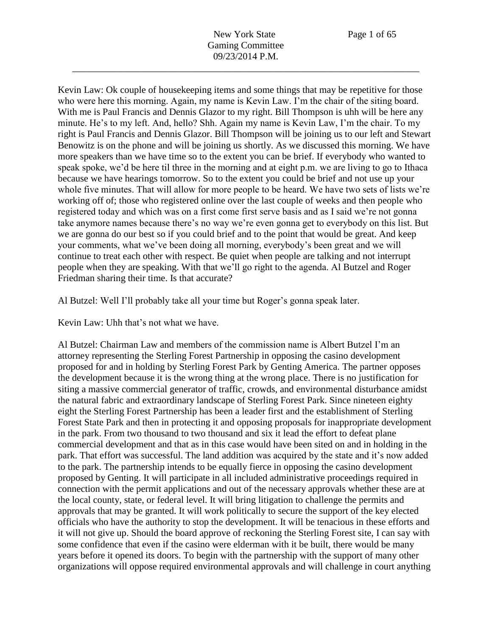Kevin Law: Ok couple of housekeeping items and some things that may be repetitive for those who were here this morning. Again, my name is Kevin Law. I'm the chair of the siting board. With me is Paul Francis and Dennis Glazor to my right. Bill Thompson is uhh will be here any minute. He's to my left. And, hello? Shh. Again my name is Kevin Law, I'm the chair. To my right is Paul Francis and Dennis Glazor. Bill Thompson will be joining us to our left and Stewart Benowitz is on the phone and will be joining us shortly. As we discussed this morning. We have more speakers than we have time so to the extent you can be brief. If everybody who wanted to speak spoke, we'd be here til three in the morning and at eight p.m. we are living to go to Ithaca because we have hearings tomorrow. So to the extent you could be brief and not use up your whole five minutes. That will allow for more people to be heard. We have two sets of lists we're working off of; those who registered online over the last couple of weeks and then people who registered today and which was on a first come first serve basis and as I said we're not gonna take anymore names because there's no way we're even gonna get to everybody on this list. But we are gonna do our best so if you could brief and to the point that would be great. And keep your comments, what we've been doing all morning, everybody's been great and we will continue to treat each other with respect. Be quiet when people are talking and not interrupt people when they are speaking. With that we'll go right to the agenda. Al Butzel and Roger Friedman sharing their time. Is that accurate?

Al Butzel: Well I'll probably take all your time but Roger's gonna speak later.

Kevin Law: Uhh that's not what we have.

Al Butzel: Chairman Law and members of the commission name is Albert Butzel I'm an attorney representing the Sterling Forest Partnership in opposing the casino development proposed for and in holding by Sterling Forest Park by Genting America. The partner opposes the development because it is the wrong thing at the wrong place. There is no justification for siting a massive commercial generator of traffic, crowds, and environmental disturbance amidst the natural fabric and extraordinary landscape of Sterling Forest Park. Since nineteen eighty eight the Sterling Forest Partnership has been a leader first and the establishment of Sterling Forest State Park and then in protecting it and opposing proposals for inappropriate development in the park. From two thousand to two thousand and six it lead the effort to defeat plane commercial development and that as in this case would have been sited on and in holding in the park. That effort was successful. The land addition was acquired by the state and it's now added to the park. The partnership intends to be equally fierce in opposing the casino development proposed by Genting. It will participate in all included administrative proceedings required in connection with the permit applications and out of the necessary approvals whether these are at the local county, state, or federal level. It will bring litigation to challenge the permits and approvals that may be granted. It will work politically to secure the support of the key elected officials who have the authority to stop the development. It will be tenacious in these efforts and it will not give up. Should the board approve of reckoning the Sterling Forest site, I can say with some confidence that even if the casino were elderman with it be built, there would be many years before it opened its doors. To begin with the partnership with the support of many other organizations will oppose required environmental approvals and will challenge in court anything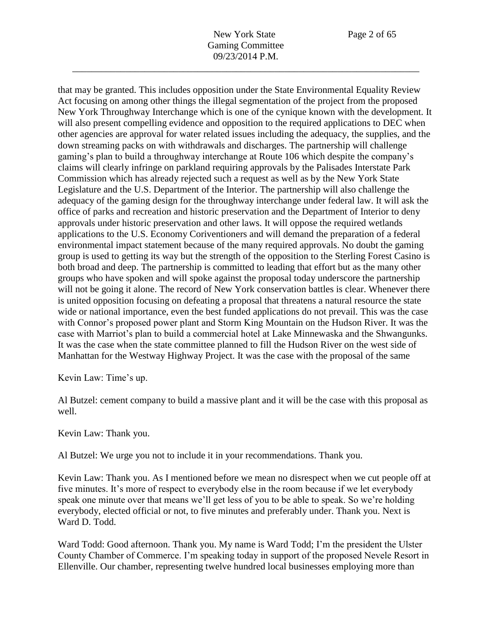that may be granted. This includes opposition under the State Environmental Equality Review Act focusing on among other things the illegal segmentation of the project from the proposed New York Throughway Interchange which is one of the cynique known with the development. It will also present compelling evidence and opposition to the required applications to DEC when other agencies are approval for water related issues including the adequacy, the supplies, and the down streaming packs on with withdrawals and discharges. The partnership will challenge gaming's plan to build a throughway interchange at Route 106 which despite the company's claims will clearly infringe on parkland requiring approvals by the Palisades Interstate Park Commission which has already rejected such a request as well as by the New York State Legislature and the U.S. Department of the Interior. The partnership will also challenge the adequacy of the gaming design for the throughway interchange under federal law. It will ask the office of parks and recreation and historic preservation and the Department of Interior to deny approvals under historic preservation and other laws. It will oppose the required wetlands applications to the U.S. Economy Coriventioners and will demand the preparation of a federal environmental impact statement because of the many required approvals. No doubt the gaming group is used to getting its way but the strength of the opposition to the Sterling Forest Casino is both broad and deep. The partnership is committed to leading that effort but as the many other groups who have spoken and will spoke against the proposal today underscore the partnership will not be going it alone. The record of New York conservation battles is clear. Whenever there is united opposition focusing on defeating a proposal that threatens a natural resource the state wide or national importance, even the best funded applications do not prevail. This was the case with Connor's proposed power plant and Storm King Mountain on the Hudson River. It was the case with Marriot's plan to build a commercial hotel at Lake Minnewaska and the Shwangunks. It was the case when the state committee planned to fill the Hudson River on the west side of Manhattan for the Westway Highway Project. It was the case with the proposal of the same

Kevin Law: Time's up.

Al Butzel: cement company to build a massive plant and it will be the case with this proposal as well.

Kevin Law: Thank you.

Al Butzel: We urge you not to include it in your recommendations. Thank you.

Kevin Law: Thank you. As I mentioned before we mean no disrespect when we cut people off at five minutes. It's more of respect to everybody else in the room because if we let everybody speak one minute over that means we'll get less of you to be able to speak. So we're holding everybody, elected official or not, to five minutes and preferably under. Thank you. Next is Ward D. Todd.

Ward Todd: Good afternoon. Thank you. My name is Ward Todd; I'm the president the Ulster County Chamber of Commerce. I'm speaking today in support of the proposed Nevele Resort in Ellenville. Our chamber, representing twelve hundred local businesses employing more than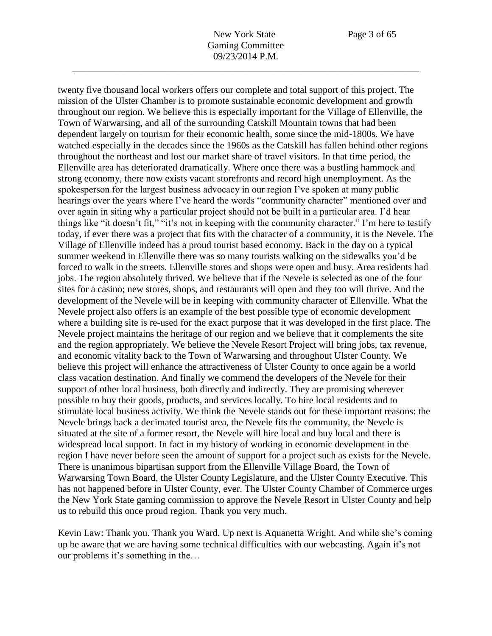twenty five thousand local workers offers our complete and total support of this project. The mission of the Ulster Chamber is to promote sustainable economic development and growth throughout our region. We believe this is especially important for the Village of Ellenville, the Town of Warwarsing, and all of the surrounding Catskill Mountain towns that had been dependent largely on tourism for their economic health, some since the mid-1800s. We have watched especially in the decades since the 1960s as the Catskill has fallen behind other regions throughout the northeast and lost our market share of travel visitors. In that time period, the Ellenville area has deteriorated dramatically. Where once there was a bustling hammock and strong economy, there now exists vacant storefronts and record high unemployment. As the spokesperson for the largest business advocacy in our region I've spoken at many public hearings over the years where I've heard the words "community character" mentioned over and over again in siting why a particular project should not be built in a particular area. I'd hear things like "it doesn't fit," "it's not in keeping with the community character." I'm here to testify today, if ever there was a project that fits with the character of a community, it is the Nevele. The Village of Ellenville indeed has a proud tourist based economy. Back in the day on a typical summer weekend in Ellenville there was so many tourists walking on the sidewalks you'd be forced to walk in the streets. Ellenville stores and shops were open and busy. Area residents had jobs. The region absolutely thrived. We believe that if the Nevele is selected as one of the four sites for a casino; new stores, shops, and restaurants will open and they too will thrive. And the development of the Nevele will be in keeping with community character of Ellenville. What the Nevele project also offers is an example of the best possible type of economic development where a building site is re-used for the exact purpose that it was developed in the first place. The Nevele project maintains the heritage of our region and we believe that it complements the site and the region appropriately. We believe the Nevele Resort Project will bring jobs, tax revenue, and economic vitality back to the Town of Warwarsing and throughout Ulster County. We believe this project will enhance the attractiveness of Ulster County to once again be a world class vacation destination. And finally we commend the developers of the Nevele for their support of other local business, both directly and indirectly. They are promising wherever possible to buy their goods, products, and services locally. To hire local residents and to stimulate local business activity. We think the Nevele stands out for these important reasons: the Nevele brings back a decimated tourist area, the Nevele fits the community, the Nevele is situated at the site of a former resort, the Nevele will hire local and buy local and there is widespread local support. In fact in my history of working in economic development in the region I have never before seen the amount of support for a project such as exists for the Nevele. There is unanimous bipartisan support from the Ellenville Village Board, the Town of Warwarsing Town Board, the Ulster County Legislature, and the Ulster County Executive. This has not happened before in Ulster County, ever. The Ulster County Chamber of Commerce urges the New York State gaming commission to approve the Nevele Resort in Ulster County and help us to rebuild this once proud region. Thank you very much.

Kevin Law: Thank you. Thank you Ward. Up next is Aquanetta Wright. And while she's coming up be aware that we are having some technical difficulties with our webcasting. Again it's not our problems it's something in the…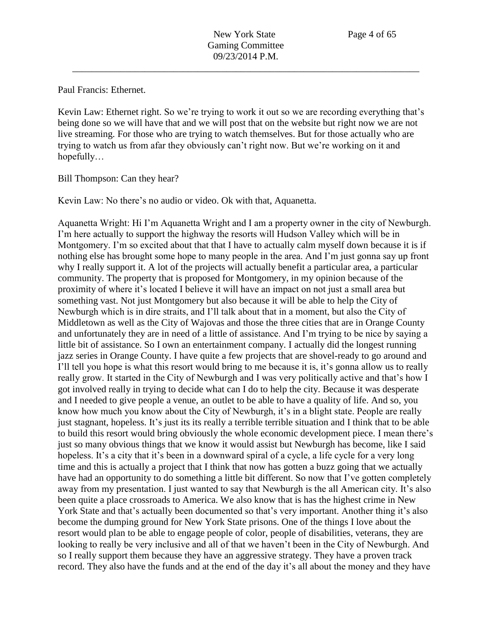Paul Francis: Ethernet.

Kevin Law: Ethernet right. So we're trying to work it out so we are recording everything that's being done so we will have that and we will post that on the website but right now we are not live streaming. For those who are trying to watch themselves. But for those actually who are trying to watch us from afar they obviously can't right now. But we're working on it and hopefully…

Bill Thompson: Can they hear?

Kevin Law: No there's no audio or video. Ok with that, Aquanetta.

Aquanetta Wright: Hi I'm Aquanetta Wright and I am a property owner in the city of Newburgh. I'm here actually to support the highway the resorts will Hudson Valley which will be in Montgomery. I'm so excited about that that I have to actually calm myself down because it is if nothing else has brought some hope to many people in the area. And I'm just gonna say up front why I really support it. A lot of the projects will actually benefit a particular area, a particular community. The property that is proposed for Montgomery, in my opinion because of the proximity of where it's located I believe it will have an impact on not just a small area but something vast. Not just Montgomery but also because it will be able to help the City of Newburgh which is in dire straits, and I'll talk about that in a moment, but also the City of Middletown as well as the City of Wajovas and those the three cities that are in Orange County and unfortunately they are in need of a little of assistance. And I'm trying to be nice by saying a little bit of assistance. So I own an entertainment company. I actually did the longest running jazz series in Orange County. I have quite a few projects that are shovel-ready to go around and I'll tell you hope is what this resort would bring to me because it is, it's gonna allow us to really really grow. It started in the City of Newburgh and I was very politically active and that's how I got involved really in trying to decide what can I do to help the city. Because it was desperate and I needed to give people a venue, an outlet to be able to have a quality of life. And so, you know how much you know about the City of Newburgh, it's in a blight state. People are really just stagnant, hopeless. It's just its its really a terrible terrible situation and I think that to be able to build this resort would bring obviously the whole economic development piece. I mean there's just so many obvious things that we know it would assist but Newburgh has become, like I said hopeless. It's a city that it's been in a downward spiral of a cycle, a life cycle for a very long time and this is actually a project that I think that now has gotten a buzz going that we actually have had an opportunity to do something a little bit different. So now that I've gotten completely away from my presentation. I just wanted to say that Newburgh is the all American city. It's also been quite a place crossroads to America. We also know that is has the highest crime in New York State and that's actually been documented so that's very important. Another thing it's also become the dumping ground for New York State prisons. One of the things I love about the resort would plan to be able to engage people of color, people of disabilities, veterans, they are looking to really be very inclusive and all of that we haven't been in the City of Newburgh. And so I really support them because they have an aggressive strategy. They have a proven track record. They also have the funds and at the end of the day it's all about the money and they have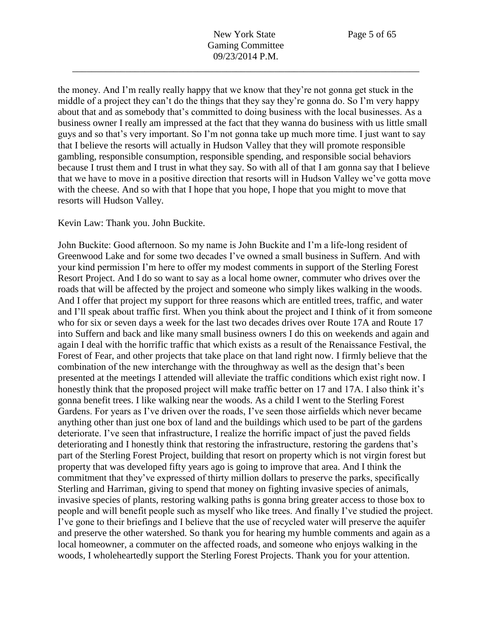the money. And I'm really really happy that we know that they're not gonna get stuck in the middle of a project they can't do the things that they say they're gonna do. So I'm very happy about that and as somebody that's committed to doing business with the local businesses. As a business owner I really am impressed at the fact that they wanna do business with us little small guys and so that's very important. So I'm not gonna take up much more time. I just want to say that I believe the resorts will actually in Hudson Valley that they will promote responsible gambling, responsible consumption, responsible spending, and responsible social behaviors because I trust them and I trust in what they say. So with all of that I am gonna say that I believe that we have to move in a positive direction that resorts will in Hudson Valley we've gotta move with the cheese. And so with that I hope that you hope, I hope that you might to move that resorts will Hudson Valley.

Kevin Law: Thank you. John Buckite.

John Buckite: Good afternoon. So my name is John Buckite and I'm a life-long resident of Greenwood Lake and for some two decades I've owned a small business in Suffern. And with your kind permission I'm here to offer my modest comments in support of the Sterling Forest Resort Project. And I do so want to say as a local home owner, commuter who drives over the roads that will be affected by the project and someone who simply likes walking in the woods. And I offer that project my support for three reasons which are entitled trees, traffic, and water and I'll speak about traffic first. When you think about the project and I think of it from someone who for six or seven days a week for the last two decades drives over Route 17A and Route 17 into Suffern and back and like many small business owners I do this on weekends and again and again I deal with the horrific traffic that which exists as a result of the Renaissance Festival, the Forest of Fear, and other projects that take place on that land right now. I firmly believe that the combination of the new interchange with the throughway as well as the design that's been presented at the meetings I attended will alleviate the traffic conditions which exist right now. I honestly think that the proposed project will make traffic better on 17 and 17A. I also think it's gonna benefit trees. I like walking near the woods. As a child I went to the Sterling Forest Gardens. For years as I've driven over the roads, I've seen those airfields which never became anything other than just one box of land and the buildings which used to be part of the gardens deteriorate. I've seen that infrastructure, I realize the horrific impact of just the paved fields deteriorating and I honestly think that restoring the infrastructure, restoring the gardens that's part of the Sterling Forest Project, building that resort on property which is not virgin forest but property that was developed fifty years ago is going to improve that area. And I think the commitment that they've expressed of thirty million dollars to preserve the parks, specifically Sterling and Harriman, giving to spend that money on fighting invasive species of animals, invasive species of plants, restoring walking paths is gonna bring greater access to those box to people and will benefit people such as myself who like trees. And finally I've studied the project. I've gone to their briefings and I believe that the use of recycled water will preserve the aquifer and preserve the other watershed. So thank you for hearing my humble comments and again as a local homeowner, a commuter on the affected roads, and someone who enjoys walking in the woods, I wholeheartedly support the Sterling Forest Projects. Thank you for your attention.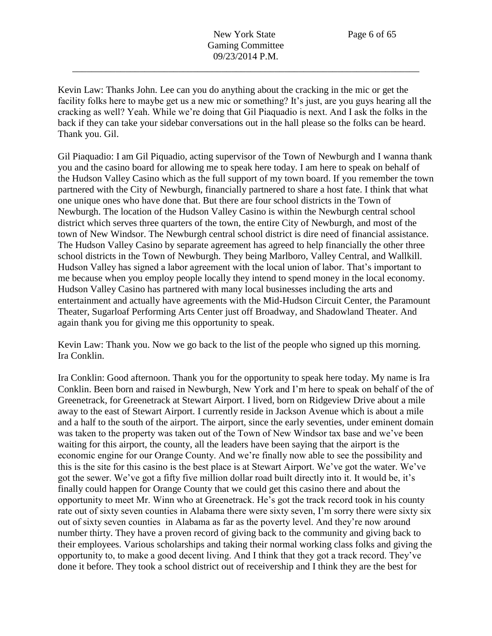Kevin Law: Thanks John. Lee can you do anything about the cracking in the mic or get the facility folks here to maybe get us a new mic or something? It's just, are you guys hearing all the cracking as well? Yeah. While we're doing that Gil Piaquadio is next. And I ask the folks in the back if they can take your sidebar conversations out in the hall please so the folks can be heard. Thank you. Gil.

Gil Piaquadio: I am Gil Piquadio, acting supervisor of the Town of Newburgh and I wanna thank you and the casino board for allowing me to speak here today. I am here to speak on behalf of the Hudson Valley Casino which as the full support of my town board. If you remember the town partnered with the City of Newburgh, financially partnered to share a host fate. I think that what one unique ones who have done that. But there are four school districts in the Town of Newburgh. The location of the Hudson Valley Casino is within the Newburgh central school district which serves three quarters of the town, the entire City of Newburgh, and most of the town of New Windsor. The Newburgh central school district is dire need of financial assistance. The Hudson Valley Casino by separate agreement has agreed to help financially the other three school districts in the Town of Newburgh. They being Marlboro, Valley Central, and Wallkill. Hudson Valley has signed a labor agreement with the local union of labor. That's important to me because when you employ people locally they intend to spend money in the local economy. Hudson Valley Casino has partnered with many local businesses including the arts and entertainment and actually have agreements with the Mid-Hudson Circuit Center, the Paramount Theater, Sugarloaf Performing Arts Center just off Broadway, and Shadowland Theater. And again thank you for giving me this opportunity to speak.

Kevin Law: Thank you. Now we go back to the list of the people who signed up this morning. Ira Conklin.

Ira Conklin: Good afternoon. Thank you for the opportunity to speak here today. My name is Ira Conklin. Been born and raised in Newburgh, New York and I'm here to speak on behalf of the of Greenetrack, for Greenetrack at Stewart Airport. I lived, born on Ridgeview Drive about a mile away to the east of Stewart Airport. I currently reside in Jackson Avenue which is about a mile and a half to the south of the airport. The airport, since the early seventies, under eminent domain was taken to the property was taken out of the Town of New Windsor tax base and we've been waiting for this airport, the county, all the leaders have been saying that the airport is the economic engine for our Orange County. And we're finally now able to see the possibility and this is the site for this casino is the best place is at Stewart Airport. We've got the water. We've got the sewer. We've got a fifty five million dollar road built directly into it. It would be, it's finally could happen for Orange County that we could get this casino there and about the opportunity to meet Mr. Winn who at Greenetrack. He's got the track record took in his county rate out of sixty seven counties in Alabama there were sixty seven, I'm sorry there were sixty six out of sixty seven counties in Alabama as far as the poverty level. And they're now around number thirty. They have a proven record of giving back to the community and giving back to their employees. Various scholarships and taking their normal working class folks and giving the opportunity to, to make a good decent living. And I think that they got a track record. They've done it before. They took a school district out of receivership and I think they are the best for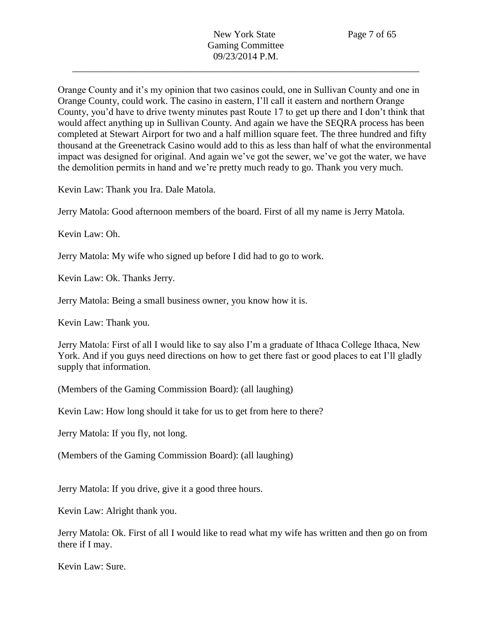Orange County and it's my opinion that two casinos could, one in Sullivan County and one in Orange County, could work. The casino in eastern, I'll call it eastern and northern Orange County, you'd have to drive twenty minutes past Route 17 to get up there and I don't think that would affect anything up in Sullivan County. And again we have the SEQRA process has been completed at Stewart Airport for two and a half million square feet. The three hundred and fifty thousand at the Greenetrack Casino would add to this as less than half of what the environmental impact was designed for original. And again we've got the sewer, we've got the water, we have the demolition permits in hand and we're pretty much ready to go. Thank you very much.

Kevin Law: Thank you Ira. Dale Matola.

Jerry Matola: Good afternoon members of the board. First of all my name is Jerry Matola.

Kevin Law: Oh.

Jerry Matola: My wife who signed up before I did had to go to work.

Kevin Law: Ok. Thanks Jerry.

Jerry Matola: Being a small business owner, you know how it is.

Kevin Law: Thank you.

Jerry Matola: First of all I would like to say also I'm a graduate of Ithaca College Ithaca, New York. And if you guys need directions on how to get there fast or good places to eat I'll gladly supply that information.

(Members of the Gaming Commission Board): (all laughing)

Kevin Law: How long should it take for us to get from here to there?

Jerry Matola: If you fly, not long.

(Members of the Gaming Commission Board): (all laughing)

Jerry Matola: If you drive, give it a good three hours.

Kevin Law: Alright thank you.

Jerry Matola: Ok. First of all I would like to read what my wife has written and then go on from there if I may.

Kevin Law: Sure.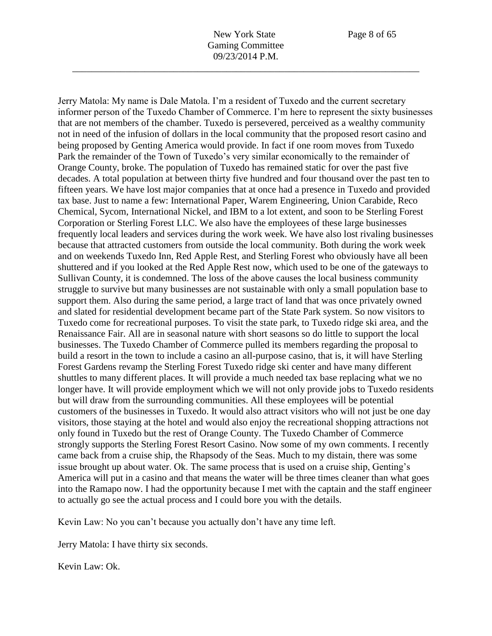Jerry Matola: My name is Dale Matola. I'm a resident of Tuxedo and the current secretary informer person of the Tuxedo Chamber of Commerce. I'm here to represent the sixty businesses that are not members of the chamber. Tuxedo is persevered, perceived as a wealthy community not in need of the infusion of dollars in the local community that the proposed resort casino and being proposed by Genting America would provide. In fact if one room moves from Tuxedo Park the remainder of the Town of Tuxedo's very similar economically to the remainder of Orange County, broke. The population of Tuxedo has remained static for over the past five decades. A total population at between thirty five hundred and four thousand over the past ten to fifteen years. We have lost major companies that at once had a presence in Tuxedo and provided tax base. Just to name a few: International Paper, Warem Engineering, Union Carabide, Reco Chemical, Sycom, International Nickel, and IBM to a lot extent, and soon to be Sterling Forest Corporation or Sterling Forest LLC. We also have the employees of these large businesses frequently local leaders and services during the work week. We have also lost rivaling businesses because that attracted customers from outside the local community. Both during the work week and on weekends Tuxedo Inn, Red Apple Rest, and Sterling Forest who obviously have all been shuttered and if you looked at the Red Apple Rest now, which used to be one of the gateways to Sullivan County, it is condemned. The loss of the above causes the local business community struggle to survive but many businesses are not sustainable with only a small population base to support them. Also during the same period, a large tract of land that was once privately owned and slated for residential development became part of the State Park system. So now visitors to Tuxedo come for recreational purposes. To visit the state park, to Tuxedo ridge ski area, and the Renaissance Fair. All are in seasonal nature with short seasons so do little to support the local businesses. The Tuxedo Chamber of Commerce pulled its members regarding the proposal to build a resort in the town to include a casino an all-purpose casino, that is, it will have Sterling Forest Gardens revamp the Sterling Forest Tuxedo ridge ski center and have many different shuttles to many different places. It will provide a much needed tax base replacing what we no longer have. It will provide employment which we will not only provide jobs to Tuxedo residents but will draw from the surrounding communities. All these employees will be potential customers of the businesses in Tuxedo. It would also attract visitors who will not just be one day visitors, those staying at the hotel and would also enjoy the recreational shopping attractions not only found in Tuxedo but the rest of Orange County. The Tuxedo Chamber of Commerce strongly supports the Sterling Forest Resort Casino. Now some of my own comments. I recently came back from a cruise ship, the Rhapsody of the Seas. Much to my distain, there was some issue brought up about water. Ok. The same process that is used on a cruise ship, Genting's America will put in a casino and that means the water will be three times cleaner than what goes into the Ramapo now. I had the opportunity because I met with the captain and the staff engineer to actually go see the actual process and I could bore you with the details.

Kevin Law: No you can't because you actually don't have any time left.

Jerry Matola: I have thirty six seconds.

Kevin Law: Ok.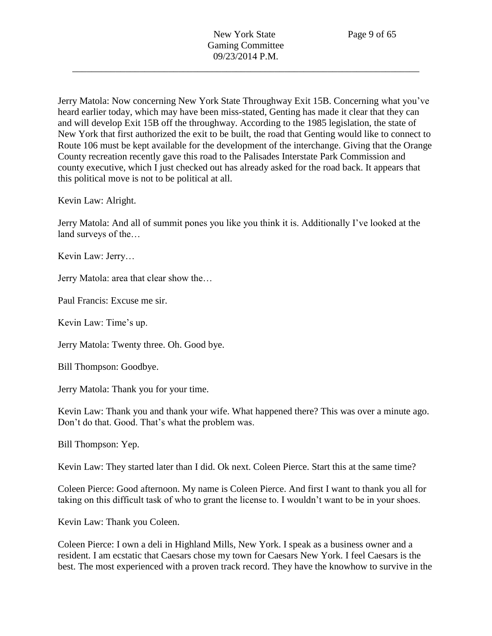Jerry Matola: Now concerning New York State Throughway Exit 15B. Concerning what you've heard earlier today, which may have been miss-stated, Genting has made it clear that they can and will develop Exit 15B off the throughway. According to the 1985 legislation, the state of New York that first authorized the exit to be built, the road that Genting would like to connect to Route 106 must be kept available for the development of the interchange. Giving that the Orange County recreation recently gave this road to the Palisades Interstate Park Commission and county executive, which I just checked out has already asked for the road back. It appears that this political move is not to be political at all.

Kevin Law: Alright.

Jerry Matola: And all of summit pones you like you think it is. Additionally I've looked at the land surveys of the…

Kevin Law: Jerry…

Jerry Matola: area that clear show the…

Paul Francis: Excuse me sir.

Kevin Law: Time's up.

Jerry Matola: Twenty three. Oh. Good bye.

Bill Thompson: Goodbye.

Jerry Matola: Thank you for your time.

Kevin Law: Thank you and thank your wife. What happened there? This was over a minute ago. Don't do that. Good. That's what the problem was.

Bill Thompson: Yep.

Kevin Law: They started later than I did. Ok next. Coleen Pierce. Start this at the same time?

Coleen Pierce: Good afternoon. My name is Coleen Pierce. And first I want to thank you all for taking on this difficult task of who to grant the license to. I wouldn't want to be in your shoes.

Kevin Law: Thank you Coleen.

Coleen Pierce: I own a deli in Highland Mills, New York. I speak as a business owner and a resident. I am ecstatic that Caesars chose my town for Caesars New York. I feel Caesars is the best. The most experienced with a proven track record. They have the knowhow to survive in the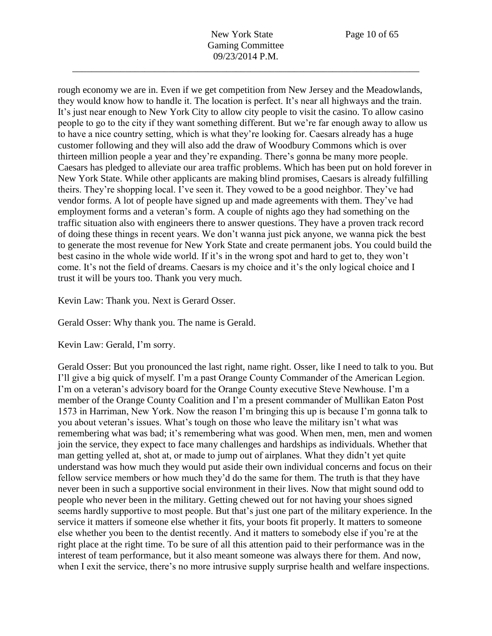rough economy we are in. Even if we get competition from New Jersey and the Meadowlands, they would know how to handle it. The location is perfect. It's near all highways and the train. It's just near enough to New York City to allow city people to visit the casino. To allow casino people to go to the city if they want something different. But we're far enough away to allow us to have a nice country setting, which is what they're looking for. Caesars already has a huge customer following and they will also add the draw of Woodbury Commons which is over thirteen million people a year and they're expanding. There's gonna be many more people. Caesars has pledged to alleviate our area traffic problems. Which has been put on hold forever in New York State. While other applicants are making blind promises, Caesars is already fulfilling theirs. They're shopping local. I've seen it. They vowed to be a good neighbor. They've had vendor forms. A lot of people have signed up and made agreements with them. They've had employment forms and a veteran's form. A couple of nights ago they had something on the traffic situation also with engineers there to answer questions. They have a proven track record of doing these things in recent years. We don't wanna just pick anyone, we wanna pick the best to generate the most revenue for New York State and create permanent jobs. You could build the best casino in the whole wide world. If it's in the wrong spot and hard to get to, they won't come. It's not the field of dreams. Caesars is my choice and it's the only logical choice and I trust it will be yours too. Thank you very much.

Kevin Law: Thank you. Next is Gerard Osser.

Gerald Osser: Why thank you. The name is Gerald.

Kevin Law: Gerald, I'm sorry.

Gerald Osser: But you pronounced the last right, name right. Osser, like I need to talk to you. But I'll give a big quick of myself. I'm a past Orange County Commander of the American Legion. I'm on a veteran's advisory board for the Orange County executive Steve Newhouse. I'm a member of the Orange County Coalition and I'm a present commander of Mullikan Eaton Post 1573 in Harriman, New York. Now the reason I'm bringing this up is because I'm gonna talk to you about veteran's issues. What's tough on those who leave the military isn't what was remembering what was bad; it's remembering what was good. When men, men, men and women join the service, they expect to face many challenges and hardships as individuals. Whether that man getting yelled at, shot at, or made to jump out of airplanes. What they didn't yet quite understand was how much they would put aside their own individual concerns and focus on their fellow service members or how much they'd do the same for them. The truth is that they have never been in such a supportive social environment in their lives. Now that might sound odd to people who never been in the military. Getting chewed out for not having your shoes signed seems hardly supportive to most people. But that's just one part of the military experience. In the service it matters if someone else whether it fits, your boots fit properly. It matters to someone else whether you been to the dentist recently. And it matters to somebody else if you're at the right place at the right time. To be sure of all this attention paid to their performance was in the interest of team performance, but it also meant someone was always there for them. And now, when I exit the service, there's no more intrusive supply surprise health and welfare inspections.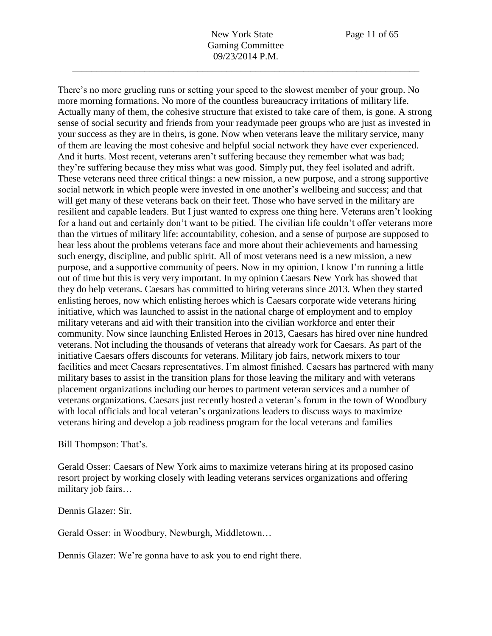There's no more grueling runs or setting your speed to the slowest member of your group. No more morning formations. No more of the countless bureaucracy irritations of military life. Actually many of them, the cohesive structure that existed to take care of them, is gone. A strong sense of social security and friends from your readymade peer groups who are just as invested in your success as they are in theirs, is gone. Now when veterans leave the military service, many of them are leaving the most cohesive and helpful social network they have ever experienced. And it hurts. Most recent, veterans aren't suffering because they remember what was bad; they're suffering because they miss what was good. Simply put, they feel isolated and adrift. These veterans need three critical things: a new mission, a new purpose, and a strong supportive social network in which people were invested in one another's wellbeing and success; and that will get many of these veterans back on their feet. Those who have served in the military are resilient and capable leaders. But I just wanted to express one thing here. Veterans aren't looking for a hand out and certainly don't want to be pitied. The civilian life couldn't offer veterans more than the virtues of military life: accountability, cohesion, and a sense of purpose are supposed to hear less about the problems veterans face and more about their achievements and harnessing such energy, discipline, and public spirit. All of most veterans need is a new mission, a new purpose, and a supportive community of peers. Now in my opinion, I know I'm running a little out of time but this is very very important. In my opinion Caesars New York has showed that they do help veterans. Caesars has committed to hiring veterans since 2013. When they started enlisting heroes, now which enlisting heroes which is Caesars corporate wide veterans hiring initiative, which was launched to assist in the national charge of employment and to employ military veterans and aid with their transition into the civilian workforce and enter their community. Now since launching Enlisted Heroes in 2013, Caesars has hired over nine hundred veterans. Not including the thousands of veterans that already work for Caesars. As part of the initiative Caesars offers discounts for veterans. Military job fairs, network mixers to tour facilities and meet Caesars representatives. I'm almost finished. Caesars has partnered with many military bases to assist in the transition plans for those leaving the military and with veterans placement organizations including our heroes to partment veteran services and a number of veterans organizations. Caesars just recently hosted a veteran's forum in the town of Woodbury with local officials and local veteran's organizations leaders to discuss ways to maximize veterans hiring and develop a job readiness program for the local veterans and families

Bill Thompson: That's.

Gerald Osser: Caesars of New York aims to maximize veterans hiring at its proposed casino resort project by working closely with leading veterans services organizations and offering military job fairs…

Dennis Glazer: Sir.

Gerald Osser: in Woodbury, Newburgh, Middletown…

Dennis Glazer: We're gonna have to ask you to end right there.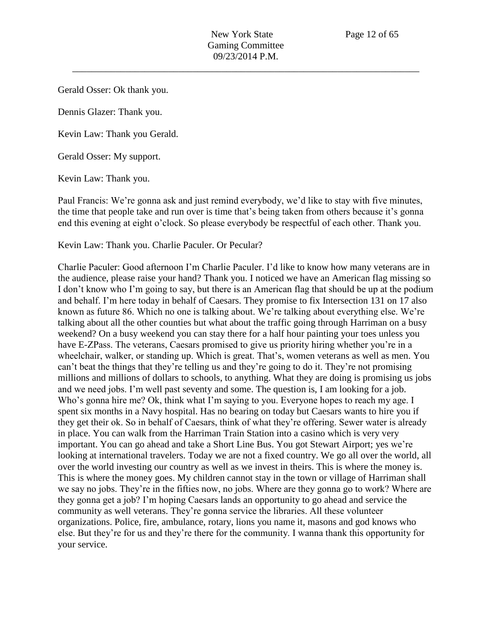Gerald Osser: Ok thank you.

Dennis Glazer: Thank you.

Kevin Law: Thank you Gerald.

Gerald Osser: My support.

Kevin Law: Thank you.

Paul Francis: We're gonna ask and just remind everybody, we'd like to stay with five minutes, the time that people take and run over is time that's being taken from others because it's gonna end this evening at eight o'clock. So please everybody be respectful of each other. Thank you.

Kevin Law: Thank you. Charlie Paculer. Or Pecular?

Charlie Paculer: Good afternoon I'm Charlie Paculer. I'd like to know how many veterans are in the audience, please raise your hand? Thank you. I noticed we have an American flag missing so I don't know who I'm going to say, but there is an American flag that should be up at the podium and behalf. I'm here today in behalf of Caesars. They promise to fix Intersection 131 on 17 also known as future 86. Which no one is talking about. We're talking about everything else. We're talking about all the other counties but what about the traffic going through Harriman on a busy weekend? On a busy weekend you can stay there for a half hour painting your toes unless you have E-ZPass. The veterans, Caesars promised to give us priority hiring whether you're in a wheelchair, walker, or standing up. Which is great. That's, women veterans as well as men. You can't beat the things that they're telling us and they're going to do it. They're not promising millions and millions of dollars to schools, to anything. What they are doing is promising us jobs and we need jobs. I'm well past seventy and some. The question is, I am looking for a job. Who's gonna hire me? Ok, think what I'm saying to you. Everyone hopes to reach my age. I spent six months in a Navy hospital. Has no bearing on today but Caesars wants to hire you if they get their ok. So in behalf of Caesars, think of what they're offering. Sewer water is already in place. You can walk from the Harriman Train Station into a casino which is very very important. You can go ahead and take a Short Line Bus. You got Stewart Airport; yes we're looking at international travelers. Today we are not a fixed country. We go all over the world, all over the world investing our country as well as we invest in theirs. This is where the money is. This is where the money goes. My children cannot stay in the town or village of Harriman shall we say no jobs. They're in the fifties now, no jobs. Where are they gonna go to work? Where are they gonna get a job? I'm hoping Caesars lands an opportunity to go ahead and service the community as well veterans. They're gonna service the libraries. All these volunteer organizations. Police, fire, ambulance, rotary, lions you name it, masons and god knows who else. But they're for us and they're there for the community. I wanna thank this opportunity for your service.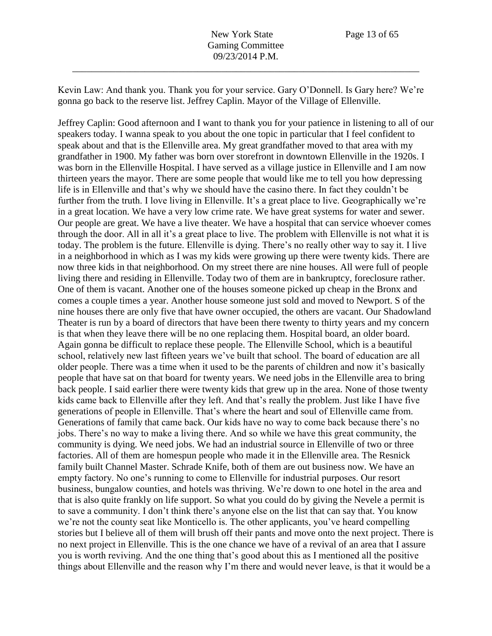Kevin Law: And thank you. Thank you for your service. Gary O'Donnell. Is Gary here? We're gonna go back to the reserve list. Jeffrey Caplin. Mayor of the Village of Ellenville.

Jeffrey Caplin: Good afternoon and I want to thank you for your patience in listening to all of our speakers today. I wanna speak to you about the one topic in particular that I feel confident to speak about and that is the Ellenville area. My great grandfather moved to that area with my grandfather in 1900. My father was born over storefront in downtown Ellenville in the 1920s. I was born in the Ellenville Hospital. I have served as a village justice in Ellenville and I am now thirteen years the mayor. There are some people that would like me to tell you how depressing life is in Ellenville and that's why we should have the casino there. In fact they couldn't be further from the truth. I love living in Ellenville. It's a great place to live. Geographically we're in a great location. We have a very low crime rate. We have great systems for water and sewer. Our people are great. We have a live theater. We have a hospital that can service whoever comes through the door. All in all it's a great place to live. The problem with Ellenville is not what it is today. The problem is the future. Ellenville is dying. There's no really other way to say it. I live in a neighborhood in which as I was my kids were growing up there were twenty kids. There are now three kids in that neighborhood. On my street there are nine houses. All were full of people living there and residing in Ellenville. Today two of them are in bankruptcy, foreclosure rather. One of them is vacant. Another one of the houses someone picked up cheap in the Bronx and comes a couple times a year. Another house someone just sold and moved to Newport. S of the nine houses there are only five that have owner occupied, the others are vacant. Our Shadowland Theater is run by a board of directors that have been there twenty to thirty years and my concern is that when they leave there will be no one replacing them. Hospital board, an older board. Again gonna be difficult to replace these people. The Ellenville School, which is a beautiful school, relatively new last fifteen years we've built that school. The board of education are all older people. There was a time when it used to be the parents of children and now it's basically people that have sat on that board for twenty years. We need jobs in the Ellenville area to bring back people. I said earlier there were twenty kids that grew up in the area. None of those twenty kids came back to Ellenville after they left. And that's really the problem. Just like I have five generations of people in Ellenville. That's where the heart and soul of Ellenville came from. Generations of family that came back. Our kids have no way to come back because there's no jobs. There's no way to make a living there. And so while we have this great community, the community is dying. We need jobs. We had an industrial source in Ellenville of two or three factories. All of them are homespun people who made it in the Ellenville area. The Resnick family built Channel Master. Schrade Knife, both of them are out business now. We have an empty factory. No one's running to come to Ellenville for industrial purposes. Our resort business, bungalow counties, and hotels was thriving. We're down to one hotel in the area and that is also quite frankly on life support. So what you could do by giving the Nevele a permit is to save a community. I don't think there's anyone else on the list that can say that. You know we're not the county seat like Monticello is. The other applicants, you've heard compelling stories but I believe all of them will brush off their pants and move onto the next project. There is no next project in Ellenville. This is the one chance we have of a revival of an area that I assure you is worth reviving. And the one thing that's good about this as I mentioned all the positive things about Ellenville and the reason why I'm there and would never leave, is that it would be a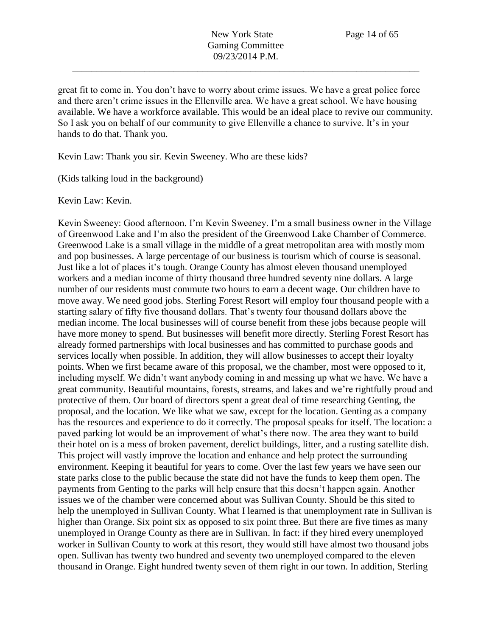great fit to come in. You don't have to worry about crime issues. We have a great police force and there aren't crime issues in the Ellenville area. We have a great school. We have housing available. We have a workforce available. This would be an ideal place to revive our community. So I ask you on behalf of our community to give Ellenville a chance to survive. It's in your hands to do that. Thank you.

Kevin Law: Thank you sir. Kevin Sweeney. Who are these kids?

(Kids talking loud in the background)

Kevin Law: Kevin.

Kevin Sweeney: Good afternoon. I'm Kevin Sweeney. I'm a small business owner in the Village of Greenwood Lake and I'm also the president of the Greenwood Lake Chamber of Commerce. Greenwood Lake is a small village in the middle of a great metropolitan area with mostly mom and pop businesses. A large percentage of our business is tourism which of course is seasonal. Just like a lot of places it's tough. Orange County has almost eleven thousand unemployed workers and a median income of thirty thousand three hundred seventy nine dollars. A large number of our residents must commute two hours to earn a decent wage. Our children have to move away. We need good jobs. Sterling Forest Resort will employ four thousand people with a starting salary of fifty five thousand dollars. That's twenty four thousand dollars above the median income. The local businesses will of course benefit from these jobs because people will have more money to spend. But businesses will benefit more directly. Sterling Forest Resort has already formed partnerships with local businesses and has committed to purchase goods and services locally when possible. In addition, they will allow businesses to accept their loyalty points. When we first became aware of this proposal, we the chamber, most were opposed to it, including myself. We didn't want anybody coming in and messing up what we have. We have a great community. Beautiful mountains, forests, streams, and lakes and we're rightfully proud and protective of them. Our board of directors spent a great deal of time researching Genting, the proposal, and the location. We like what we saw, except for the location. Genting as a company has the resources and experience to do it correctly. The proposal speaks for itself. The location: a paved parking lot would be an improvement of what's there now. The area they want to build their hotel on is a mess of broken pavement, derelict buildings, litter, and a rusting satellite dish. This project will vastly improve the location and enhance and help protect the surrounding environment. Keeping it beautiful for years to come. Over the last few years we have seen our state parks close to the public because the state did not have the funds to keep them open. The payments from Genting to the parks will help ensure that this doesn't happen again. Another issues we of the chamber were concerned about was Sullivan County. Should be this sited to help the unemployed in Sullivan County. What I learned is that unemployment rate in Sullivan is higher than Orange. Six point six as opposed to six point three. But there are five times as many unemployed in Orange County as there are in Sullivan. In fact: if they hired every unemployed worker in Sullivan County to work at this resort, they would still have almost two thousand jobs open. Sullivan has twenty two hundred and seventy two unemployed compared to the eleven thousand in Orange. Eight hundred twenty seven of them right in our town. In addition, Sterling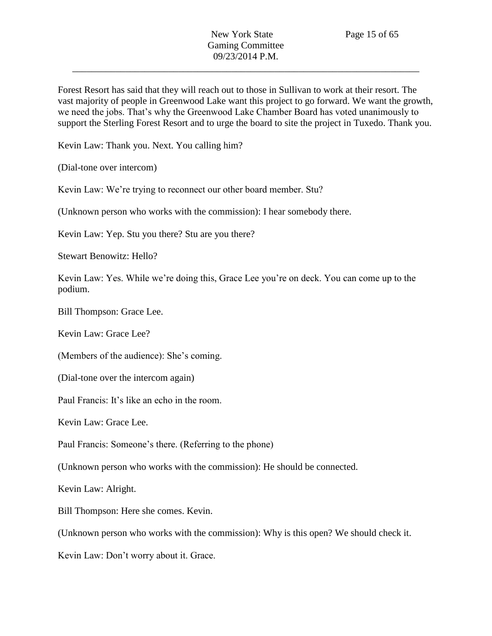Forest Resort has said that they will reach out to those in Sullivan to work at their resort. The vast majority of people in Greenwood Lake want this project to go forward. We want the growth, we need the jobs. That's why the Greenwood Lake Chamber Board has voted unanimously to support the Sterling Forest Resort and to urge the board to site the project in Tuxedo. Thank you.

Kevin Law: Thank you. Next. You calling him?

(Dial-tone over intercom)

Kevin Law: We're trying to reconnect our other board member. Stu?

(Unknown person who works with the commission): I hear somebody there.

Kevin Law: Yep. Stu you there? Stu are you there?

Stewart Benowitz: Hello?

Kevin Law: Yes. While we're doing this, Grace Lee you're on deck. You can come up to the podium.

Bill Thompson: Grace Lee.

Kevin Law: Grace Lee?

(Members of the audience): She's coming.

(Dial-tone over the intercom again)

Paul Francis: It's like an echo in the room.

Kevin Law: Grace Lee.

Paul Francis: Someone's there. (Referring to the phone)

(Unknown person who works with the commission): He should be connected.

Kevin Law: Alright.

Bill Thompson: Here she comes. Kevin.

(Unknown person who works with the commission): Why is this open? We should check it.

Kevin Law: Don't worry about it. Grace.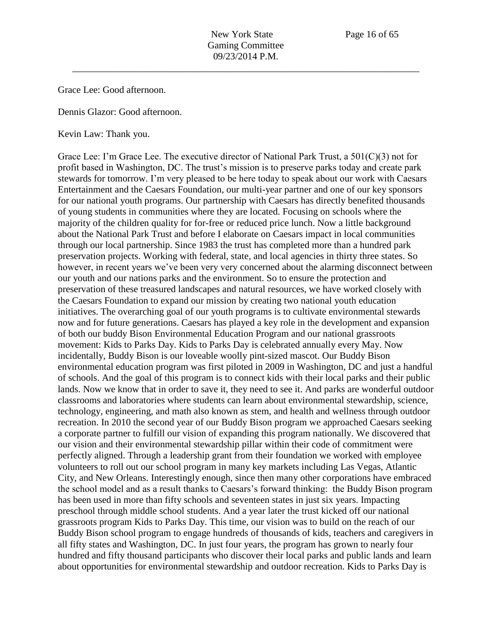Grace Lee: Good afternoon.

Dennis Glazor: Good afternoon.

Kevin Law: Thank you.

Grace Lee: I'm Grace Lee. The executive director of National Park Trust, a 501(C)(3) not for profit based in Washington, DC. The trust's mission is to preserve parks today and create park stewards for tomorrow. I'm very pleased to be here today to speak about our work with Caesars Entertainment and the Caesars Foundation, our multi-year partner and one of our key sponsors for our national youth programs. Our partnership with Caesars has directly benefited thousands of young students in communities where they are located. Focusing on schools where the majority of the children quality for for-free or reduced price lunch. Now a little background about the National Park Trust and before I elaborate on Caesars impact in local communities through our local partnership. Since 1983 the trust has completed more than a hundred park preservation projects. Working with federal, state, and local agencies in thirty three states. So however, in recent years we've been very very concerned about the alarming disconnect between our youth and our nations parks and the environment. So to ensure the protection and preservation of these treasured landscapes and natural resources, we have worked closely with the Caesars Foundation to expand our mission by creating two national youth education initiatives. The overarching goal of our youth programs is to cultivate environmental stewards now and for future generations. Caesars has played a key role in the development and expansion of both our buddy Bison Environmental Education Program and our national grassroots movement: Kids to Parks Day. Kids to Parks Day is celebrated annually every May. Now incidentally, Buddy Bison is our loveable woolly pint-sized mascot. Our Buddy Bison environmental education program was first piloted in 2009 in Washington, DC and just a handful of schools. And the goal of this program is to connect kids with their local parks and their public lands. Now we know that in order to save it, they need to see it. And parks are wonderful outdoor classrooms and laboratories where students can learn about environmental stewardship, science, technology, engineering, and math also known as stem, and health and wellness through outdoor recreation. In 2010 the second year of our Buddy Bison program we approached Caesars seeking a corporate partner to fulfill our vision of expanding this program nationally. We discovered that our vision and their environmental stewardship pillar within their code of commitment were perfectly aligned. Through a leadership grant from their foundation we worked with employee volunteers to roll out our school program in many key markets including Las Vegas, Atlantic City, and New Orleans. Interestingly enough, since then many other corporations have embraced the school model and as a result thanks to Caesars's forward thinking: the Buddy Bison program has been used in more than fifty schools and seventeen states in just six years. Impacting preschool through middle school students. And a year later the trust kicked off our national grassroots program Kids to Parks Day. This time, our vision was to build on the reach of our Buddy Bison school program to engage hundreds of thousands of kids, teachers and caregivers in all fifty states and Washington, DC. In just four years, the program has grown to nearly four hundred and fifty thousand participants who discover their local parks and public lands and learn about opportunities for environmental stewardship and outdoor recreation. Kids to Parks Day is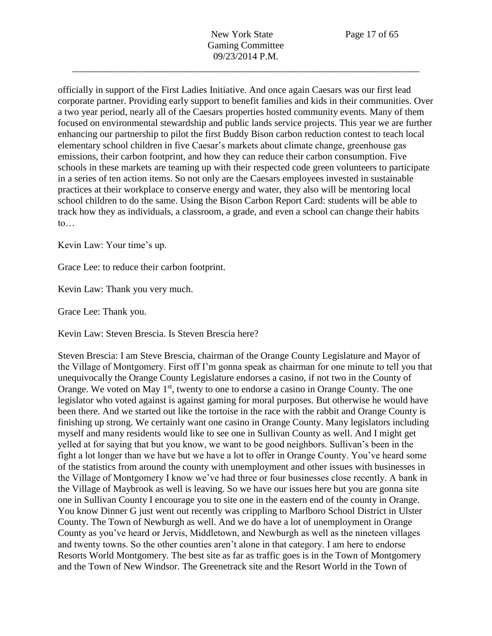officially in support of the First Ladies Initiative. And once again Caesars was our first lead corporate partner. Providing early support to benefit families and kids in their communities. Over a two year period, nearly all of the Caesars properties hosted community events. Many of them focused on environmental stewardship and public lands service projects. This year we are further enhancing our partnership to pilot the first Buddy Bison carbon reduction contest to teach local elementary school children in five Caesar's markets about climate change, greenhouse gas emissions, their carbon footprint, and how they can reduce their carbon consumption. Five schools in these markets are teaming up with their respected code green volunteers to participate in a series of ten action items. So not only are the Caesars employees invested in sustainable practices at their workplace to conserve energy and water, they also will be mentoring local school children to do the same. Using the Bison Carbon Report Card: students will be able to track how they as individuals, a classroom, a grade, and even a school can change their habits to…

Kevin Law: Your time's up.

Grace Lee: to reduce their carbon footprint.

Kevin Law: Thank you very much.

Grace Lee: Thank you.

Kevin Law: Steven Brescia. Is Steven Brescia here?

Steven Brescia: I am Steve Brescia, chairman of the Orange County Legislature and Mayor of the Village of Montgomery. First off I'm gonna speak as chairman for one minute to tell you that unequivocally the Orange County Legislature endorses a casino, if not two in the County of Orange. We voted on May  $1<sup>st</sup>$ , twenty to one to endorse a casino in Orange County. The one legislator who voted against is against gaming for moral purposes. But otherwise he would have been there. And we started out like the tortoise in the race with the rabbit and Orange County is finishing up strong. We certainly want one casino in Orange County. Many legislators including myself and many residents would like to see one in Sullivan County as well. And I might get yelled at for saying that but you know, we want to be good neighbors. Sullivan's been in the fight a lot longer than we have but we have a lot to offer in Orange County. You've heard some of the statistics from around the county with unemployment and other issues with businesses in the Village of Montgomery I know we've had three or four businesses close recently. A bank in the Village of Maybrook as well is leaving. So we have our issues here but you are gonna site one in Sullivan County I encourage you to site one in the eastern end of the county in Orange. You know Dinner G just went out recently was crippling to Marlboro School District in Ulster County. The Town of Newburgh as well. And we do have a lot of unemployment in Orange County as you've heard or Jervis, Middletown, and Newburgh as well as the nineteen villages and twenty towns. So the other counties aren't alone in that category. I am here to endorse Resorts World Montgomery. The best site as far as traffic goes is in the Town of Montgomery and the Town of New Windsor. The Greenetrack site and the Resort World in the Town of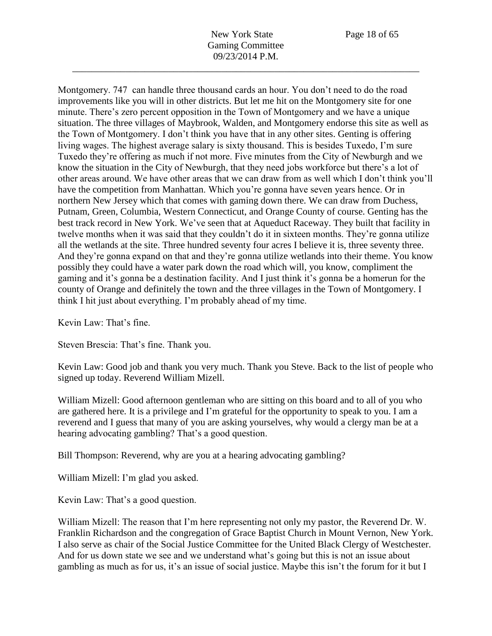Montgomery. 747 can handle three thousand cards an hour. You don't need to do the road improvements like you will in other districts. But let me hit on the Montgomery site for one minute. There's zero percent opposition in the Town of Montgomery and we have a unique situation. The three villages of Maybrook, Walden, and Montgomery endorse this site as well as the Town of Montgomery. I don't think you have that in any other sites. Genting is offering living wages. The highest average salary is sixty thousand. This is besides Tuxedo, I'm sure Tuxedo they're offering as much if not more. Five minutes from the City of Newburgh and we know the situation in the City of Newburgh, that they need jobs workforce but there's a lot of other areas around. We have other areas that we can draw from as well which I don't think you'll have the competition from Manhattan. Which you're gonna have seven years hence. Or in northern New Jersey which that comes with gaming down there. We can draw from Duchess, Putnam, Green, Columbia, Western Connecticut, and Orange County of course. Genting has the best track record in New York. We've seen that at Aqueduct Raceway. They built that facility in twelve months when it was said that they couldn't do it in sixteen months. They're gonna utilize all the wetlands at the site. Three hundred seventy four acres I believe it is, three seventy three. And they're gonna expand on that and they're gonna utilize wetlands into their theme. You know possibly they could have a water park down the road which will, you know, compliment the gaming and it's gonna be a destination facility. And I just think it's gonna be a homerun for the county of Orange and definitely the town and the three villages in the Town of Montgomery. I think I hit just about everything. I'm probably ahead of my time.

Kevin Law: That's fine.

Steven Brescia: That's fine. Thank you.

Kevin Law: Good job and thank you very much. Thank you Steve. Back to the list of people who signed up today. Reverend William Mizell.

William Mizell: Good afternoon gentleman who are sitting on this board and to all of you who are gathered here. It is a privilege and I'm grateful for the opportunity to speak to you. I am a reverend and I guess that many of you are asking yourselves, why would a clergy man be at a hearing advocating gambling? That's a good question.

Bill Thompson: Reverend, why are you at a hearing advocating gambling?

William Mizell: I'm glad you asked.

Kevin Law: That's a good question.

William Mizell: The reason that I'm here representing not only my pastor, the Reverend Dr. W. Franklin Richardson and the congregation of Grace Baptist Church in Mount Vernon, New York. I also serve as chair of the Social Justice Committee for the United Black Clergy of Westchester. And for us down state we see and we understand what's going but this is not an issue about gambling as much as for us, it's an issue of social justice. Maybe this isn't the forum for it but I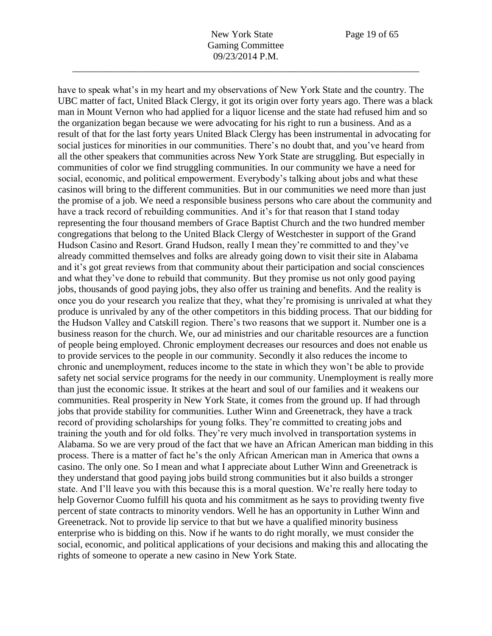have to speak what's in my heart and my observations of New York State and the country. The

UBC matter of fact, United Black Clergy, it got its origin over forty years ago. There was a black man in Mount Vernon who had applied for a liquor license and the state had refused him and so the organization began because we were advocating for his right to run a business. And as a result of that for the last forty years United Black Clergy has been instrumental in advocating for social justices for minorities in our communities. There's no doubt that, and you've heard from all the other speakers that communities across New York State are struggling. But especially in communities of color we find struggling communities. In our community we have a need for social, economic, and political empowerment. Everybody's talking about jobs and what these casinos will bring to the different communities. But in our communities we need more than just the promise of a job. We need a responsible business persons who care about the community and have a track record of rebuilding communities. And it's for that reason that I stand today representing the four thousand members of Grace Baptist Church and the two hundred member congregations that belong to the United Black Clergy of Westchester in support of the Grand Hudson Casino and Resort. Grand Hudson, really I mean they're committed to and they've already committed themselves and folks are already going down to visit their site in Alabama and it's got great reviews from that community about their participation and social consciences and what they've done to rebuild that community. But they promise us not only good paying jobs, thousands of good paying jobs, they also offer us training and benefits. And the reality is once you do your research you realize that they, what they're promising is unrivaled at what they produce is unrivaled by any of the other competitors in this bidding process. That our bidding for the Hudson Valley and Catskill region. There's two reasons that we support it. Number one is a business reason for the church. We, our ad ministries and our charitable resources are a function of people being employed. Chronic employment decreases our resources and does not enable us to provide services to the people in our community. Secondly it also reduces the income to chronic and unemployment, reduces income to the state in which they won't be able to provide safety net social service programs for the needy in our community. Unemployment is really more than just the economic issue. It strikes at the heart and soul of our families and it weakens our communities. Real prosperity in New York State, it comes from the ground up. If had through jobs that provide stability for communities. Luther Winn and Greenetrack, they have a track record of providing scholarships for young folks. They're committed to creating jobs and training the youth and for old folks. They're very much involved in transportation systems in Alabama. So we are very proud of the fact that we have an African American man bidding in this process. There is a matter of fact he's the only African American man in America that owns a casino. The only one. So I mean and what I appreciate about Luther Winn and Greenetrack is they understand that good paying jobs build strong communities but it also builds a stronger state. And I'll leave you with this because this is a moral question. We're really here today to help Governor Cuomo fulfill his quota and his commitment as he says to providing twenty five percent of state contracts to minority vendors. Well he has an opportunity in Luther Winn and Greenetrack. Not to provide lip service to that but we have a qualified minority business enterprise who is bidding on this. Now if he wants to do right morally, we must consider the social, economic, and political applications of your decisions and making this and allocating the rights of someone to operate a new casino in New York State.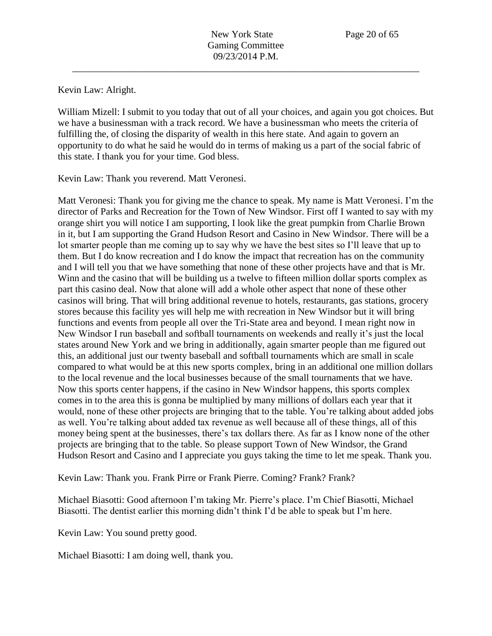Kevin Law: Alright.

William Mizell: I submit to you today that out of all your choices, and again you got choices. But we have a businessman with a track record. We have a businessman who meets the criteria of fulfilling the, of closing the disparity of wealth in this here state. And again to govern an opportunity to do what he said he would do in terms of making us a part of the social fabric of this state. I thank you for your time. God bless.

Kevin Law: Thank you reverend. Matt Veronesi.

Matt Veronesi: Thank you for giving me the chance to speak. My name is Matt Veronesi. I'm the director of Parks and Recreation for the Town of New Windsor. First off I wanted to say with my orange shirt you will notice I am supporting, I look like the great pumpkin from Charlie Brown in it, but I am supporting the Grand Hudson Resort and Casino in New Windsor. There will be a lot smarter people than me coming up to say why we have the best sites so I'll leave that up to them. But I do know recreation and I do know the impact that recreation has on the community and I will tell you that we have something that none of these other projects have and that is Mr. Winn and the casino that will be building us a twelve to fifteen million dollar sports complex as part this casino deal. Now that alone will add a whole other aspect that none of these other casinos will bring. That will bring additional revenue to hotels, restaurants, gas stations, grocery stores because this facility yes will help me with recreation in New Windsor but it will bring functions and events from people all over the Tri-State area and beyond. I mean right now in New Windsor I run baseball and softball tournaments on weekends and really it's just the local states around New York and we bring in additionally, again smarter people than me figured out this, an additional just our twenty baseball and softball tournaments which are small in scale compared to what would be at this new sports complex, bring in an additional one million dollars to the local revenue and the local businesses because of the small tournaments that we have. Now this sports center happens, if the casino in New Windsor happens, this sports complex comes in to the area this is gonna be multiplied by many millions of dollars each year that it would, none of these other projects are bringing that to the table. You're talking about added jobs as well. You're talking about added tax revenue as well because all of these things, all of this money being spent at the businesses, there's tax dollars there. As far as I know none of the other projects are bringing that to the table. So please support Town of New Windsor, the Grand Hudson Resort and Casino and I appreciate you guys taking the time to let me speak. Thank you.

Kevin Law: Thank you. Frank Pirre or Frank Pierre. Coming? Frank? Frank?

Michael Biasotti: Good afternoon I'm taking Mr. Pierre's place. I'm Chief Biasotti, Michael Biasotti. The dentist earlier this morning didn't think I'd be able to speak but I'm here.

Kevin Law: You sound pretty good.

Michael Biasotti: I am doing well, thank you.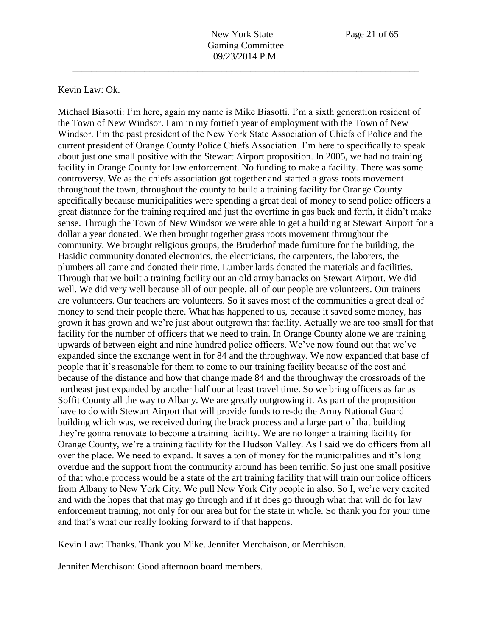## Kevin Law: Ok.

Michael Biasotti: I'm here, again my name is Mike Biasotti. I'm a sixth generation resident of the Town of New Windsor. I am in my fortieth year of employment with the Town of New Windsor. I'm the past president of the New York State Association of Chiefs of Police and the current president of Orange County Police Chiefs Association. I'm here to specifically to speak about just one small positive with the Stewart Airport proposition. In 2005, we had no training facility in Orange County for law enforcement. No funding to make a facility. There was some controversy. We as the chiefs association got together and started a grass roots movement throughout the town, throughout the county to build a training facility for Orange County specifically because municipalities were spending a great deal of money to send police officers a great distance for the training required and just the overtime in gas back and forth, it didn't make sense. Through the Town of New Windsor we were able to get a building at Stewart Airport for a dollar a year donated. We then brought together grass roots movement throughout the community. We brought religious groups, the Bruderhof made furniture for the building, the Hasidic community donated electronics, the electricians, the carpenters, the laborers, the plumbers all came and donated their time. Lumber lards donated the materials and facilities. Through that we built a training facility out an old army barracks on Stewart Airport. We did well. We did very well because all of our people, all of our people are volunteers. Our trainers are volunteers. Our teachers are volunteers. So it saves most of the communities a great deal of money to send their people there. What has happened to us, because it saved some money, has grown it has grown and we're just about outgrown that facility. Actually we are too small for that facility for the number of officers that we need to train. In Orange County alone we are training upwards of between eight and nine hundred police officers. We've now found out that we've expanded since the exchange went in for 84 and the throughway. We now expanded that base of people that it's reasonable for them to come to our training facility because of the cost and because of the distance and how that change made 84 and the throughway the crossroads of the northeast just expanded by another half our at least travel time. So we bring officers as far as Soffit County all the way to Albany. We are greatly outgrowing it. As part of the proposition have to do with Stewart Airport that will provide funds to re-do the Army National Guard building which was, we received during the brack process and a large part of that building they're gonna renovate to become a training facility. We are no longer a training facility for Orange County, we're a training facility for the Hudson Valley. As I said we do officers from all over the place. We need to expand. It saves a ton of money for the municipalities and it's long overdue and the support from the community around has been terrific. So just one small positive of that whole process would be a state of the art training facility that will train our police officers from Albany to New York City. We pull New York City people in also. So I, we're very excited and with the hopes that that may go through and if it does go through what that will do for law enforcement training, not only for our area but for the state in whole. So thank you for your time and that's what our really looking forward to if that happens.

Kevin Law: Thanks. Thank you Mike. Jennifer Merchaison, or Merchison.

Jennifer Merchison: Good afternoon board members.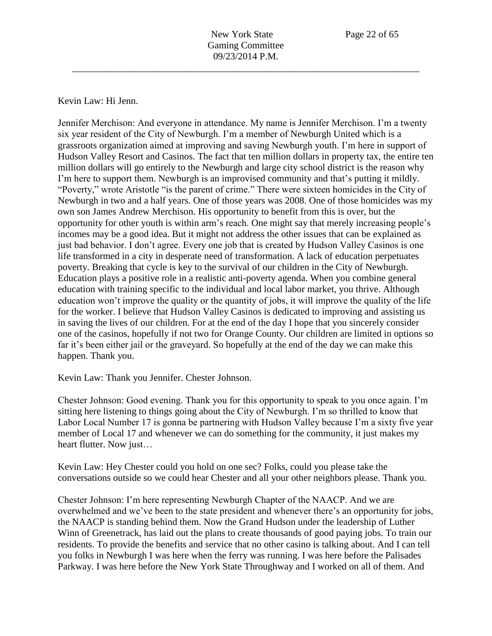Kevin Law: Hi Jenn.

Jennifer Merchison: And everyone in attendance. My name is Jennifer Merchison. I'm a twenty six year resident of the City of Newburgh. I'm a member of Newburgh United which is a grassroots organization aimed at improving and saving Newburgh youth. I'm here in support of Hudson Valley Resort and Casinos. The fact that ten million dollars in property tax, the entire ten million dollars will go entirely to the Newburgh and large city school district is the reason why I'm here to support them. Newburgh is an improvised community and that's putting it mildly. "Poverty," wrote Aristotle "is the parent of crime." There were sixteen homicides in the City of Newburgh in two and a half years. One of those years was 2008. One of those homicides was my own son James Andrew Merchison. His opportunity to benefit from this is over, but the opportunity for other youth is within arm's reach. One might say that merely increasing people's incomes may be a good idea. But it might not address the other issues that can be explained as just bad behavior. I don't agree. Every one job that is created by Hudson Valley Casinos is one life transformed in a city in desperate need of transformation. A lack of education perpetuates poverty. Breaking that cycle is key to the survival of our children in the City of Newburgh. Education plays a positive role in a realistic anti-poverty agenda. When you combine general education with training specific to the individual and local labor market, you thrive. Although education won't improve the quality or the quantity of jobs, it will improve the quality of the life for the worker. I believe that Hudson Valley Casinos is dedicated to improving and assisting us in saving the lives of our children. For at the end of the day I hope that you sincerely consider one of the casinos, hopefully if not two for Orange County. Our children are limited in options so far it's been either jail or the graveyard. So hopefully at the end of the day we can make this happen. Thank you.

Kevin Law: Thank you Jennifer. Chester Johnson.

Chester Johnson: Good evening. Thank you for this opportunity to speak to you once again. I'm sitting here listening to things going about the City of Newburgh. I'm so thrilled to know that Labor Local Number 17 is gonna be partnering with Hudson Valley because I'm a sixty five year member of Local 17 and whenever we can do something for the community, it just makes my heart flutter. Now just…

Kevin Law: Hey Chester could you hold on one sec? Folks, could you please take the conversations outside so we could hear Chester and all your other neighbors please. Thank you.

Chester Johnson: I'm here representing Newburgh Chapter of the NAACP. And we are overwhelmed and we've been to the state president and whenever there's an opportunity for jobs, the NAACP is standing behind them. Now the Grand Hudson under the leadership of Luther Winn of Greenetrack, has laid out the plans to create thousands of good paying jobs. To train our residents. To provide the benefits and service that no other casino is talking about. And I can tell you folks in Newburgh I was here when the ferry was running. I was here before the Palisades Parkway. I was here before the New York State Throughway and I worked on all of them. And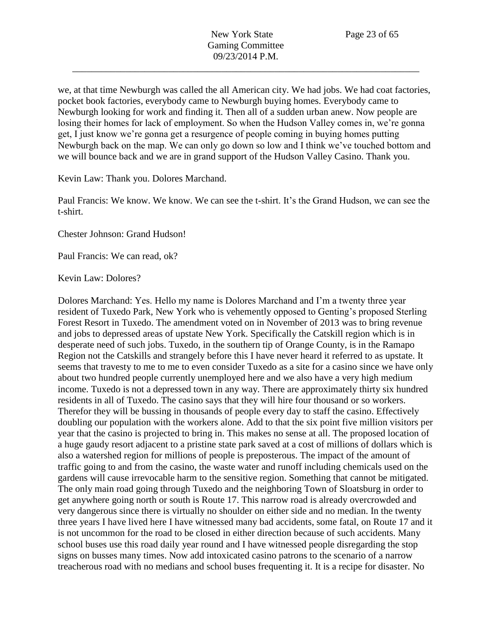we, at that time Newburgh was called the all American city. We had jobs. We had coat factories, pocket book factories, everybody came to Newburgh buying homes. Everybody came to Newburgh looking for work and finding it. Then all of a sudden urban anew. Now people are losing their homes for lack of employment. So when the Hudson Valley comes in, we're gonna get, I just know we're gonna get a resurgence of people coming in buying homes putting Newburgh back on the map. We can only go down so low and I think we've touched bottom and we will bounce back and we are in grand support of the Hudson Valley Casino. Thank you.

Kevin Law: Thank you. Dolores Marchand.

Paul Francis: We know. We know. We can see the t-shirt. It's the Grand Hudson, we can see the t-shirt.

Chester Johnson: Grand Hudson!

Paul Francis: We can read, ok?

Kevin Law: Dolores?

Dolores Marchand: Yes. Hello my name is Dolores Marchand and I'm a twenty three year resident of Tuxedo Park, New York who is vehemently opposed to Genting's proposed Sterling Forest Resort in Tuxedo. The amendment voted on in November of 2013 was to bring revenue and jobs to depressed areas of upstate New York. Specifically the Catskill region which is in desperate need of such jobs. Tuxedo, in the southern tip of Orange County, is in the Ramapo Region not the Catskills and strangely before this I have never heard it referred to as upstate. It seems that travesty to me to me to even consider Tuxedo as a site for a casino since we have only about two hundred people currently unemployed here and we also have a very high medium income. Tuxedo is not a depressed town in any way. There are approximately thirty six hundred residents in all of Tuxedo. The casino says that they will hire four thousand or so workers. Therefor they will be bussing in thousands of people every day to staff the casino. Effectively doubling our population with the workers alone. Add to that the six point five million visitors per year that the casino is projected to bring in. This makes no sense at all. The proposed location of a huge gaudy resort adjacent to a pristine state park saved at a cost of millions of dollars which is also a watershed region for millions of people is preposterous. The impact of the amount of traffic going to and from the casino, the waste water and runoff including chemicals used on the gardens will cause irrevocable harm to the sensitive region. Something that cannot be mitigated. The only main road going through Tuxedo and the neighboring Town of Sloatsburg in order to get anywhere going north or south is Route 17. This narrow road is already overcrowded and very dangerous since there is virtually no shoulder on either side and no median. In the twenty three years I have lived here I have witnessed many bad accidents, some fatal, on Route 17 and it is not uncommon for the road to be closed in either direction because of such accidents. Many school buses use this road daily year round and I have witnessed people disregarding the stop signs on busses many times. Now add intoxicated casino patrons to the scenario of a narrow treacherous road with no medians and school buses frequenting it. It is a recipe for disaster. No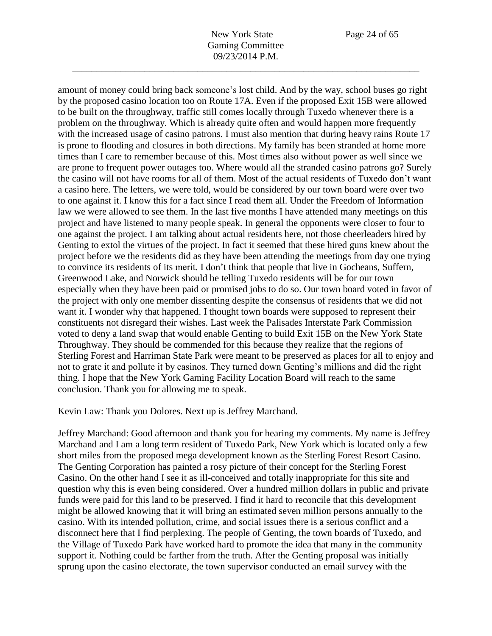amount of money could bring back someone's lost child. And by the way, school buses go right by the proposed casino location too on Route 17A. Even if the proposed Exit 15B were allowed to be built on the throughway, traffic still comes locally through Tuxedo whenever there is a problem on the throughway. Which is already quite often and would happen more frequently with the increased usage of casino patrons. I must also mention that during heavy rains Route 17 is prone to flooding and closures in both directions. My family has been stranded at home more times than I care to remember because of this. Most times also without power as well since we are prone to frequent power outages too. Where would all the stranded casino patrons go? Surely the casino will not have rooms for all of them. Most of the actual residents of Tuxedo don't want a casino here. The letters, we were told, would be considered by our town board were over two to one against it. I know this for a fact since I read them all. Under the Freedom of Information law we were allowed to see them. In the last five months I have attended many meetings on this project and have listened to many people speak. In general the opponents were closer to four to one against the project. I am talking about actual residents here, not those cheerleaders hired by Genting to extol the virtues of the project. In fact it seemed that these hired guns knew about the project before we the residents did as they have been attending the meetings from day one trying to convince its residents of its merit. I don't think that people that live in Gocheans, Suffern, Greenwood Lake, and Norwick should be telling Tuxedo residents will be for our town especially when they have been paid or promised jobs to do so. Our town board voted in favor of the project with only one member dissenting despite the consensus of residents that we did not want it. I wonder why that happened. I thought town boards were supposed to represent their constituents not disregard their wishes. Last week the Palisades Interstate Park Commission voted to deny a land swap that would enable Genting to build Exit 15B on the New York State Throughway. They should be commended for this because they realize that the regions of Sterling Forest and Harriman State Park were meant to be preserved as places for all to enjoy and not to grate it and pollute it by casinos. They turned down Genting's millions and did the right thing. I hope that the New York Gaming Facility Location Board will reach to the same conclusion. Thank you for allowing me to speak.

Kevin Law: Thank you Dolores. Next up is Jeffrey Marchand.

Jeffrey Marchand: Good afternoon and thank you for hearing my comments. My name is Jeffrey Marchand and I am a long term resident of Tuxedo Park, New York which is located only a few short miles from the proposed mega development known as the Sterling Forest Resort Casino. The Genting Corporation has painted a rosy picture of their concept for the Sterling Forest Casino. On the other hand I see it as ill-conceived and totally inappropriate for this site and question why this is even being considered. Over a hundred million dollars in public and private funds were paid for this land to be preserved. I find it hard to reconcile that this development might be allowed knowing that it will bring an estimated seven million persons annually to the casino. With its intended pollution, crime, and social issues there is a serious conflict and a disconnect here that I find perplexing. The people of Genting, the town boards of Tuxedo, and the Village of Tuxedo Park have worked hard to promote the idea that many in the community support it. Nothing could be farther from the truth. After the Genting proposal was initially sprung upon the casino electorate, the town supervisor conducted an email survey with the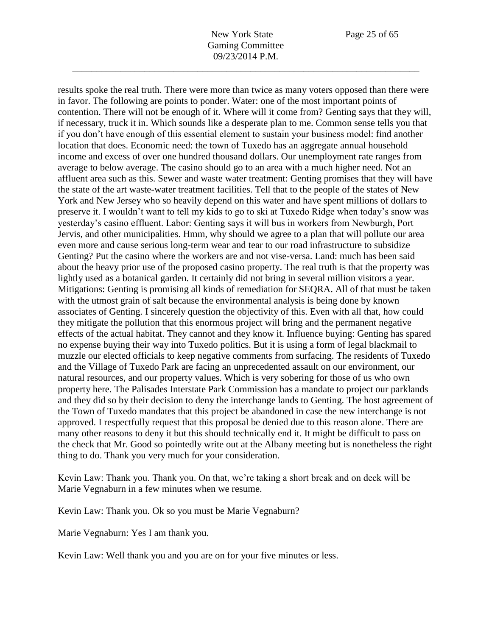results spoke the real truth. There were more than twice as many voters opposed than there were

in favor. The following are points to ponder. Water: one of the most important points of contention. There will not be enough of it. Where will it come from? Genting says that they will, if necessary, truck it in. Which sounds like a desperate plan to me. Common sense tells you that if you don't have enough of this essential element to sustain your business model: find another location that does. Economic need: the town of Tuxedo has an aggregate annual household income and excess of over one hundred thousand dollars. Our unemployment rate ranges from average to below average. The casino should go to an area with a much higher need. Not an affluent area such as this. Sewer and waste water treatment: Genting promises that they will have the state of the art waste-water treatment facilities. Tell that to the people of the states of New York and New Jersey who so heavily depend on this water and have spent millions of dollars to preserve it. I wouldn't want to tell my kids to go to ski at Tuxedo Ridge when today's snow was yesterday's casino effluent. Labor: Genting says it will bus in workers from Newburgh, Port Jervis, and other municipalities. Hmm, why should we agree to a plan that will pollute our area even more and cause serious long-term wear and tear to our road infrastructure to subsidize Genting? Put the casino where the workers are and not vise-versa. Land: much has been said about the heavy prior use of the proposed casino property. The real truth is that the property was lightly used as a botanical garden. It certainly did not bring in several million visitors a year. Mitigations: Genting is promising all kinds of remediation for SEQRA. All of that must be taken with the utmost grain of salt because the environmental analysis is being done by known associates of Genting. I sincerely question the objectivity of this. Even with all that, how could they mitigate the pollution that this enormous project will bring and the permanent negative effects of the actual habitat. They cannot and they know it. Influence buying: Genting has spared no expense buying their way into Tuxedo politics. But it is using a form of legal blackmail to muzzle our elected officials to keep negative comments from surfacing. The residents of Tuxedo and the Village of Tuxedo Park are facing an unprecedented assault on our environment, our natural resources, and our property values. Which is very sobering for those of us who own property here. The Palisades Interstate Park Commission has a mandate to project our parklands and they did so by their decision to deny the interchange lands to Genting. The host agreement of the Town of Tuxedo mandates that this project be abandoned in case the new interchange is not approved. I respectfully request that this proposal be denied due to this reason alone. There are many other reasons to deny it but this should technically end it. It might be difficult to pass on the check that Mr. Good so pointedly write out at the Albany meeting but is nonetheless the right thing to do. Thank you very much for your consideration.

Kevin Law: Thank you. Thank you. On that, we're taking a short break and on deck will be Marie Vegnaburn in a few minutes when we resume.

Kevin Law: Thank you. Ok so you must be Marie Vegnaburn?

Marie Vegnaburn: Yes I am thank you.

Kevin Law: Well thank you and you are on for your five minutes or less.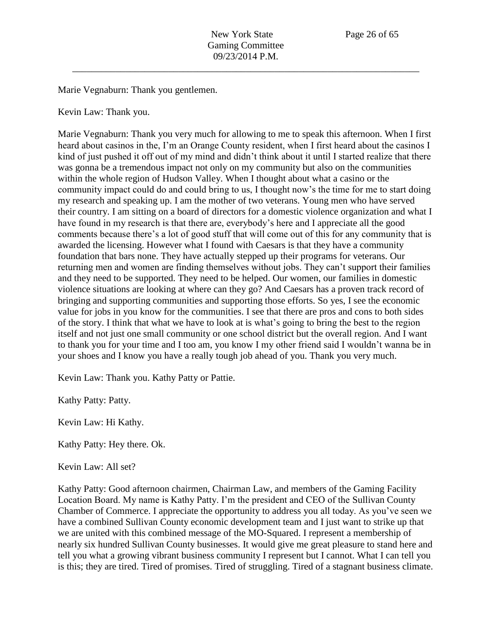Marie Vegnaburn: Thank you gentlemen.

Kevin Law: Thank you.

Marie Vegnaburn: Thank you very much for allowing to me to speak this afternoon. When I first heard about casinos in the, I'm an Orange County resident, when I first heard about the casinos I kind of just pushed it off out of my mind and didn't think about it until I started realize that there was gonna be a tremendous impact not only on my community but also on the communities within the whole region of Hudson Valley. When I thought about what a casino or the community impact could do and could bring to us, I thought now's the time for me to start doing my research and speaking up. I am the mother of two veterans. Young men who have served their country. I am sitting on a board of directors for a domestic violence organization and what I have found in my research is that there are, everybody's here and I appreciate all the good comments because there's a lot of good stuff that will come out of this for any community that is awarded the licensing. However what I found with Caesars is that they have a community foundation that bars none. They have actually stepped up their programs for veterans. Our returning men and women are finding themselves without jobs. They can't support their families and they need to be supported. They need to be helped. Our women, our families in domestic violence situations are looking at where can they go? And Caesars has a proven track record of bringing and supporting communities and supporting those efforts. So yes, I see the economic value for jobs in you know for the communities. I see that there are pros and cons to both sides of the story. I think that what we have to look at is what's going to bring the best to the region itself and not just one small community or one school district but the overall region. And I want to thank you for your time and I too am, you know I my other friend said I wouldn't wanna be in your shoes and I know you have a really tough job ahead of you. Thank you very much.

Kevin Law: Thank you. Kathy Patty or Pattie.

Kathy Patty: Patty.

Kevin Law: Hi Kathy.

Kathy Patty: Hey there. Ok.

Kevin Law: All set?

Kathy Patty: Good afternoon chairmen, Chairman Law, and members of the Gaming Facility Location Board. My name is Kathy Patty. I'm the president and CEO of the Sullivan County Chamber of Commerce. I appreciate the opportunity to address you all today. As you've seen we have a combined Sullivan County economic development team and I just want to strike up that we are united with this combined message of the MO-Squared. I represent a membership of nearly six hundred Sullivan County businesses. It would give me great pleasure to stand here and tell you what a growing vibrant business community I represent but I cannot. What I can tell you is this; they are tired. Tired of promises. Tired of struggling. Tired of a stagnant business climate.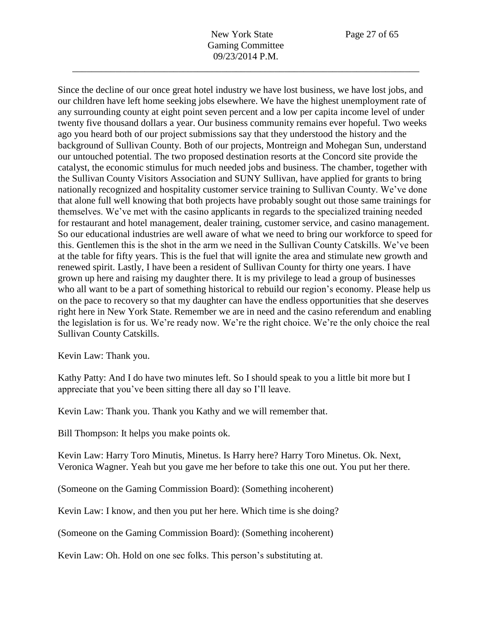New York State Page 27 of 65 Gaming Committee 09/23/2014 P.M.

\_\_\_\_\_\_\_\_\_\_\_\_\_\_\_\_\_\_\_\_\_\_\_\_\_\_\_\_\_\_\_\_\_\_\_\_\_\_\_\_\_\_\_\_\_\_\_\_\_\_\_\_\_\_\_\_\_\_\_\_\_\_\_\_\_\_\_\_\_\_\_\_

Since the decline of our once great hotel industry we have lost business, we have lost jobs, and our children have left home seeking jobs elsewhere. We have the highest unemployment rate of any surrounding county at eight point seven percent and a low per capita income level of under twenty five thousand dollars a year. Our business community remains ever hopeful. Two weeks ago you heard both of our project submissions say that they understood the history and the background of Sullivan County. Both of our projects, Montreign and Mohegan Sun, understand our untouched potential. The two proposed destination resorts at the Concord site provide the catalyst, the economic stimulus for much needed jobs and business. The chamber, together with the Sullivan County Visitors Association and SUNY Sullivan, have applied for grants to bring nationally recognized and hospitality customer service training to Sullivan County. We've done that alone full well knowing that both projects have probably sought out those same trainings for themselves. We've met with the casino applicants in regards to the specialized training needed for restaurant and hotel management, dealer training, customer service, and casino management. So our educational industries are well aware of what we need to bring our workforce to speed for this. Gentlemen this is the shot in the arm we need in the Sullivan County Catskills. We've been at the table for fifty years. This is the fuel that will ignite the area and stimulate new growth and renewed spirit. Lastly, I have been a resident of Sullivan County for thirty one years. I have grown up here and raising my daughter there. It is my privilege to lead a group of businesses who all want to be a part of something historical to rebuild our region's economy. Please help us on the pace to recovery so that my daughter can have the endless opportunities that she deserves right here in New York State. Remember we are in need and the casino referendum and enabling the legislation is for us. We're ready now. We're the right choice. We're the only choice the real Sullivan County Catskills.

Kevin Law: Thank you.

Kathy Patty: And I do have two minutes left. So I should speak to you a little bit more but I appreciate that you've been sitting there all day so I'll leave.

Kevin Law: Thank you. Thank you Kathy and we will remember that.

Bill Thompson: It helps you make points ok.

Kevin Law: Harry Toro Minutis, Minetus. Is Harry here? Harry Toro Minetus. Ok. Next, Veronica Wagner. Yeah but you gave me her before to take this one out. You put her there.

(Someone on the Gaming Commission Board): (Something incoherent)

Kevin Law: I know, and then you put her here. Which time is she doing?

(Someone on the Gaming Commission Board): (Something incoherent)

Kevin Law: Oh. Hold on one sec folks. This person's substituting at.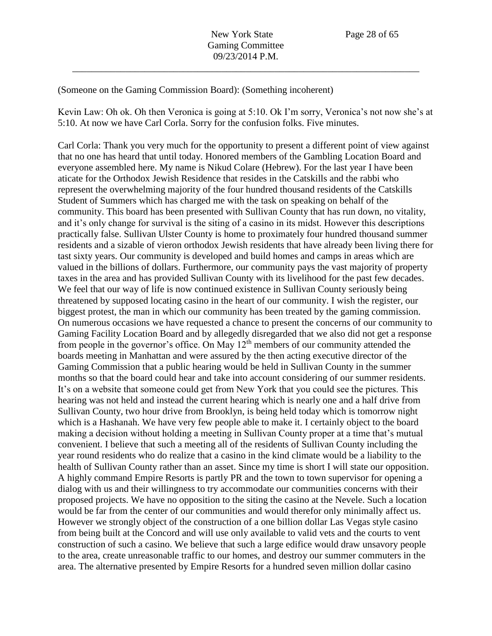(Someone on the Gaming Commission Board): (Something incoherent)

Kevin Law: Oh ok. Oh then Veronica is going at 5:10. Ok I'm sorry, Veronica's not now she's at 5:10. At now we have Carl Corla. Sorry for the confusion folks. Five minutes.

Carl Corla: Thank you very much for the opportunity to present a different point of view against that no one has heard that until today. Honored members of the Gambling Location Board and everyone assembled here. My name is Nikud Colare (Hebrew). For the last year I have been aticate for the Orthodox Jewish Residence that resides in the Catskills and the rabbi who represent the overwhelming majority of the four hundred thousand residents of the Catskills Student of Summers which has charged me with the task on speaking on behalf of the community. This board has been presented with Sullivan County that has run down, no vitality, and it's only change for survival is the siting of a casino in its midst. However this descriptions practically false. Sullivan Ulster County is home to proximately four hundred thousand summer residents and a sizable of vieron orthodox Jewish residents that have already been living there for tast sixty years. Our community is developed and build homes and camps in areas which are valued in the billions of dollars. Furthermore, our community pays the vast majority of property taxes in the area and has provided Sullivan County with its livelihood for the past few decades. We feel that our way of life is now continued existence in Sullivan County seriously being threatened by supposed locating casino in the heart of our community. I wish the register, our biggest protest, the man in which our community has been treated by the gaming commission. On numerous occasions we have requested a chance to present the concerns of our community to Gaming Facility Location Board and by allegedly disregarded that we also did not get a response from people in the governor's office. On May  $12<sup>th</sup>$  members of our community attended the boards meeting in Manhattan and were assured by the then acting executive director of the Gaming Commission that a public hearing would be held in Sullivan County in the summer months so that the board could hear and take into account considering of our summer residents. It's on a website that someone could get from New York that you could see the pictures. This hearing was not held and instead the current hearing which is nearly one and a half drive from Sullivan County, two hour drive from Brooklyn, is being held today which is tomorrow night which is a Hashanah. We have very few people able to make it. I certainly object to the board making a decision without holding a meeting in Sullivan County proper at a time that's mutual convenient. I believe that such a meeting all of the residents of Sullivan County including the year round residents who do realize that a casino in the kind climate would be a liability to the health of Sullivan County rather than an asset. Since my time is short I will state our opposition. A highly command Empire Resorts is partly PR and the town to town supervisor for opening a dialog with us and their willingness to try accommodate our communities concerns with their proposed projects. We have no opposition to the siting the casino at the Nevele. Such a location would be far from the center of our communities and would therefor only minimally affect us. However we strongly object of the construction of a one billion dollar Las Vegas style casino from being built at the Concord and will use only available to valid vets and the courts to vent construction of such a casino. We believe that such a large edifice would draw unsavory people to the area, create unreasonable traffic to our homes, and destroy our summer commuters in the area. The alternative presented by Empire Resorts for a hundred seven million dollar casino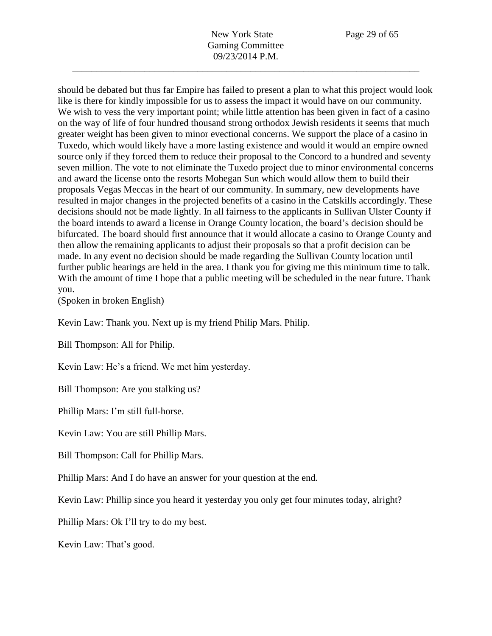should be debated but thus far Empire has failed to present a plan to what this project would look like is there for kindly impossible for us to assess the impact it would have on our community. We wish to vess the very important point; while little attention has been given in fact of a casino on the way of life of four hundred thousand strong orthodox Jewish residents it seems that much greater weight has been given to minor evectional concerns. We support the place of a casino in Tuxedo, which would likely have a more lasting existence and would it would an empire owned source only if they forced them to reduce their proposal to the Concord to a hundred and seventy seven million. The vote to not eliminate the Tuxedo project due to minor environmental concerns and award the license onto the resorts Mohegan Sun which would allow them to build their proposals Vegas Meccas in the heart of our community. In summary, new developments have resulted in major changes in the projected benefits of a casino in the Catskills accordingly. These decisions should not be made lightly. In all fairness to the applicants in Sullivan Ulster County if the board intends to award a license in Orange County location, the board's decision should be bifurcated. The board should first announce that it would allocate a casino to Orange County and then allow the remaining applicants to adjust their proposals so that a profit decision can be made. In any event no decision should be made regarding the Sullivan County location until further public hearings are held in the area. I thank you for giving me this minimum time to talk. With the amount of time I hope that a public meeting will be scheduled in the near future. Thank you.

(Spoken in broken English)

Kevin Law: Thank you. Next up is my friend Philip Mars. Philip.

Bill Thompson: All for Philip.

Kevin Law: He's a friend. We met him yesterday.

Bill Thompson: Are you stalking us?

Phillip Mars: I'm still full-horse.

Kevin Law: You are still Phillip Mars.

Bill Thompson: Call for Phillip Mars.

Phillip Mars: And I do have an answer for your question at the end.

Kevin Law: Phillip since you heard it yesterday you only get four minutes today, alright?

Phillip Mars: Ok I'll try to do my best.

Kevin Law: That's good.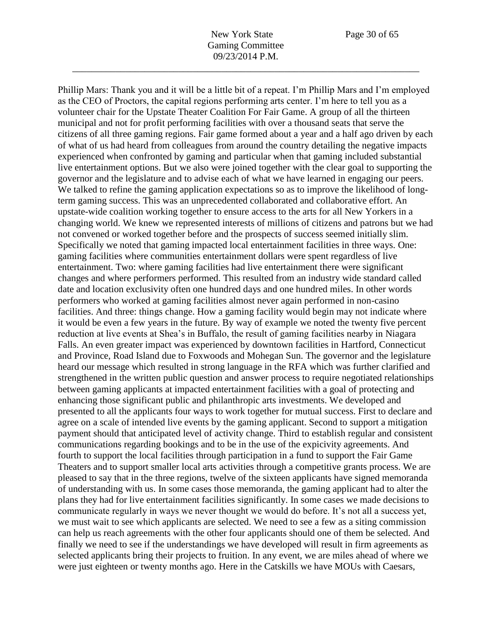Phillip Mars: Thank you and it will be a little bit of a repeat. I'm Phillip Mars and I'm employed

as the CEO of Proctors, the capital regions performing arts center. I'm here to tell you as a volunteer chair for the Upstate Theater Coalition For Fair Game. A group of all the thirteen municipal and not for profit performing facilities with over a thousand seats that serve the citizens of all three gaming regions. Fair game formed about a year and a half ago driven by each of what of us had heard from colleagues from around the country detailing the negative impacts experienced when confronted by gaming and particular when that gaming included substantial live entertainment options. But we also were joined together with the clear goal to supporting the governor and the legislature and to advise each of what we have learned in engaging our peers. We talked to refine the gaming application expectations so as to improve the likelihood of longterm gaming success. This was an unprecedented collaborated and collaborative effort. An upstate-wide coalition working together to ensure access to the arts for all New Yorkers in a changing world. We knew we represented interests of millions of citizens and patrons but we had not convened or worked together before and the prospects of success seemed initially slim. Specifically we noted that gaming impacted local entertainment facilities in three ways. One: gaming facilities where communities entertainment dollars were spent regardless of live entertainment. Two: where gaming facilities had live entertainment there were significant changes and where performers performed. This resulted from an industry wide standard called date and location exclusivity often one hundred days and one hundred miles. In other words performers who worked at gaming facilities almost never again performed in non-casino facilities. And three: things change. How a gaming facility would begin may not indicate where it would be even a few years in the future. By way of example we noted the twenty five percent reduction at live events at Shea's in Buffalo, the result of gaming facilities nearby in Niagara Falls. An even greater impact was experienced by downtown facilities in Hartford, Connecticut and Province, Road Island due to Foxwoods and Mohegan Sun. The governor and the legislature heard our message which resulted in strong language in the RFA which was further clarified and strengthened in the written public question and answer process to require negotiated relationships between gaming applicants at impacted entertainment facilities with a goal of protecting and enhancing those significant public and philanthropic arts investments. We developed and presented to all the applicants four ways to work together for mutual success. First to declare and agree on a scale of intended live events by the gaming applicant. Second to support a mitigation payment should that anticipated level of activity change. Third to establish regular and consistent communications regarding bookings and to be in the use of the expicivity agreements. And fourth to support the local facilities through participation in a fund to support the Fair Game Theaters and to support smaller local arts activities through a competitive grants process. We are pleased to say that in the three regions, twelve of the sixteen applicants have signed memoranda of understanding with us. In some cases those memoranda, the gaming applicant had to alter the plans they had for live entertainment facilities significantly. In some cases we made decisions to communicate regularly in ways we never thought we would do before. It's not all a success yet, we must wait to see which applicants are selected. We need to see a few as a siting commission can help us reach agreements with the other four applicants should one of them be selected. And finally we need to see if the understandings we have developed will result in firm agreements as selected applicants bring their projects to fruition. In any event, we are miles ahead of where we were just eighteen or twenty months ago. Here in the Catskills we have MOUs with Caesars,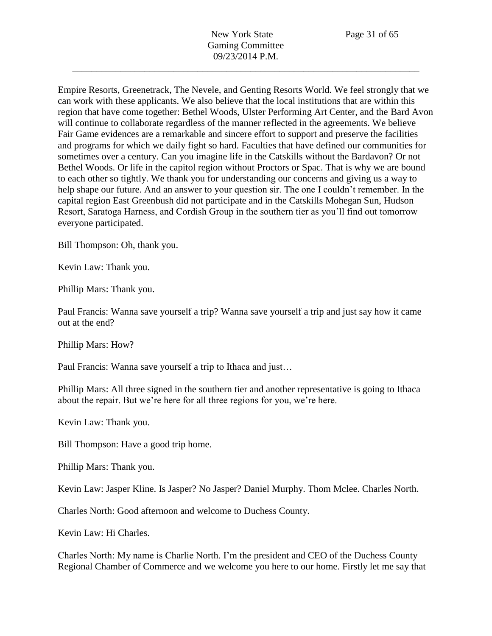Empire Resorts, Greenetrack, The Nevele, and Genting Resorts World. We feel strongly that we can work with these applicants. We also believe that the local institutions that are within this region that have come together: Bethel Woods, Ulster Performing Art Center, and the Bard Avon will continue to collaborate regardless of the manner reflected in the agreements. We believe Fair Game evidences are a remarkable and sincere effort to support and preserve the facilities and programs for which we daily fight so hard. Faculties that have defined our communities for sometimes over a century. Can you imagine life in the Catskills without the Bardavon? Or not Bethel Woods. Or life in the capitol region without Proctors or Spac. That is why we are bound to each other so tightly. We thank you for understanding our concerns and giving us a way to help shape our future. And an answer to your question sir. The one I couldn't remember. In the capital region East Greenbush did not participate and in the Catskills Mohegan Sun, Hudson Resort, Saratoga Harness, and Cordish Group in the southern tier as you'll find out tomorrow everyone participated.

Bill Thompson: Oh, thank you.

Kevin Law: Thank you.

Phillip Mars: Thank you.

Paul Francis: Wanna save yourself a trip? Wanna save yourself a trip and just say how it came out at the end?

Phillip Mars: How?

Paul Francis: Wanna save yourself a trip to Ithaca and just…

Phillip Mars: All three signed in the southern tier and another representative is going to Ithaca about the repair. But we're here for all three regions for you, we're here.

Kevin Law: Thank you.

Bill Thompson: Have a good trip home.

Phillip Mars: Thank you.

Kevin Law: Jasper Kline. Is Jasper? No Jasper? Daniel Murphy. Thom Mclee. Charles North.

Charles North: Good afternoon and welcome to Duchess County.

Kevin Law: Hi Charles.

Charles North: My name is Charlie North. I'm the president and CEO of the Duchess County Regional Chamber of Commerce and we welcome you here to our home. Firstly let me say that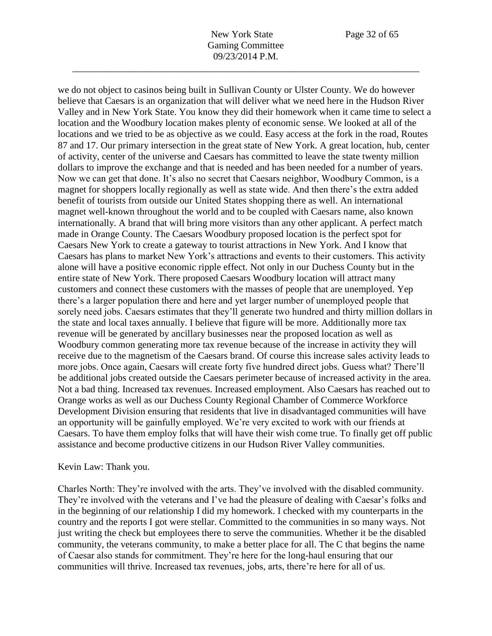we do not object to casinos being built in Sullivan County or Ulster County. We do however believe that Caesars is an organization that will deliver what we need here in the Hudson River Valley and in New York State. You know they did their homework when it came time to select a location and the Woodbury location makes plenty of economic sense. We looked at all of the locations and we tried to be as objective as we could. Easy access at the fork in the road, Routes 87 and 17. Our primary intersection in the great state of New York. A great location, hub, center of activity, center of the universe and Caesars has committed to leave the state twenty million dollars to improve the exchange and that is needed and has been needed for a number of years. Now we can get that done. It's also no secret that Caesars neighbor, Woodbury Common, is a magnet for shoppers locally regionally as well as state wide. And then there's the extra added benefit of tourists from outside our United States shopping there as well. An international magnet well-known throughout the world and to be coupled with Caesars name, also known internationally. A brand that will bring more visitors than any other applicant. A perfect match made in Orange County. The Caesars Woodbury proposed location is the perfect spot for Caesars New York to create a gateway to tourist attractions in New York. And I know that Caesars has plans to market New York's attractions and events to their customers. This activity alone will have a positive economic ripple effect. Not only in our Duchess County but in the entire state of New York. There proposed Caesars Woodbury location will attract many customers and connect these customers with the masses of people that are unemployed. Yep there's a larger population there and here and yet larger number of unemployed people that sorely need jobs. Caesars estimates that they'll generate two hundred and thirty million dollars in the state and local taxes annually. I believe that figure will be more. Additionally more tax revenue will be generated by ancillary businesses near the proposed location as well as Woodbury common generating more tax revenue because of the increase in activity they will receive due to the magnetism of the Caesars brand. Of course this increase sales activity leads to more jobs. Once again, Caesars will create forty five hundred direct jobs. Guess what? There'll be additional jobs created outside the Caesars perimeter because of increased activity in the area. Not a bad thing. Increased tax revenues. Increased employment. Also Caesars has reached out to Orange works as well as our Duchess County Regional Chamber of Commerce Workforce Development Division ensuring that residents that live in disadvantaged communities will have an opportunity will be gainfully employed. We're very excited to work with our friends at Caesars. To have them employ folks that will have their wish come true. To finally get off public assistance and become productive citizens in our Hudson River Valley communities.

## Kevin Law: Thank you.

Charles North: They're involved with the arts. They've involved with the disabled community. They're involved with the veterans and I've had the pleasure of dealing with Caesar's folks and in the beginning of our relationship I did my homework. I checked with my counterparts in the country and the reports I got were stellar. Committed to the communities in so many ways. Not just writing the check but employees there to serve the communities. Whether it be the disabled community, the veterans community, to make a better place for all. The C that begins the name of Caesar also stands for commitment. They're here for the long-haul ensuring that our communities will thrive. Increased tax revenues, jobs, arts, there're here for all of us.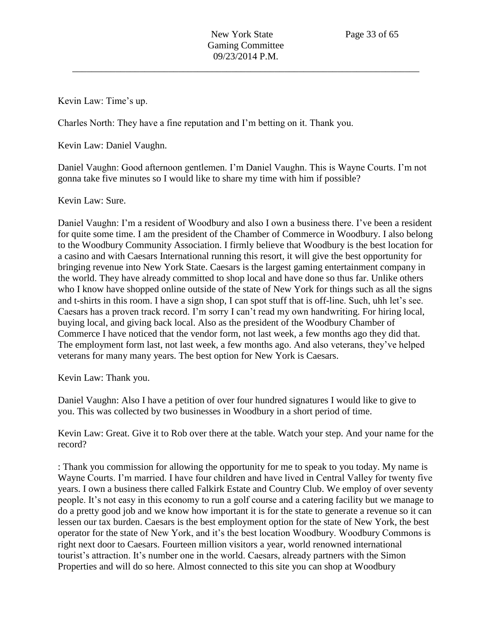Kevin Law: Time's up.

Charles North: They have a fine reputation and I'm betting on it. Thank you.

Kevin Law: Daniel Vaughn.

Daniel Vaughn: Good afternoon gentlemen. I'm Daniel Vaughn. This is Wayne Courts. I'm not gonna take five minutes so I would like to share my time with him if possible?

## Kevin Law: Sure.

Daniel Vaughn: I'm a resident of Woodbury and also I own a business there. I've been a resident for quite some time. I am the president of the Chamber of Commerce in Woodbury. I also belong to the Woodbury Community Association. I firmly believe that Woodbury is the best location for a casino and with Caesars International running this resort, it will give the best opportunity for bringing revenue into New York State. Caesars is the largest gaming entertainment company in the world. They have already committed to shop local and have done so thus far. Unlike others who I know have shopped online outside of the state of New York for things such as all the signs and t-shirts in this room. I have a sign shop, I can spot stuff that is off-line. Such, uhh let's see. Caesars has a proven track record. I'm sorry I can't read my own handwriting. For hiring local, buying local, and giving back local. Also as the president of the Woodbury Chamber of Commerce I have noticed that the vendor form, not last week, a few months ago they did that. The employment form last, not last week, a few months ago. And also veterans, they've helped veterans for many many years. The best option for New York is Caesars.

Kevin Law: Thank you.

Daniel Vaughn: Also I have a petition of over four hundred signatures I would like to give to you. This was collected by two businesses in Woodbury in a short period of time.

Kevin Law: Great. Give it to Rob over there at the table. Watch your step. And your name for the record?

: Thank you commission for allowing the opportunity for me to speak to you today. My name is Wayne Courts. I'm married. I have four children and have lived in Central Valley for twenty five years. I own a business there called Falkirk Estate and Country Club. We employ of over seventy people. It's not easy in this economy to run a golf course and a catering facility but we manage to do a pretty good job and we know how important it is for the state to generate a revenue so it can lessen our tax burden. Caesars is the best employment option for the state of New York, the best operator for the state of New York, and it's the best location Woodbury. Woodbury Commons is right next door to Caesars. Fourteen million visitors a year, world renowned international tourist's attraction. It's number one in the world. Caesars, already partners with the Simon Properties and will do so here. Almost connected to this site you can shop at Woodbury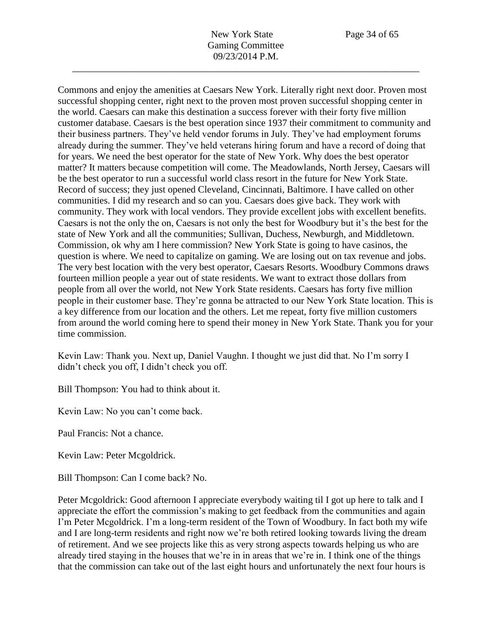Commons and enjoy the amenities at Caesars New York. Literally right next door. Proven most successful shopping center, right next to the proven most proven successful shopping center in the world. Caesars can make this destination a success forever with their forty five million customer database. Caesars is the best operation since 1937 their commitment to community and their business partners. They've held vendor forums in July. They've had employment forums already during the summer. They've held veterans hiring forum and have a record of doing that for years. We need the best operator for the state of New York. Why does the best operator matter? It matters because competition will come. The Meadowlands, North Jersey, Caesars will be the best operator to run a successful world class resort in the future for New York State. Record of success; they just opened Cleveland, Cincinnati, Baltimore. I have called on other communities. I did my research and so can you. Caesars does give back. They work with community. They work with local vendors. They provide excellent jobs with excellent benefits. Caesars is not the only the on, Caesars is not only the best for Woodbury but it's the best for the state of New York and all the communities; Sullivan, Duchess, Newburgh, and Middletown. Commission, ok why am I here commission? New York State is going to have casinos, the question is where. We need to capitalize on gaming. We are losing out on tax revenue and jobs. The very best location with the very best operator, Caesars Resorts. Woodbury Commons draws fourteen million people a year out of state residents. We want to extract those dollars from people from all over the world, not New York State residents. Caesars has forty five million people in their customer base. They're gonna be attracted to our New York State location. This is a key difference from our location and the others. Let me repeat, forty five million customers from around the world coming here to spend their money in New York State. Thank you for your time commission.

Kevin Law: Thank you. Next up, Daniel Vaughn. I thought we just did that. No I'm sorry I didn't check you off, I didn't check you off.

Bill Thompson: You had to think about it.

Kevin Law: No you can't come back.

Paul Francis: Not a chance.

Kevin Law: Peter Mcgoldrick.

Bill Thompson: Can I come back? No.

Peter Mcgoldrick: Good afternoon I appreciate everybody waiting til I got up here to talk and I appreciate the effort the commission's making to get feedback from the communities and again I'm Peter Mcgoldrick. I'm a long-term resident of the Town of Woodbury. In fact both my wife and I are long-term residents and right now we're both retired looking towards living the dream of retirement. And we see projects like this as very strong aspects towards helping us who are already tired staying in the houses that we're in in areas that we're in. I think one of the things that the commission can take out of the last eight hours and unfortunately the next four hours is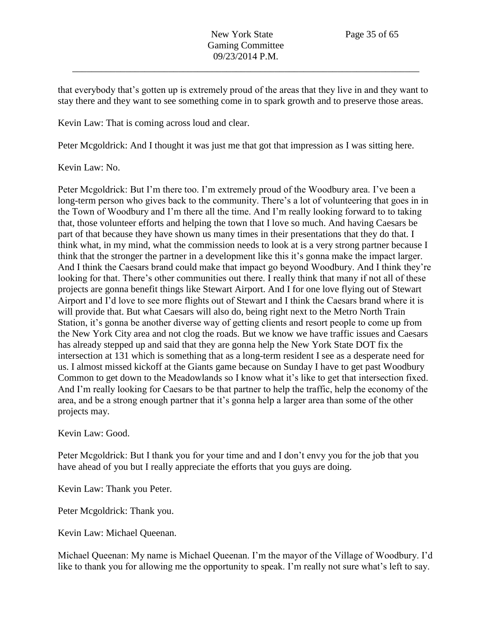that everybody that's gotten up is extremely proud of the areas that they live in and they want to stay there and they want to see something come in to spark growth and to preserve those areas.

Kevin Law: That is coming across loud and clear.

Peter Mcgoldrick: And I thought it was just me that got that impression as I was sitting here.

Kevin Law: No.

Peter Mcgoldrick: But I'm there too. I'm extremely proud of the Woodbury area. I've been a long-term person who gives back to the community. There's a lot of volunteering that goes in in the Town of Woodbury and I'm there all the time. And I'm really looking forward to to taking that, those volunteer efforts and helping the town that I love so much. And having Caesars be part of that because they have shown us many times in their presentations that they do that. I think what, in my mind, what the commission needs to look at is a very strong partner because I think that the stronger the partner in a development like this it's gonna make the impact larger. And I think the Caesars brand could make that impact go beyond Woodbury. And I think they're looking for that. There's other communities out there. I really think that many if not all of these projects are gonna benefit things like Stewart Airport. And I for one love flying out of Stewart Airport and I'd love to see more flights out of Stewart and I think the Caesars brand where it is will provide that. But what Caesars will also do, being right next to the Metro North Train Station, it's gonna be another diverse way of getting clients and resort people to come up from the New York City area and not clog the roads. But we know we have traffic issues and Caesars has already stepped up and said that they are gonna help the New York State DOT fix the intersection at 131 which is something that as a long-term resident I see as a desperate need for us. I almost missed kickoff at the Giants game because on Sunday I have to get past Woodbury Common to get down to the Meadowlands so I know what it's like to get that intersection fixed. And I'm really looking for Caesars to be that partner to help the traffic, help the economy of the area, and be a strong enough partner that it's gonna help a larger area than some of the other projects may.

Kevin Law: Good.

Peter Mcgoldrick: But I thank you for your time and and I don't envy you for the job that you have ahead of you but I really appreciate the efforts that you guys are doing.

Kevin Law: Thank you Peter.

Peter Mcgoldrick: Thank you.

Kevin Law: Michael Queenan.

Michael Queenan: My name is Michael Queenan. I'm the mayor of the Village of Woodbury. I'd like to thank you for allowing me the opportunity to speak. I'm really not sure what's left to say.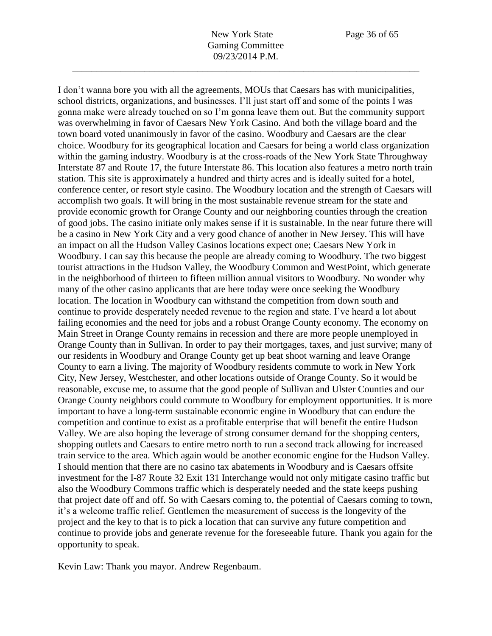I don't wanna bore you with all the agreements, MOUs that Caesars has with municipalities,

school districts, organizations, and businesses. I'll just start off and some of the points I was gonna make were already touched on so I'm gonna leave them out. But the community support was overwhelming in favor of Caesars New York Casino. And both the village board and the town board voted unanimously in favor of the casino. Woodbury and Caesars are the clear choice. Woodbury for its geographical location and Caesars for being a world class organization within the gaming industry. Woodbury is at the cross-roads of the New York State Throughway Interstate 87 and Route 17, the future Interstate 86. This location also features a metro north train station. This site is approximately a hundred and thirty acres and is ideally suited for a hotel, conference center, or resort style casino. The Woodbury location and the strength of Caesars will accomplish two goals. It will bring in the most sustainable revenue stream for the state and provide economic growth for Orange County and our neighboring counties through the creation of good jobs. The casino initiate only makes sense if it is sustainable. In the near future there will be a casino in New York City and a very good chance of another in New Jersey. This will have an impact on all the Hudson Valley Casinos locations expect one; Caesars New York in Woodbury. I can say this because the people are already coming to Woodbury. The two biggest tourist attractions in the Hudson Valley, the Woodbury Common and WestPoint, which generate in the neighborhood of thirteen to fifteen million annual visitors to Woodbury. No wonder why many of the other casino applicants that are here today were once seeking the Woodbury location. The location in Woodbury can withstand the competition from down south and continue to provide desperately needed revenue to the region and state. I've heard a lot about failing economies and the need for jobs and a robust Orange County economy. The economy on Main Street in Orange County remains in recession and there are more people unemployed in Orange County than in Sullivan. In order to pay their mortgages, taxes, and just survive; many of our residents in Woodbury and Orange County get up beat shoot warning and leave Orange County to earn a living. The majority of Woodbury residents commute to work in New York City, New Jersey, Westchester, and other locations outside of Orange County. So it would be reasonable, excuse me, to assume that the good people of Sullivan and Ulster Counties and our Orange County neighbors could commute to Woodbury for employment opportunities. It is more important to have a long-term sustainable economic engine in Woodbury that can endure the competition and continue to exist as a profitable enterprise that will benefit the entire Hudson Valley. We are also hoping the leverage of strong consumer demand for the shopping centers, shopping outlets and Caesars to entire metro north to run a second track allowing for increased train service to the area. Which again would be another economic engine for the Hudson Valley. I should mention that there are no casino tax abatements in Woodbury and is Caesars offsite investment for the I-87 Route 32 Exit 131 Interchange would not only mitigate casino traffic but also the Woodbury Commons traffic which is desperately needed and the state keeps pushing that project date off and off. So with Caesars coming to, the potential of Caesars coming to town, it's a welcome traffic relief. Gentlemen the measurement of success is the longevity of the project and the key to that is to pick a location that can survive any future competition and continue to provide jobs and generate revenue for the foreseeable future. Thank you again for the opportunity to speak.

Kevin Law: Thank you mayor. Andrew Regenbaum.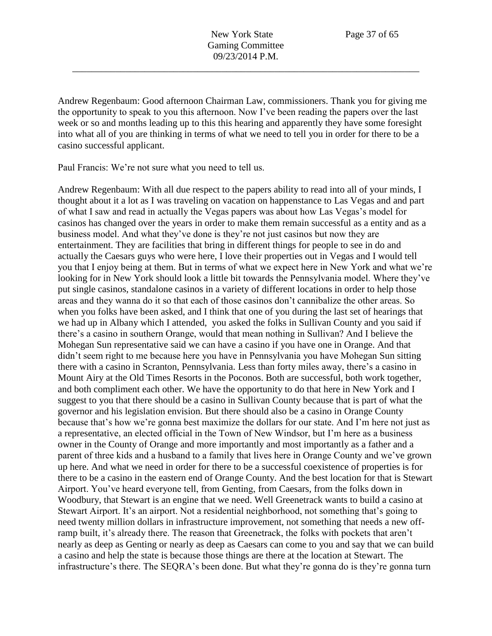Andrew Regenbaum: Good afternoon Chairman Law, commissioners. Thank you for giving me the opportunity to speak to you this afternoon. Now I've been reading the papers over the last week or so and months leading up to this this hearing and apparently they have some foresight into what all of you are thinking in terms of what we need to tell you in order for there to be a casino successful applicant.

Paul Francis: We're not sure what you need to tell us.

Andrew Regenbaum: With all due respect to the papers ability to read into all of your minds, I thought about it a lot as I was traveling on vacation on happenstance to Las Vegas and and part of what I saw and read in actually the Vegas papers was about how Las Vegas's model for casinos has changed over the years in order to make them remain successful as a entity and as a business model. And what they've done is they're not just casinos but now they are entertainment. They are facilities that bring in different things for people to see in do and actually the Caesars guys who were here, I love their properties out in Vegas and I would tell you that I enjoy being at them. But in terms of what we expect here in New York and what we're looking for in New York should look a little bit towards the Pennsylvania model. Where they've put single casinos, standalone casinos in a variety of different locations in order to help those areas and they wanna do it so that each of those casinos don't cannibalize the other areas. So when you folks have been asked, and I think that one of you during the last set of hearings that we had up in Albany which I attended, you asked the folks in Sullivan County and you said if there's a casino in southern Orange, would that mean nothing in Sullivan? And I believe the Mohegan Sun representative said we can have a casino if you have one in Orange. And that didn't seem right to me because here you have in Pennsylvania you have Mohegan Sun sitting there with a casino in Scranton, Pennsylvania. Less than forty miles away, there's a casino in Mount Airy at the Old Times Resorts in the Poconos. Both are successful, both work together, and both compliment each other. We have the opportunity to do that here in New York and I suggest to you that there should be a casino in Sullivan County because that is part of what the governor and his legislation envision. But there should also be a casino in Orange County because that's how we're gonna best maximize the dollars for our state. And I'm here not just as a representative, an elected official in the Town of New Windsor, but I'm here as a business owner in the County of Orange and more importantly and most importantly as a father and a parent of three kids and a husband to a family that lives here in Orange County and we've grown up here. And what we need in order for there to be a successful coexistence of properties is for there to be a casino in the eastern end of Orange County. And the best location for that is Stewart Airport. You've heard everyone tell, from Genting, from Caesars, from the folks down in Woodbury, that Stewart is an engine that we need. Well Greenetrack wants to build a casino at Stewart Airport. It's an airport. Not a residential neighborhood, not something that's going to need twenty million dollars in infrastructure improvement, not something that needs a new offramp built, it's already there. The reason that Greenetrack, the folks with pockets that aren't nearly as deep as Genting or nearly as deep as Caesars can come to you and say that we can build a casino and help the state is because those things are there at the location at Stewart. The infrastructure's there. The SEQRA's been done. But what they're gonna do is they're gonna turn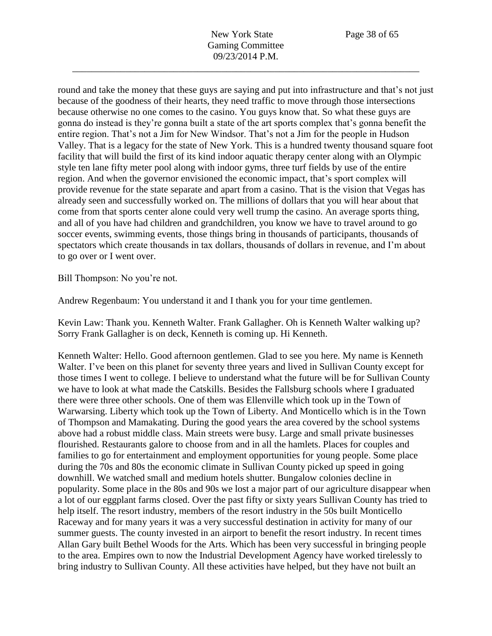round and take the money that these guys are saying and put into infrastructure and that's not just because of the goodness of their hearts, they need traffic to move through those intersections because otherwise no one comes to the casino. You guys know that. So what these guys are gonna do instead is they're gonna built a state of the art sports complex that's gonna benefit the entire region. That's not a Jim for New Windsor. That's not a Jim for the people in Hudson Valley. That is a legacy for the state of New York. This is a hundred twenty thousand square foot facility that will build the first of its kind indoor aquatic therapy center along with an Olympic style ten lane fifty meter pool along with indoor gyms, three turf fields by use of the entire region. And when the governor envisioned the economic impact, that's sport complex will provide revenue for the state separate and apart from a casino. That is the vision that Vegas has already seen and successfully worked on. The millions of dollars that you will hear about that come from that sports center alone could very well trump the casino. An average sports thing, and all of you have had children and grandchildren, you know we have to travel around to go soccer events, swimming events, those things bring in thousands of participants, thousands of spectators which create thousands in tax dollars, thousands of dollars in revenue, and I'm about to go over or I went over.

Bill Thompson: No you're not.

Andrew Regenbaum: You understand it and I thank you for your time gentlemen.

Kevin Law: Thank you. Kenneth Walter. Frank Gallagher. Oh is Kenneth Walter walking up? Sorry Frank Gallagher is on deck, Kenneth is coming up. Hi Kenneth.

Kenneth Walter: Hello. Good afternoon gentlemen. Glad to see you here. My name is Kenneth Walter. I've been on this planet for seventy three years and lived in Sullivan County except for those times I went to college. I believe to understand what the future will be for Sullivan County we have to look at what made the Catskills. Besides the Fallsburg schools where I graduated there were three other schools. One of them was Ellenville which took up in the Town of Warwarsing. Liberty which took up the Town of Liberty. And Monticello which is in the Town of Thompson and Mamakating. During the good years the area covered by the school systems above had a robust middle class. Main streets were busy. Large and small private businesses flourished. Restaurants galore to choose from and in all the hamlets. Places for couples and families to go for entertainment and employment opportunities for young people. Some place during the 70s and 80s the economic climate in Sullivan County picked up speed in going downhill. We watched small and medium hotels shutter. Bungalow colonies decline in popularity. Some place in the 80s and 90s we lost a major part of our agriculture disappear when a lot of our eggplant farms closed. Over the past fifty or sixty years Sullivan County has tried to help itself. The resort industry, members of the resort industry in the 50s built Monticello Raceway and for many years it was a very successful destination in activity for many of our summer guests. The county invested in an airport to benefit the resort industry. In recent times Allan Gary built Bethel Woods for the Arts. Which has been very successful in bringing people to the area. Empires own to now the Industrial Development Agency have worked tirelessly to bring industry to Sullivan County. All these activities have helped, but they have not built an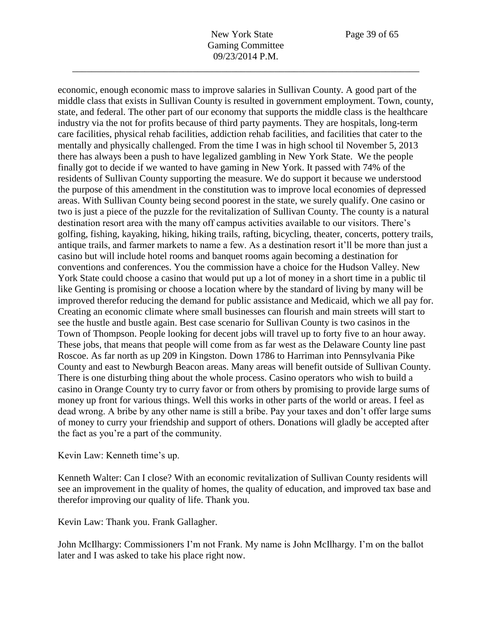economic, enough economic mass to improve salaries in Sullivan County. A good part of the middle class that exists in Sullivan County is resulted in government employment. Town, county, state, and federal. The other part of our economy that supports the middle class is the healthcare industry via the not for profits because of third party payments. They are hospitals, long-term care facilities, physical rehab facilities, addiction rehab facilities, and facilities that cater to the mentally and physically challenged. From the time I was in high school til November 5, 2013 there has always been a push to have legalized gambling in New York State. We the people finally got to decide if we wanted to have gaming in New York. It passed with 74% of the residents of Sullivan County supporting the measure. We do support it because we understood the purpose of this amendment in the constitution was to improve local economies of depressed areas. With Sullivan County being second poorest in the state, we surely qualify. One casino or two is just a piece of the puzzle for the revitalization of Sullivan County. The county is a natural destination resort area with the many off campus activities available to our visitors. There's golfing, fishing, kayaking, hiking, hiking trails, rafting, bicycling, theater, concerts, pottery trails, antique trails, and farmer markets to name a few. As a destination resort it'll be more than just a casino but will include hotel rooms and banquet rooms again becoming a destination for conventions and conferences. You the commission have a choice for the Hudson Valley. New York State could choose a casino that would put up a lot of money in a short time in a public til like Genting is promising or choose a location where by the standard of living by many will be improved therefor reducing the demand for public assistance and Medicaid, which we all pay for. Creating an economic climate where small businesses can flourish and main streets will start to see the hustle and bustle again. Best case scenario for Sullivan County is two casinos in the Town of Thompson. People looking for decent jobs will travel up to forty five to an hour away. These jobs, that means that people will come from as far west as the Delaware County line past Roscoe. As far north as up 209 in Kingston. Down 1786 to Harriman into Pennsylvania Pike County and east to Newburgh Beacon areas. Many areas will benefit outside of Sullivan County. There is one disturbing thing about the whole process. Casino operators who wish to build a casino in Orange County try to curry favor or from others by promising to provide large sums of money up front for various things. Well this works in other parts of the world or areas. I feel as dead wrong. A bribe by any other name is still a bribe. Pay your taxes and don't offer large sums of money to curry your friendship and support of others. Donations will gladly be accepted after the fact as you're a part of the community.

## Kevin Law: Kenneth time's up.

Kenneth Walter: Can I close? With an economic revitalization of Sullivan County residents will see an improvement in the quality of homes, the quality of education, and improved tax base and therefor improving our quality of life. Thank you.

Kevin Law: Thank you. Frank Gallagher.

John McIlhargy: Commissioners I'm not Frank. My name is John McIlhargy. I'm on the ballot later and I was asked to take his place right now.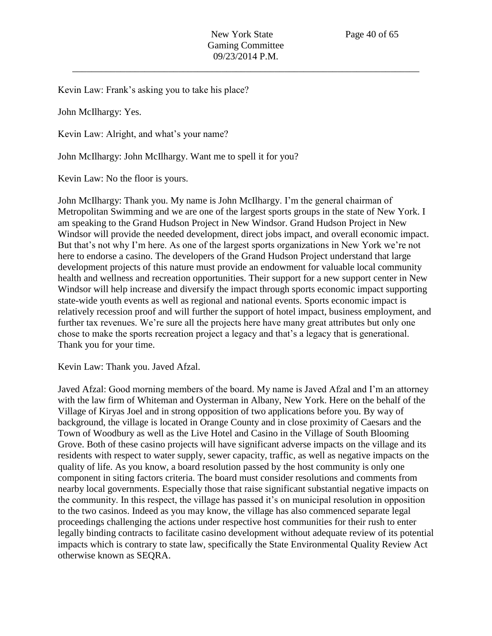Kevin Law: Frank's asking you to take his place?

John McIlhargy: Yes.

Kevin Law: Alright, and what's your name?

John McIlhargy: John McIlhargy. Want me to spell it for you?

Kevin Law: No the floor is yours.

John McIlhargy: Thank you. My name is John McIlhargy. I'm the general chairman of Metropolitan Swimming and we are one of the largest sports groups in the state of New York. I am speaking to the Grand Hudson Project in New Windsor. Grand Hudson Project in New Windsor will provide the needed development, direct jobs impact, and overall economic impact. But that's not why I'm here. As one of the largest sports organizations in New York we're not here to endorse a casino. The developers of the Grand Hudson Project understand that large development projects of this nature must provide an endowment for valuable local community health and wellness and recreation opportunities. Their support for a new support center in New Windsor will help increase and diversify the impact through sports economic impact supporting state-wide youth events as well as regional and national events. Sports economic impact is relatively recession proof and will further the support of hotel impact, business employment, and further tax revenues. We're sure all the projects here have many great attributes but only one chose to make the sports recreation project a legacy and that's a legacy that is generational. Thank you for your time.

Kevin Law: Thank you. Javed Afzal.

Javed Afzal: Good morning members of the board. My name is Javed Afzal and I'm an attorney with the law firm of Whiteman and Oysterman in Albany, New York. Here on the behalf of the Village of Kiryas Joel and in strong opposition of two applications before you. By way of background, the village is located in Orange County and in close proximity of Caesars and the Town of Woodbury as well as the Live Hotel and Casino in the Village of South Blooming Grove. Both of these casino projects will have significant adverse impacts on the village and its residents with respect to water supply, sewer capacity, traffic, as well as negative impacts on the quality of life. As you know, a board resolution passed by the host community is only one component in siting factors criteria. The board must consider resolutions and comments from nearby local governments. Especially those that raise significant substantial negative impacts on the community. In this respect, the village has passed it's on municipal resolution in opposition to the two casinos. Indeed as you may know, the village has also commenced separate legal proceedings challenging the actions under respective host communities for their rush to enter legally binding contracts to facilitate casino development without adequate review of its potential impacts which is contrary to state law, specifically the State Environmental Quality Review Act otherwise known as SEQRA.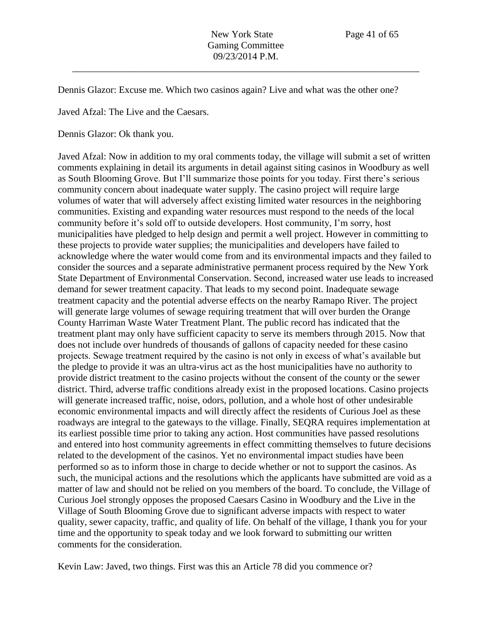Dennis Glazor: Excuse me. Which two casinos again? Live and what was the other one?

Javed Afzal: The Live and the Caesars.

Dennis Glazor: Ok thank you.

Javed Afzal: Now in addition to my oral comments today, the village will submit a set of written comments explaining in detail its arguments in detail against siting casinos in Woodbury as well as South Blooming Grove. But I'll summarize those points for you today. First there's serious community concern about inadequate water supply. The casino project will require large volumes of water that will adversely affect existing limited water resources in the neighboring communities. Existing and expanding water resources must respond to the needs of the local community before it's sold off to outside developers. Host community, I'm sorry, host municipalities have pledged to help design and permit a well project. However in committing to these projects to provide water supplies; the municipalities and developers have failed to acknowledge where the water would come from and its environmental impacts and they failed to consider the sources and a separate administrative permanent process required by the New York State Department of Environmental Conservation. Second, increased water use leads to increased demand for sewer treatment capacity. That leads to my second point. Inadequate sewage treatment capacity and the potential adverse effects on the nearby Ramapo River. The project will generate large volumes of sewage requiring treatment that will over burden the Orange County Harriman Waste Water Treatment Plant. The public record has indicated that the treatment plant may only have sufficient capacity to serve its members through 2015. Now that does not include over hundreds of thousands of gallons of capacity needed for these casino projects. Sewage treatment required by the casino is not only in excess of what's available but the pledge to provide it was an ultra-virus act as the host municipalities have no authority to provide district treatment to the casino projects without the consent of the county or the sewer district. Third, adverse traffic conditions already exist in the proposed locations. Casino projects will generate increased traffic, noise, odors, pollution, and a whole host of other undesirable economic environmental impacts and will directly affect the residents of Curious Joel as these roadways are integral to the gateways to the village. Finally, SEQRA requires implementation at its earliest possible time prior to taking any action. Host communities have passed resolutions and entered into host community agreements in effect committing themselves to future decisions related to the development of the casinos. Yet no environmental impact studies have been performed so as to inform those in charge to decide whether or not to support the casinos. As such, the municipal actions and the resolutions which the applicants have submitted are void as a matter of law and should not be relied on you members of the board. To conclude, the Village of Curious Joel strongly opposes the proposed Caesars Casino in Woodbury and the Live in the Village of South Blooming Grove due to significant adverse impacts with respect to water quality, sewer capacity, traffic, and quality of life. On behalf of the village, I thank you for your time and the opportunity to speak today and we look forward to submitting our written comments for the consideration.

Kevin Law: Javed, two things. First was this an Article 78 did you commence or?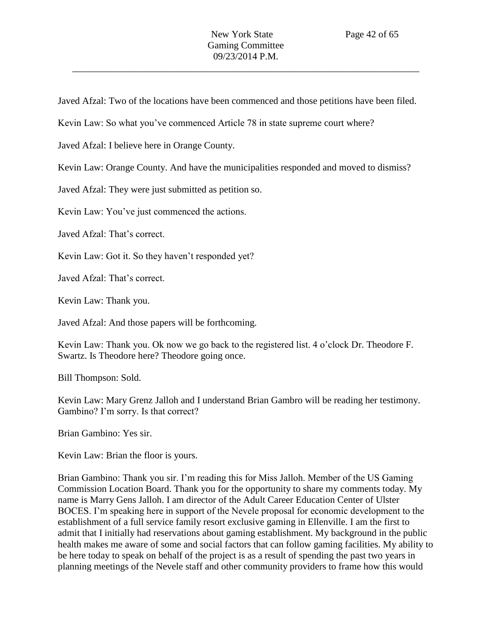Javed Afzal: Two of the locations have been commenced and those petitions have been filed.

Kevin Law: So what you've commenced Article 78 in state supreme court where?

Javed Afzal: I believe here in Orange County.

Kevin Law: Orange County. And have the municipalities responded and moved to dismiss?

Javed Afzal: They were just submitted as petition so.

Kevin Law: You've just commenced the actions.

Javed Afzal: That's correct.

Kevin Law: Got it. So they haven't responded yet?

Javed Afzal: That's correct.

Kevin Law: Thank you.

Javed Afzal: And those papers will be forthcoming.

Kevin Law: Thank you. Ok now we go back to the registered list. 4 o'clock Dr. Theodore F. Swartz. Is Theodore here? Theodore going once.

Bill Thompson: Sold.

Kevin Law: Mary Grenz Jalloh and I understand Brian Gambro will be reading her testimony. Gambino? I'm sorry. Is that correct?

Brian Gambino: Yes sir.

Kevin Law: Brian the floor is yours.

Brian Gambino: Thank you sir. I'm reading this for Miss Jalloh. Member of the US Gaming Commission Location Board. Thank you for the opportunity to share my comments today. My name is Marry Gens Jalloh. I am director of the Adult Career Education Center of Ulster BOCES. I'm speaking here in support of the Nevele proposal for economic development to the establishment of a full service family resort exclusive gaming in Ellenville. I am the first to admit that I initially had reservations about gaming establishment. My background in the public health makes me aware of some and social factors that can follow gaming facilities. My ability to be here today to speak on behalf of the project is as a result of spending the past two years in planning meetings of the Nevele staff and other community providers to frame how this would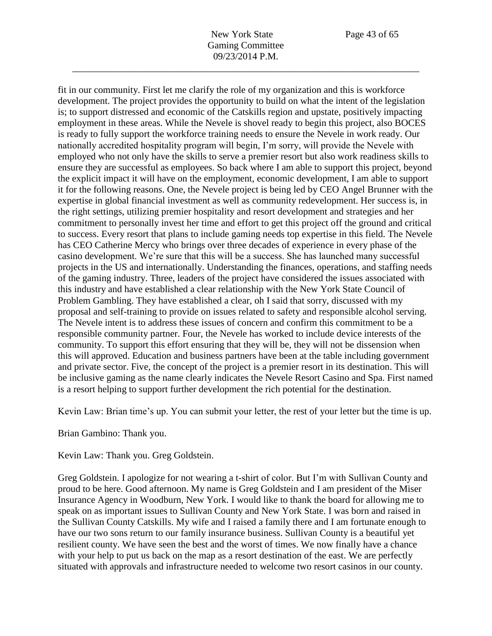fit in our community. First let me clarify the role of my organization and this is workforce development. The project provides the opportunity to build on what the intent of the legislation is; to support distressed and economic of the Catskills region and upstate, positively impacting employment in these areas. While the Nevele is shovel ready to begin this project, also BOCES is ready to fully support the workforce training needs to ensure the Nevele in work ready. Our nationally accredited hospitality program will begin, I'm sorry, will provide the Nevele with employed who not only have the skills to serve a premier resort but also work readiness skills to ensure they are successful as employees. So back where I am able to support this project, beyond the explicit impact it will have on the employment, economic development, I am able to support it for the following reasons. One, the Nevele project is being led by CEO Angel Brunner with the expertise in global financial investment as well as community redevelopment. Her success is, in the right settings, utilizing premier hospitality and resort development and strategies and her commitment to personally invest her time and effort to get this project off the ground and critical to success. Every resort that plans to include gaming needs top expertise in this field. The Nevele has CEO Catherine Mercy who brings over three decades of experience in every phase of the casino development. We're sure that this will be a success. She has launched many successful projects in the US and internationally. Understanding the finances, operations, and staffing needs of the gaming industry. Three, leaders of the project have considered the issues associated with this industry and have established a clear relationship with the New York State Council of Problem Gambling. They have established a clear, oh I said that sorry, discussed with my proposal and self-training to provide on issues related to safety and responsible alcohol serving. The Nevele intent is to address these issues of concern and confirm this commitment to be a responsible community partner. Four, the Nevele has worked to include device interests of the community. To support this effort ensuring that they will be, they will not be dissension when this will approved. Education and business partners have been at the table including government and private sector. Five, the concept of the project is a premier resort in its destination. This will be inclusive gaming as the name clearly indicates the Nevele Resort Casino and Spa. First named is a resort helping to support further development the rich potential for the destination.

Kevin Law: Brian time's up. You can submit your letter, the rest of your letter but the time is up.

Brian Gambino: Thank you.

Kevin Law: Thank you. Greg Goldstein.

Greg Goldstein. I apologize for not wearing a t-shirt of color. But I'm with Sullivan County and proud to be here. Good afternoon. My name is Greg Goldstein and I am president of the Miser Insurance Agency in Woodburn, New York. I would like to thank the board for allowing me to speak on as important issues to Sullivan County and New York State. I was born and raised in the Sullivan County Catskills. My wife and I raised a family there and I am fortunate enough to have our two sons return to our family insurance business. Sullivan County is a beautiful yet resilient county. We have seen the best and the worst of times. We now finally have a chance with your help to put us back on the map as a resort destination of the east. We are perfectly situated with approvals and infrastructure needed to welcome two resort casinos in our county.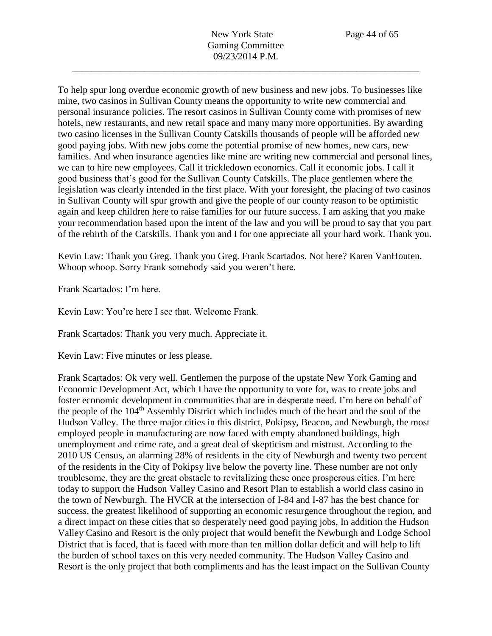To help spur long overdue economic growth of new business and new jobs. To businesses like mine, two casinos in Sullivan County means the opportunity to write new commercial and personal insurance policies. The resort casinos in Sullivan County come with promises of new hotels, new restaurants, and new retail space and many many more opportunities. By awarding two casino licenses in the Sullivan County Catskills thousands of people will be afforded new good paying jobs. With new jobs come the potential promise of new homes, new cars, new families. And when insurance agencies like mine are writing new commercial and personal lines, we can to hire new employees. Call it trickledown economics. Call it economic jobs. I call it good business that's good for the Sullivan County Catskills. The place gentlemen where the legislation was clearly intended in the first place. With your foresight, the placing of two casinos in Sullivan County will spur growth and give the people of our county reason to be optimistic again and keep children here to raise families for our future success. I am asking that you make your recommendation based upon the intent of the law and you will be proud to say that you part of the rebirth of the Catskills. Thank you and I for one appreciate all your hard work. Thank you.

09/23/2014 P.M. \_\_\_\_\_\_\_\_\_\_\_\_\_\_\_\_\_\_\_\_\_\_\_\_\_\_\_\_\_\_\_\_\_\_\_\_\_\_\_\_\_\_\_\_\_\_\_\_\_\_\_\_\_\_\_\_\_\_\_\_\_\_\_\_\_\_\_\_\_\_\_\_

Kevin Law: Thank you Greg. Thank you Greg. Frank Scartados. Not here? Karen VanHouten. Whoop whoop. Sorry Frank somebody said you weren't here.

Frank Scartados: I'm here.

Kevin Law: You're here I see that. Welcome Frank.

Frank Scartados: Thank you very much. Appreciate it.

Kevin Law: Five minutes or less please.

Frank Scartados: Ok very well. Gentlemen the purpose of the upstate New York Gaming and Economic Development Act, which I have the opportunity to vote for, was to create jobs and foster economic development in communities that are in desperate need. I'm here on behalf of the people of the 104<sup>th</sup> Assembly District which includes much of the heart and the soul of the Hudson Valley. The three major cities in this district, Pokipsy, Beacon, and Newburgh, the most employed people in manufacturing are now faced with empty abandoned buildings, high unemployment and crime rate, and a great deal of skepticism and mistrust. According to the 2010 US Census, an alarming 28% of residents in the city of Newburgh and twenty two percent of the residents in the City of Pokipsy live below the poverty line. These number are not only troublesome, they are the great obstacle to revitalizing these once prosperous cities. I'm here today to support the Hudson Valley Casino and Resort Plan to establish a world class casino in the town of Newburgh. The HVCR at the intersection of I-84 and I-87 has the best chance for success, the greatest likelihood of supporting an economic resurgence throughout the region, and a direct impact on these cities that so desperately need good paying jobs, In addition the Hudson Valley Casino and Resort is the only project that would benefit the Newburgh and Lodge School District that is faced, that is faced with more than ten million dollar deficit and will help to lift the burden of school taxes on this very needed community. The Hudson Valley Casino and Resort is the only project that both compliments and has the least impact on the Sullivan County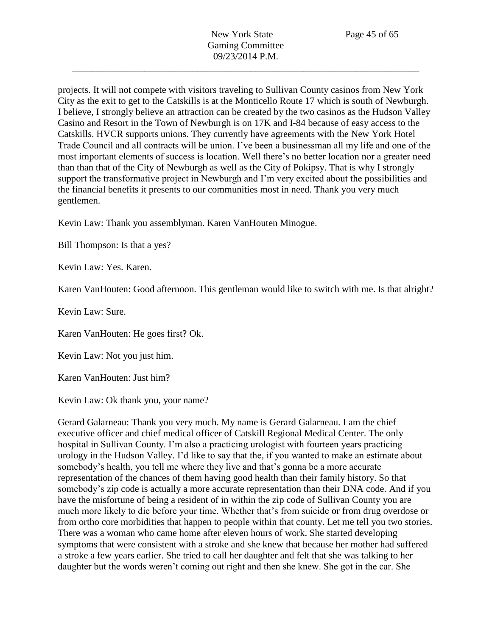projects. It will not compete with visitors traveling to Sullivan County casinos from New York City as the exit to get to the Catskills is at the Monticello Route 17 which is south of Newburgh. I believe, I strongly believe an attraction can be created by the two casinos as the Hudson Valley Casino and Resort in the Town of Newburgh is on 17K and I-84 because of easy access to the Catskills. HVCR supports unions. They currently have agreements with the New York Hotel Trade Council and all contracts will be union. I've been a businessman all my life and one of the most important elements of success is location. Well there's no better location nor a greater need than than that of the City of Newburgh as well as the City of Pokipsy. That is why I strongly support the transformative project in Newburgh and I'm very excited about the possibilities and the financial benefits it presents to our communities most in need. Thank you very much gentlemen.

Kevin Law: Thank you assemblyman. Karen VanHouten Minogue.

Bill Thompson: Is that a yes?

Kevin Law: Yes. Karen.

Karen VanHouten: Good afternoon. This gentleman would like to switch with me. Is that alright?

Kevin Law: Sure.

Karen VanHouten: He goes first? Ok.

Kevin Law: Not you just him.

Karen VanHouten: Just him?

Kevin Law: Ok thank you, your name?

Gerard Galarneau: Thank you very much. My name is Gerard Galarneau. I am the chief executive officer and chief medical officer of Catskill Regional Medical Center. The only hospital in Sullivan County. I'm also a practicing urologist with fourteen years practicing urology in the Hudson Valley. I'd like to say that the, if you wanted to make an estimate about somebody's health, you tell me where they live and that's gonna be a more accurate representation of the chances of them having good health than their family history. So that somebody's zip code is actually a more accurate representation than their DNA code. And if you have the misfortune of being a resident of in within the zip code of Sullivan County you are much more likely to die before your time. Whether that's from suicide or from drug overdose or from ortho core morbidities that happen to people within that county. Let me tell you two stories. There was a woman who came home after eleven hours of work. She started developing symptoms that were consistent with a stroke and she knew that because her mother had suffered a stroke a few years earlier. She tried to call her daughter and felt that she was talking to her daughter but the words weren't coming out right and then she knew. She got in the car. She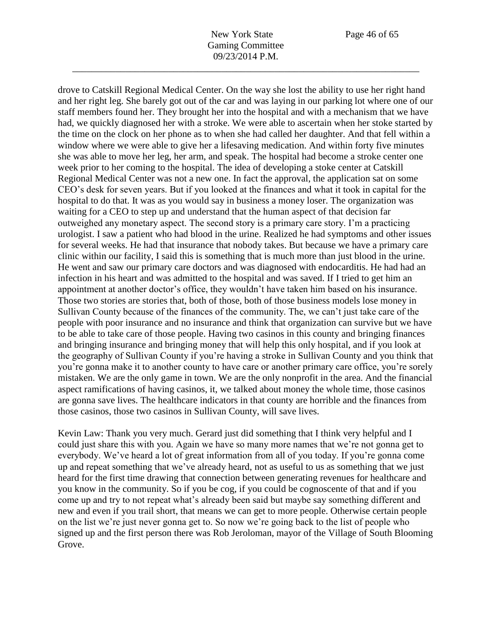drove to Catskill Regional Medical Center. On the way she lost the ability to use her right hand and her right leg. She barely got out of the car and was laying in our parking lot where one of our staff members found her. They brought her into the hospital and with a mechanism that we have had, we quickly diagnosed her with a stroke. We were able to ascertain when her stoke started by the time on the clock on her phone as to when she had called her daughter. And that fell within a window where we were able to give her a lifesaving medication. And within forty five minutes she was able to move her leg, her arm, and speak. The hospital had become a stroke center one week prior to her coming to the hospital. The idea of developing a stoke center at Catskill Regional Medical Center was not a new one. In fact the approval, the application sat on some CEO's desk for seven years. But if you looked at the finances and what it took in capital for the hospital to do that. It was as you would say in business a money loser. The organization was waiting for a CEO to step up and understand that the human aspect of that decision far outweighed any monetary aspect. The second story is a primary care story. I'm a practicing urologist. I saw a patient who had blood in the urine. Realized he had symptoms and other issues for several weeks. He had that insurance that nobody takes. But because we have a primary care clinic within our facility, I said this is something that is much more than just blood in the urine. He went and saw our primary care doctors and was diagnosed with endocarditis. He had had an infection in his heart and was admitted to the hospital and was saved. If I tried to get him an appointment at another doctor's office, they wouldn't have taken him based on his insurance. Those two stories are stories that, both of those, both of those business models lose money in Sullivan County because of the finances of the community. The, we can't just take care of the people with poor insurance and no insurance and think that organization can survive but we have to be able to take care of those people. Having two casinos in this county and bringing finances and bringing insurance and bringing money that will help this only hospital, and if you look at the geography of Sullivan County if you're having a stroke in Sullivan County and you think that you're gonna make it to another county to have care or another primary care office, you're sorely mistaken. We are the only game in town. We are the only nonprofit in the area. And the financial aspect ramifications of having casinos, it, we talked about money the whole time, those casinos are gonna save lives. The healthcare indicators in that county are horrible and the finances from those casinos, those two casinos in Sullivan County, will save lives.

Kevin Law: Thank you very much. Gerard just did something that I think very helpful and I could just share this with you. Again we have so many more names that we're not gonna get to everybody. We've heard a lot of great information from all of you today. If you're gonna come up and repeat something that we've already heard, not as useful to us as something that we just heard for the first time drawing that connection between generating revenues for healthcare and you know in the community. So if you be cog, if you could be cognoscente of that and if you come up and try to not repeat what's already been said but maybe say something different and new and even if you trail short, that means we can get to more people. Otherwise certain people on the list we're just never gonna get to. So now we're going back to the list of people who signed up and the first person there was Rob Jeroloman, mayor of the Village of South Blooming Grove.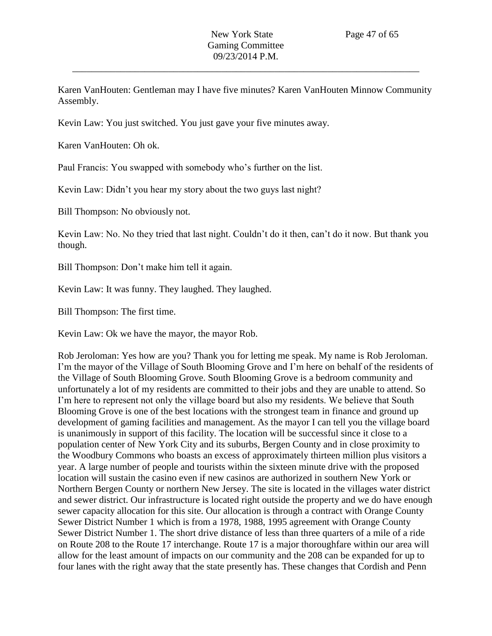Karen VanHouten: Gentleman may I have five minutes? Karen VanHouten Minnow Community Assembly.

Kevin Law: You just switched. You just gave your five minutes away.

Karen VanHouten: Oh ok.

Paul Francis: You swapped with somebody who's further on the list.

Kevin Law: Didn't you hear my story about the two guys last night?

Bill Thompson: No obviously not.

Kevin Law: No. No they tried that last night. Couldn't do it then, can't do it now. But thank you though.

Bill Thompson: Don't make him tell it again.

Kevin Law: It was funny. They laughed. They laughed.

Bill Thompson: The first time.

Kevin Law: Ok we have the mayor, the mayor Rob.

Rob Jeroloman: Yes how are you? Thank you for letting me speak. My name is Rob Jeroloman. I'm the mayor of the Village of South Blooming Grove and I'm here on behalf of the residents of the Village of South Blooming Grove. South Blooming Grove is a bedroom community and unfortunately a lot of my residents are committed to their jobs and they are unable to attend. So I'm here to represent not only the village board but also my residents. We believe that South Blooming Grove is one of the best locations with the strongest team in finance and ground up development of gaming facilities and management. As the mayor I can tell you the village board is unanimously in support of this facility. The location will be successful since it close to a population center of New York City and its suburbs, Bergen County and in close proximity to the Woodbury Commons who boasts an excess of approximately thirteen million plus visitors a year. A large number of people and tourists within the sixteen minute drive with the proposed location will sustain the casino even if new casinos are authorized in southern New York or Northern Bergen County or northern New Jersey. The site is located in the villages water district and sewer district. Our infrastructure is located right outside the property and we do have enough sewer capacity allocation for this site. Our allocation is through a contract with Orange County Sewer District Number 1 which is from a 1978, 1988, 1995 agreement with Orange County Sewer District Number 1. The short drive distance of less than three quarters of a mile of a ride on Route 208 to the Route 17 interchange. Route 17 is a major thoroughfare within our area will allow for the least amount of impacts on our community and the 208 can be expanded for up to four lanes with the right away that the state presently has. These changes that Cordish and Penn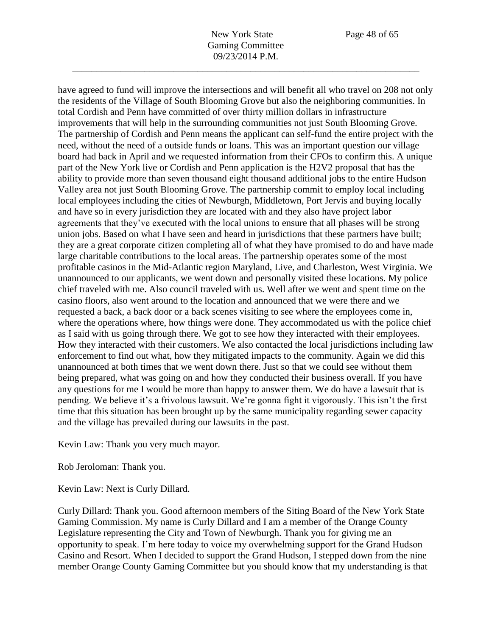have agreed to fund will improve the intersections and will benefit all who travel on 208 not only the residents of the Village of South Blooming Grove but also the neighboring communities. In total Cordish and Penn have committed of over thirty million dollars in infrastructure improvements that will help in the surrounding communities not just South Blooming Grove. The partnership of Cordish and Penn means the applicant can self-fund the entire project with the need, without the need of a outside funds or loans. This was an important question our village board had back in April and we requested information from their CFOs to confirm this. A unique part of the New York live or Cordish and Penn application is the H2V2 proposal that has the ability to provide more than seven thousand eight thousand additional jobs to the entire Hudson Valley area not just South Blooming Grove. The partnership commit to employ local including local employees including the cities of Newburgh, Middletown, Port Jervis and buying locally and have so in every jurisdiction they are located with and they also have project labor agreements that they've executed with the local unions to ensure that all phases will be strong union jobs. Based on what I have seen and heard in jurisdictions that these partners have built; they are a great corporate citizen completing all of what they have promised to do and have made large charitable contributions to the local areas. The partnership operates some of the most profitable casinos in the Mid-Atlantic region Maryland, Live, and Charleston, West Virginia. We unannounced to our applicants, we went down and personally visited these locations. My police chief traveled with me. Also council traveled with us. Well after we went and spent time on the casino floors, also went around to the location and announced that we were there and we requested a back, a back door or a back scenes visiting to see where the employees come in, where the operations where, how things were done. They accommodated us with the police chief as I said with us going through there. We got to see how they interacted with their employees. How they interacted with their customers. We also contacted the local jurisdictions including law enforcement to find out what, how they mitigated impacts to the community. Again we did this unannounced at both times that we went down there. Just so that we could see without them being prepared, what was going on and how they conducted their business overall. If you have any questions for me I would be more than happy to answer them. We do have a lawsuit that is pending. We believe it's a frivolous lawsuit. We're gonna fight it vigorously. This isn't the first time that this situation has been brought up by the same municipality regarding sewer capacity and the village has prevailed during our lawsuits in the past.

Kevin Law: Thank you very much mayor.

Rob Jeroloman: Thank you.

Kevin Law: Next is Curly Dillard.

Curly Dillard: Thank you. Good afternoon members of the Siting Board of the New York State Gaming Commission. My name is Curly Dillard and I am a member of the Orange County Legislature representing the City and Town of Newburgh. Thank you for giving me an opportunity to speak. I'm here today to voice my overwhelming support for the Grand Hudson Casino and Resort. When I decided to support the Grand Hudson, I stepped down from the nine member Orange County Gaming Committee but you should know that my understanding is that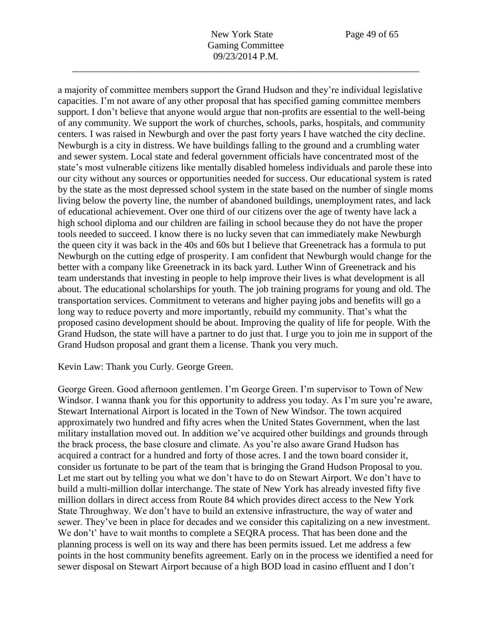a majority of committee members support the Grand Hudson and they're individual legislative capacities. I'm not aware of any other proposal that has specified gaming committee members support. I don't believe that anyone would argue that non-profits are essential to the well-being of any community. We support the work of churches, schools, parks, hospitals, and community centers. I was raised in Newburgh and over the past forty years I have watched the city decline. Newburgh is a city in distress. We have buildings falling to the ground and a crumbling water and sewer system. Local state and federal government officials have concentrated most of the state's most vulnerable citizens like mentally disabled homeless individuals and parole these into our city without any sources or opportunities needed for success. Our educational system is rated by the state as the most depressed school system in the state based on the number of single moms living below the poverty line, the number of abandoned buildings, unemployment rates, and lack of educational achievement. Over one third of our citizens over the age of twenty have lack a high school diploma and our children are failing in school because they do not have the proper tools needed to succeed. I know there is no lucky seven that can immediately make Newburgh the queen city it was back in the 40s and 60s but I believe that Greenetrack has a formula to put Newburgh on the cutting edge of prosperity. I am confident that Newburgh would change for the better with a company like Greenetrack in its back yard. Luther Winn of Greenetrack and his team understands that investing in people to help improve their lives is what development is all about. The educational scholarships for youth. The job training programs for young and old. The transportation services. Commitment to veterans and higher paying jobs and benefits will go a long way to reduce poverty and more importantly, rebuild my community. That's what the proposed casino development should be about. Improving the quality of life for people. With the Grand Hudson, the state will have a partner to do just that. I urge you to join me in support of the Grand Hudson proposal and grant them a license. Thank you very much.

Kevin Law: Thank you Curly. George Green.

George Green. Good afternoon gentlemen. I'm George Green. I'm supervisor to Town of New Windsor. I wanna thank you for this opportunity to address you today. As I'm sure you're aware, Stewart International Airport is located in the Town of New Windsor. The town acquired approximately two hundred and fifty acres when the United States Government, when the last military installation moved out. In addition we've acquired other buildings and grounds through the brack process, the base closure and climate. As you're also aware Grand Hudson has acquired a contract for a hundred and forty of those acres. I and the town board consider it, consider us fortunate to be part of the team that is bringing the Grand Hudson Proposal to you. Let me start out by telling you what we don't have to do on Stewart Airport. We don't have to build a multi-million dollar interchange. The state of New York has already invested fifty five million dollars in direct access from Route 84 which provides direct access to the New York State Throughway. We don't have to build an extensive infrastructure, the way of water and sewer. They've been in place for decades and we consider this capitalizing on a new investment. We don't' have to wait months to complete a SEQRA process. That has been done and the planning process is well on its way and there has been permits issued. Let me address a few points in the host community benefits agreement. Early on in the process we identified a need for sewer disposal on Stewart Airport because of a high BOD load in casino effluent and I don't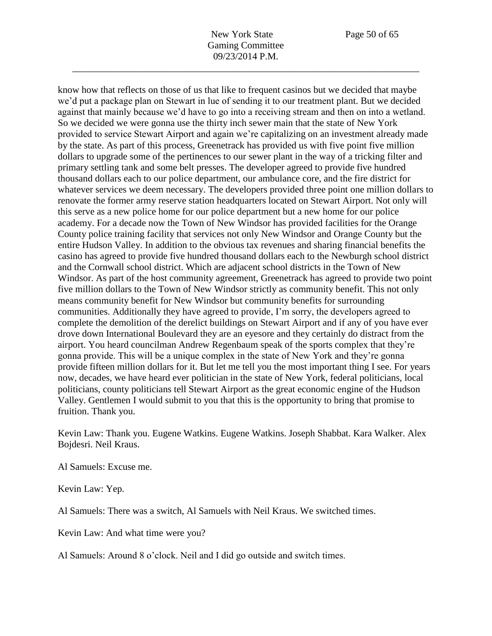know how that reflects on those of us that like to frequent casinos but we decided that maybe we'd put a package plan on Stewart in lue of sending it to our treatment plant. But we decided against that mainly because we'd have to go into a receiving stream and then on into a wetland. So we decided we were gonna use the thirty inch sewer main that the state of New York provided to service Stewart Airport and again we're capitalizing on an investment already made by the state. As part of this process, Greenetrack has provided us with five point five million dollars to upgrade some of the pertinences to our sewer plant in the way of a tricking filter and primary settling tank and some belt presses. The developer agreed to provide five hundred thousand dollars each to our police department, our ambulance core, and the fire district for whatever services we deem necessary. The developers provided three point one million dollars to renovate the former army reserve station headquarters located on Stewart Airport. Not only will this serve as a new police home for our police department but a new home for our police academy. For a decade now the Town of New Windsor has provided facilities for the Orange County police training facility that services not only New Windsor and Orange County but the entire Hudson Valley. In addition to the obvious tax revenues and sharing financial benefits the casino has agreed to provide five hundred thousand dollars each to the Newburgh school district and the Cornwall school district. Which are adjacent school districts in the Town of New Windsor. As part of the host community agreement, Greenetrack has agreed to provide two point five million dollars to the Town of New Windsor strictly as community benefit. This not only means community benefit for New Windsor but community benefits for surrounding communities. Additionally they have agreed to provide, I'm sorry, the developers agreed to complete the demolition of the derelict buildings on Stewart Airport and if any of you have ever drove down International Boulevard they are an eyesore and they certainly do distract from the airport. You heard councilman Andrew Regenbaum speak of the sports complex that they're gonna provide. This will be a unique complex in the state of New York and they're gonna provide fifteen million dollars for it. But let me tell you the most important thing I see. For years now, decades, we have heard ever politician in the state of New York, federal politicians, local politicians, county politicians tell Stewart Airport as the great economic engine of the Hudson Valley. Gentlemen I would submit to you that this is the opportunity to bring that promise to fruition. Thank you.

Kevin Law: Thank you. Eugene Watkins. Eugene Watkins. Joseph Shabbat. Kara Walker. Alex Bojdesri. Neil Kraus.

Al Samuels: Excuse me.

Kevin Law: Yep.

Al Samuels: There was a switch, Al Samuels with Neil Kraus. We switched times.

Kevin Law: And what time were you?

Al Samuels: Around 8 o'clock. Neil and I did go outside and switch times.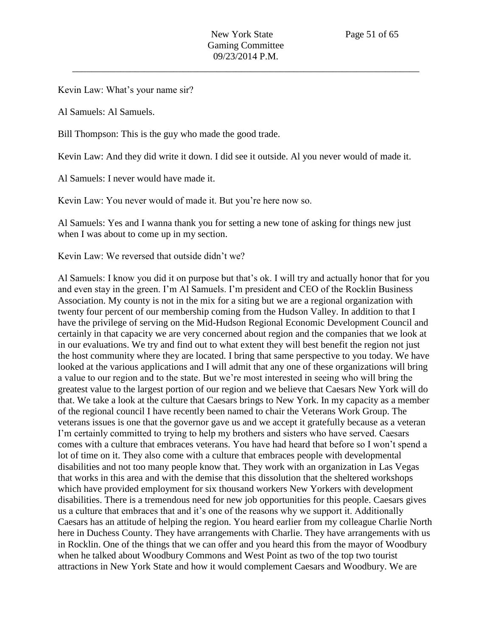Kevin Law: What's your name sir?

Al Samuels: Al Samuels.

Bill Thompson: This is the guy who made the good trade.

Kevin Law: And they did write it down. I did see it outside. Al you never would of made it.

Al Samuels: I never would have made it.

Kevin Law: You never would of made it. But you're here now so.

Al Samuels: Yes and I wanna thank you for setting a new tone of asking for things new just when I was about to come up in my section.

Kevin Law: We reversed that outside didn't we?

Al Samuels: I know you did it on purpose but that's ok. I will try and actually honor that for you and even stay in the green. I'm Al Samuels. I'm president and CEO of the Rocklin Business Association. My county is not in the mix for a siting but we are a regional organization with twenty four percent of our membership coming from the Hudson Valley. In addition to that I have the privilege of serving on the Mid-Hudson Regional Economic Development Council and certainly in that capacity we are very concerned about region and the companies that we look at in our evaluations. We try and find out to what extent they will best benefit the region not just the host community where they are located. I bring that same perspective to you today. We have looked at the various applications and I will admit that any one of these organizations will bring a value to our region and to the state. But we're most interested in seeing who will bring the greatest value to the largest portion of our region and we believe that Caesars New York will do that. We take a look at the culture that Caesars brings to New York. In my capacity as a member of the regional council I have recently been named to chair the Veterans Work Group. The veterans issues is one that the governor gave us and we accept it gratefully because as a veteran I'm certainly committed to trying to help my brothers and sisters who have served. Caesars comes with a culture that embraces veterans. You have had heard that before so I won't spend a lot of time on it. They also come with a culture that embraces people with developmental disabilities and not too many people know that. They work with an organization in Las Vegas that works in this area and with the demise that this dissolution that the sheltered workshops which have provided employment for six thousand workers New Yorkers with development disabilities. There is a tremendous need for new job opportunities for this people. Caesars gives us a culture that embraces that and it's one of the reasons why we support it. Additionally Caesars has an attitude of helping the region. You heard earlier from my colleague Charlie North here in Duchess County. They have arrangements with Charlie. They have arrangements with us in Rocklin. One of the things that we can offer and you heard this from the mayor of Woodbury when he talked about Woodbury Commons and West Point as two of the top two tourist attractions in New York State and how it would complement Caesars and Woodbury. We are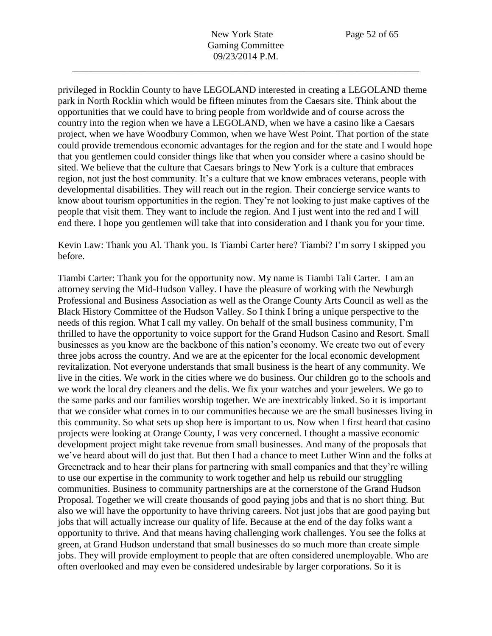privileged in Rocklin County to have LEGOLAND interested in creating a LEGOLAND theme park in North Rocklin which would be fifteen minutes from the Caesars site. Think about the opportunities that we could have to bring people from worldwide and of course across the country into the region when we have a LEGOLAND, when we have a casino like a Caesars project, when we have Woodbury Common, when we have West Point. That portion of the state could provide tremendous economic advantages for the region and for the state and I would hope that you gentlemen could consider things like that when you consider where a casino should be sited. We believe that the culture that Caesars brings to New York is a culture that embraces region, not just the host community. It's a culture that we know embraces veterans, people with developmental disabilities. They will reach out in the region. Their concierge service wants to know about tourism opportunities in the region. They're not looking to just make captives of the people that visit them. They want to include the region. And I just went into the red and I will end there. I hope you gentlemen will take that into consideration and I thank you for your time.

Kevin Law: Thank you Al. Thank you. Is Tiambi Carter here? Tiambi? I'm sorry I skipped you before.

Tiambi Carter: Thank you for the opportunity now. My name is Tiambi Tali Carter. I am an attorney serving the Mid-Hudson Valley. I have the pleasure of working with the Newburgh Professional and Business Association as well as the Orange County Arts Council as well as the Black History Committee of the Hudson Valley. So I think I bring a unique perspective to the needs of this region. What I call my valley. On behalf of the small business community, I'm thrilled to have the opportunity to voice support for the Grand Hudson Casino and Resort. Small businesses as you know are the backbone of this nation's economy. We create two out of every three jobs across the country. And we are at the epicenter for the local economic development revitalization. Not everyone understands that small business is the heart of any community. We live in the cities. We work in the cities where we do business. Our children go to the schools and we work the local dry cleaners and the delis. We fix your watches and your jewelers. We go to the same parks and our families worship together. We are inextricably linked. So it is important that we consider what comes in to our communities because we are the small businesses living in this community. So what sets up shop here is important to us. Now when I first heard that casino projects were looking at Orange County, I was very concerned. I thought a massive economic development project might take revenue from small businesses. And many of the proposals that we've heard about will do just that. But then I had a chance to meet Luther Winn and the folks at Greenetrack and to hear their plans for partnering with small companies and that they're willing to use our expertise in the community to work together and help us rebuild our struggling communities. Business to community partnerships are at the cornerstone of the Grand Hudson Proposal. Together we will create thousands of good paying jobs and that is no short thing. But also we will have the opportunity to have thriving careers. Not just jobs that are good paying but jobs that will actually increase our quality of life. Because at the end of the day folks want a opportunity to thrive. And that means having challenging work challenges. You see the folks at green, at Grand Hudson understand that small businesses do so much more than create simple jobs. They will provide employment to people that are often considered unemployable. Who are often overlooked and may even be considered undesirable by larger corporations. So it is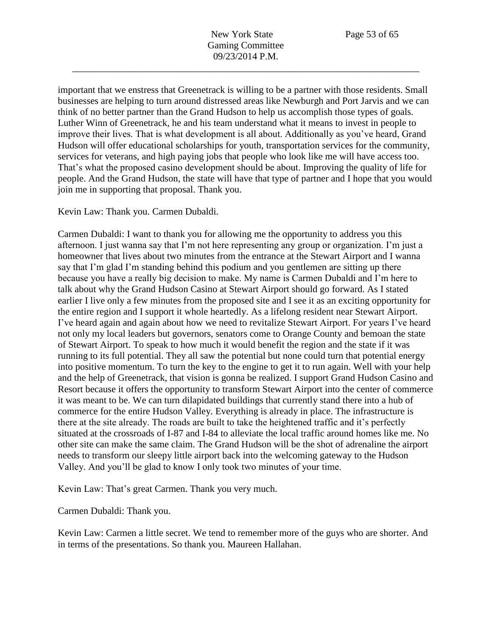important that we enstress that Greenetrack is willing to be a partner with those residents. Small businesses are helping to turn around distressed areas like Newburgh and Port Jarvis and we can think of no better partner than the Grand Hudson to help us accomplish those types of goals. Luther Winn of Greenetrack, he and his team understand what it means to invest in people to improve their lives. That is what development is all about. Additionally as you've heard, Grand Hudson will offer educational scholarships for youth, transportation services for the community, services for veterans, and high paying jobs that people who look like me will have access too. That's what the proposed casino development should be about. Improving the quality of life for people. And the Grand Hudson, the state will have that type of partner and I hope that you would join me in supporting that proposal. Thank you.

Kevin Law: Thank you. Carmen Dubaldi.

Carmen Dubaldi: I want to thank you for allowing me the opportunity to address you this afternoon. I just wanna say that I'm not here representing any group or organization. I'm just a homeowner that lives about two minutes from the entrance at the Stewart Airport and I wanna say that I'm glad I'm standing behind this podium and you gentlemen are sitting up there because you have a really big decision to make. My name is Carmen Dubaldi and I'm here to talk about why the Grand Hudson Casino at Stewart Airport should go forward. As I stated earlier I live only a few minutes from the proposed site and I see it as an exciting opportunity for the entire region and I support it whole heartedly. As a lifelong resident near Stewart Airport. I've heard again and again about how we need to revitalize Stewart Airport. For years I've heard not only my local leaders but governors, senators come to Orange County and bemoan the state of Stewart Airport. To speak to how much it would benefit the region and the state if it was running to its full potential. They all saw the potential but none could turn that potential energy into positive momentum. To turn the key to the engine to get it to run again. Well with your help and the help of Greenetrack, that vision is gonna be realized. I support Grand Hudson Casino and Resort because it offers the opportunity to transform Stewart Airport into the center of commerce it was meant to be. We can turn dilapidated buildings that currently stand there into a hub of commerce for the entire Hudson Valley. Everything is already in place. The infrastructure is there at the site already. The roads are built to take the heightened traffic and it's perfectly situated at the crossroads of I-87 and I-84 to alleviate the local traffic around homes like me. No other site can make the same claim. The Grand Hudson will be the shot of adrenaline the airport needs to transform our sleepy little airport back into the welcoming gateway to the Hudson Valley. And you'll be glad to know I only took two minutes of your time.

Kevin Law: That's great Carmen. Thank you very much.

Carmen Dubaldi: Thank you.

Kevin Law: Carmen a little secret. We tend to remember more of the guys who are shorter. And in terms of the presentations. So thank you. Maureen Hallahan.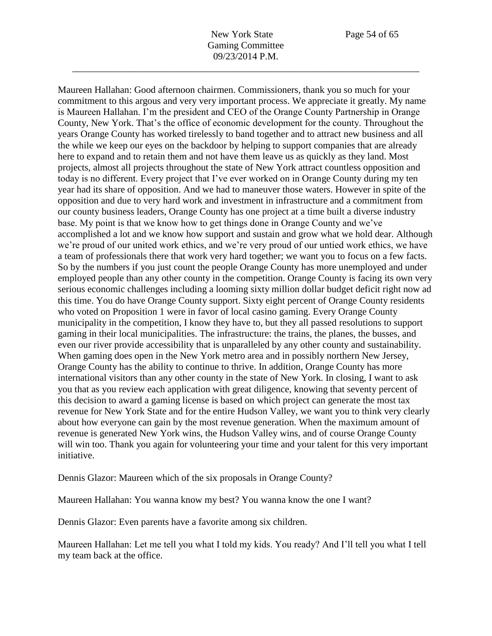New York State Page 54 of 65 Gaming Committee 09/23/2014 P.M.

\_\_\_\_\_\_\_\_\_\_\_\_\_\_\_\_\_\_\_\_\_\_\_\_\_\_\_\_\_\_\_\_\_\_\_\_\_\_\_\_\_\_\_\_\_\_\_\_\_\_\_\_\_\_\_\_\_\_\_\_\_\_\_\_\_\_\_\_\_\_\_\_

Maureen Hallahan: Good afternoon chairmen. Commissioners, thank you so much for your commitment to this argous and very very important process. We appreciate it greatly. My name is Maureen Hallahan. I'm the president and CEO of the Orange County Partnership in Orange County, New York. That's the office of economic development for the county. Throughout the years Orange County has worked tirelessly to band together and to attract new business and all the while we keep our eyes on the backdoor by helping to support companies that are already here to expand and to retain them and not have them leave us as quickly as they land. Most projects, almost all projects throughout the state of New York attract countless opposition and today is no different. Every project that I've ever worked on in Orange County during my ten year had its share of opposition. And we had to maneuver those waters. However in spite of the opposition and due to very hard work and investment in infrastructure and a commitment from our county business leaders, Orange County has one project at a time built a diverse industry base. My point is that we know how to get things done in Orange County and we've accomplished a lot and we know how support and sustain and grow what we hold dear. Although we're proud of our united work ethics, and we're very proud of our untied work ethics, we have a team of professionals there that work very hard together; we want you to focus on a few facts. So by the numbers if you just count the people Orange County has more unemployed and under employed people than any other county in the competition. Orange County is facing its own very serious economic challenges including a looming sixty million dollar budget deficit right now ad this time. You do have Orange County support. Sixty eight percent of Orange County residents who voted on Proposition 1 were in favor of local casino gaming. Every Orange County municipality in the competition, I know they have to, but they all passed resolutions to support gaming in their local municipalities. The infrastructure: the trains, the planes, the busses, and even our river provide accessibility that is unparalleled by any other county and sustainability. When gaming does open in the New York metro area and in possibly northern New Jersey, Orange County has the ability to continue to thrive. In addition, Orange County has more international visitors than any other county in the state of New York. In closing, I want to ask you that as you review each application with great diligence, knowing that seventy percent of this decision to award a gaming license is based on which project can generate the most tax revenue for New York State and for the entire Hudson Valley, we want you to think very clearly about how everyone can gain by the most revenue generation. When the maximum amount of revenue is generated New York wins, the Hudson Valley wins, and of course Orange County will win too. Thank you again for volunteering your time and your talent for this very important initiative.

Dennis Glazor: Maureen which of the six proposals in Orange County?

Maureen Hallahan: You wanna know my best? You wanna know the one I want?

Dennis Glazor: Even parents have a favorite among six children.

Maureen Hallahan: Let me tell you what I told my kids. You ready? And I'll tell you what I tell my team back at the office.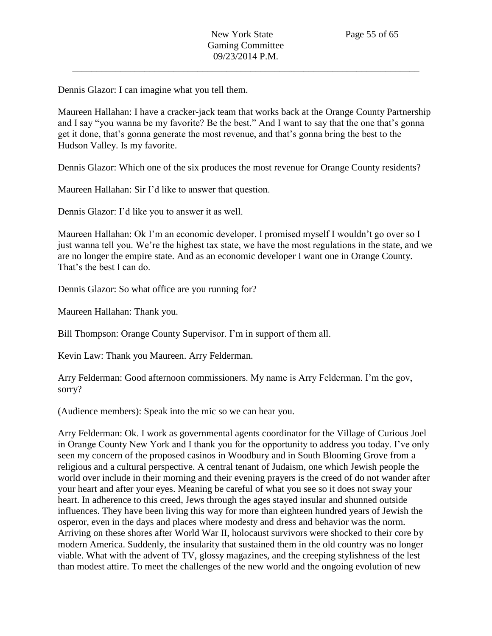Dennis Glazor: I can imagine what you tell them.

Maureen Hallahan: I have a cracker-jack team that works back at the Orange County Partnership and I say "you wanna be my favorite? Be the best." And I want to say that the one that's gonna get it done, that's gonna generate the most revenue, and that's gonna bring the best to the Hudson Valley. Is my favorite.

Dennis Glazor: Which one of the six produces the most revenue for Orange County residents?

Maureen Hallahan: Sir I'd like to answer that question.

Dennis Glazor: I'd like you to answer it as well.

Maureen Hallahan: Ok I'm an economic developer. I promised myself I wouldn't go over so I just wanna tell you. We're the highest tax state, we have the most regulations in the state, and we are no longer the empire state. And as an economic developer I want one in Orange County. That's the best I can do.

Dennis Glazor: So what office are you running for?

Maureen Hallahan: Thank you.

Bill Thompson: Orange County Supervisor. I'm in support of them all.

Kevin Law: Thank you Maureen. Arry Felderman.

Arry Felderman: Good afternoon commissioners. My name is Arry Felderman. I'm the gov, sorry?

(Audience members): Speak into the mic so we can hear you.

Arry Felderman: Ok. I work as governmental agents coordinator for the Village of Curious Joel in Orange County New York and I thank you for the opportunity to address you today. I've only seen my concern of the proposed casinos in Woodbury and in South Blooming Grove from a religious and a cultural perspective. A central tenant of Judaism, one which Jewish people the world over include in their morning and their evening prayers is the creed of do not wander after your heart and after your eyes. Meaning be careful of what you see so it does not sway your heart. In adherence to this creed, Jews through the ages stayed insular and shunned outside influences. They have been living this way for more than eighteen hundred years of Jewish the osperor, even in the days and places where modesty and dress and behavior was the norm. Arriving on these shores after World War II, holocaust survivors were shocked to their core by modern America. Suddenly, the insularity that sustained them in the old country was no longer viable. What with the advent of TV, glossy magazines, and the creeping stylishness of the lest than modest attire. To meet the challenges of the new world and the ongoing evolution of new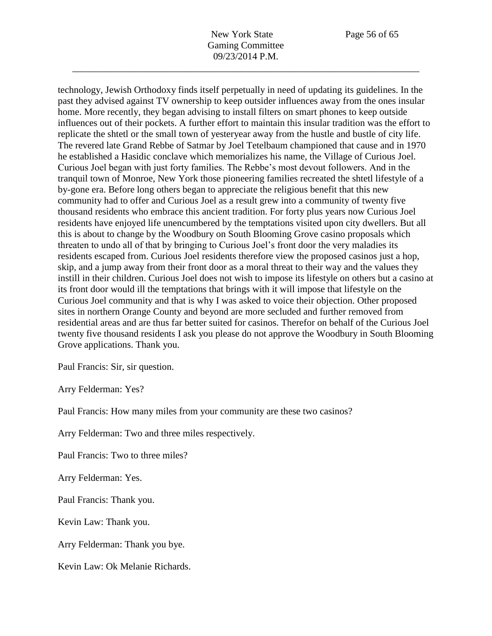technology, Jewish Orthodoxy finds itself perpetually in need of updating its guidelines. In the past they advised against TV ownership to keep outsider influences away from the ones insular home. More recently, they began advising to install filters on smart phones to keep outside influences out of their pockets. A further effort to maintain this insular tradition was the effort to replicate the shtetl or the small town of yesteryear away from the hustle and bustle of city life. The revered late Grand Rebbe of Satmar by Joel Tetelbaum championed that cause and in 1970 he established a Hasidic conclave which memorializes his name, the Village of Curious Joel. Curious Joel began with just forty families. The Rebbe's most devout followers. And in the tranquil town of Monroe, New York those pioneering families recreated the shtetl lifestyle of a by-gone era. Before long others began to appreciate the religious benefit that this new community had to offer and Curious Joel as a result grew into a community of twenty five thousand residents who embrace this ancient tradition. For forty plus years now Curious Joel residents have enjoyed life unencumbered by the temptations visited upon city dwellers. But all this is about to change by the Woodbury on South Blooming Grove casino proposals which threaten to undo all of that by bringing to Curious Joel's front door the very maladies its residents escaped from. Curious Joel residents therefore view the proposed casinos just a hop, skip, and a jump away from their front door as a moral threat to their way and the values they instill in their children. Curious Joel does not wish to impose its lifestyle on others but a casino at its front door would ill the temptations that brings with it will impose that lifestyle on the Curious Joel community and that is why I was asked to voice their objection. Other proposed sites in northern Orange County and beyond are more secluded and further removed from residential areas and are thus far better suited for casinos. Therefor on behalf of the Curious Joel twenty five thousand residents I ask you please do not approve the Woodbury in South Blooming Grove applications. Thank you.

Paul Francis: Sir, sir question.

Arry Felderman: Yes?

Paul Francis: How many miles from your community are these two casinos?

Arry Felderman: Two and three miles respectively.

Paul Francis: Two to three miles?

Arry Felderman: Yes.

Paul Francis: Thank you.

Kevin Law: Thank you.

Arry Felderman: Thank you bye.

Kevin Law: Ok Melanie Richards.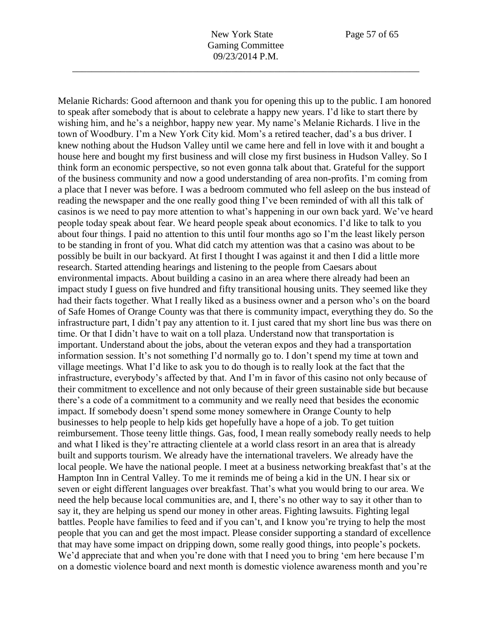Melanie Richards: Good afternoon and thank you for opening this up to the public. I am honored to speak after somebody that is about to celebrate a happy new years. I'd like to start there by wishing him, and he's a neighbor, happy new year. My name's Melanie Richards. I live in the town of Woodbury. I'm a New York City kid. Mom's a retired teacher, dad's a bus driver. I knew nothing about the Hudson Valley until we came here and fell in love with it and bought a house here and bought my first business and will close my first business in Hudson Valley. So I think form an economic perspective, so not even gonna talk about that. Grateful for the support of the business community and now a good understanding of area non-profits. I'm coming from a place that I never was before. I was a bedroom commuted who fell asleep on the bus instead of reading the newspaper and the one really good thing I've been reminded of with all this talk of casinos is we need to pay more attention to what's happening in our own back yard. We've heard people today speak about fear. We heard people speak about economics. I'd like to talk to you about four things. I paid no attention to this until four months ago so I'm the least likely person to be standing in front of you. What did catch my attention was that a casino was about to be possibly be built in our backyard. At first I thought I was against it and then I did a little more research. Started attending hearings and listening to the people from Caesars about environmental impacts. About building a casino in an area where there already had been an impact study I guess on five hundred and fifty transitional housing units. They seemed like they had their facts together. What I really liked as a business owner and a person who's on the board of Safe Homes of Orange County was that there is community impact, everything they do. So the infrastructure part, I didn't pay any attention to it. I just cared that my short line bus was there on time. Or that I didn't have to wait on a toll plaza. Understand now that transportation is important. Understand about the jobs, about the veteran expos and they had a transportation information session. It's not something I'd normally go to. I don't spend my time at town and village meetings. What I'd like to ask you to do though is to really look at the fact that the infrastructure, everybody's affected by that. And I'm in favor of this casino not only because of their commitment to excellence and not only because of their green sustainable side but because there's a code of a commitment to a community and we really need that besides the economic impact. If somebody doesn't spend some money somewhere in Orange County to help businesses to help people to help kids get hopefully have a hope of a job. To get tuition reimbursement. Those teeny little things. Gas, food, I mean really somebody really needs to help and what I liked is they're attracting clientele at a world class resort in an area that is already built and supports tourism. We already have the international travelers. We already have the local people. We have the national people. I meet at a business networking breakfast that's at the Hampton Inn in Central Valley. To me it reminds me of being a kid in the UN. I hear six or seven or eight different languages over breakfast. That's what you would bring to our area. We need the help because local communities are, and I, there's no other way to say it other than to say it, they are helping us spend our money in other areas. Fighting lawsuits. Fighting legal battles. People have families to feed and if you can't, and I know you're trying to help the most people that you can and get the most impact. Please consider supporting a standard of excellence that may have some impact on dripping down, some really good things, into people's pockets. We'd appreciate that and when you're done with that I need you to bring 'em here because I'm on a domestic violence board and next month is domestic violence awareness month and you're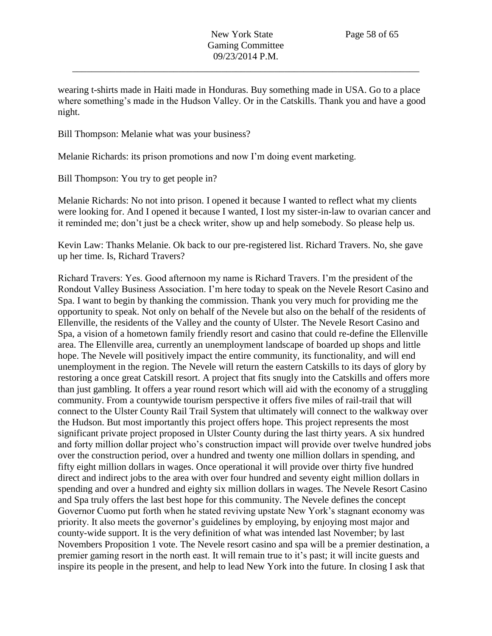wearing t-shirts made in Haiti made in Honduras. Buy something made in USA. Go to a place where something's made in the Hudson Valley. Or in the Catskills. Thank you and have a good night.

Bill Thompson: Melanie what was your business?

Melanie Richards: its prison promotions and now I'm doing event marketing.

Bill Thompson: You try to get people in?

Melanie Richards: No not into prison. I opened it because I wanted to reflect what my clients were looking for. And I opened it because I wanted, I lost my sister-in-law to ovarian cancer and it reminded me; don't just be a check writer, show up and help somebody. So please help us.

Kevin Law: Thanks Melanie. Ok back to our pre-registered list. Richard Travers. No, she gave up her time. Is, Richard Travers?

Richard Travers: Yes. Good afternoon my name is Richard Travers. I'm the president of the Rondout Valley Business Association. I'm here today to speak on the Nevele Resort Casino and Spa. I want to begin by thanking the commission. Thank you very much for providing me the opportunity to speak. Not only on behalf of the Nevele but also on the behalf of the residents of Ellenville, the residents of the Valley and the county of Ulster. The Nevele Resort Casino and Spa, a vision of a hometown family friendly resort and casino that could re-define the Ellenville area. The Ellenville area, currently an unemployment landscape of boarded up shops and little hope. The Nevele will positively impact the entire community, its functionality, and will end unemployment in the region. The Nevele will return the eastern Catskills to its days of glory by restoring a once great Catskill resort. A project that fits snugly into the Catskills and offers more than just gambling. It offers a year round resort which will aid with the economy of a struggling community. From a countywide tourism perspective it offers five miles of rail-trail that will connect to the Ulster County Rail Trail System that ultimately will connect to the walkway over the Hudson. But most importantly this project offers hope. This project represents the most significant private project proposed in Ulster County during the last thirty years. A six hundred and forty million dollar project who's construction impact will provide over twelve hundred jobs over the construction period, over a hundred and twenty one million dollars in spending, and fifty eight million dollars in wages. Once operational it will provide over thirty five hundred direct and indirect jobs to the area with over four hundred and seventy eight million dollars in spending and over a hundred and eighty six million dollars in wages. The Nevele Resort Casino and Spa truly offers the last best hope for this community. The Nevele defines the concept Governor Cuomo put forth when he stated reviving upstate New York's stagnant economy was priority. It also meets the governor's guidelines by employing, by enjoying most major and county-wide support. It is the very definition of what was intended last November; by last Novembers Proposition 1 vote. The Nevele resort casino and spa will be a premier destination, a premier gaming resort in the north east. It will remain true to it's past; it will incite guests and inspire its people in the present, and help to lead New York into the future. In closing I ask that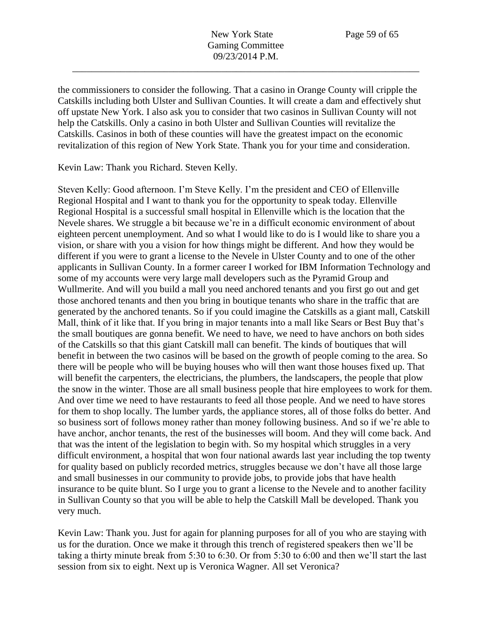the commissioners to consider the following. That a casino in Orange County will cripple the Catskills including both Ulster and Sullivan Counties. It will create a dam and effectively shut off upstate New York. I also ask you to consider that two casinos in Sullivan County will not help the Catskills. Only a casino in both Ulster and Sullivan Counties will revitalize the Catskills. Casinos in both of these counties will have the greatest impact on the economic revitalization of this region of New York State. Thank you for your time and consideration.

Kevin Law: Thank you Richard. Steven Kelly.

Steven Kelly: Good afternoon. I'm Steve Kelly. I'm the president and CEO of Ellenville Regional Hospital and I want to thank you for the opportunity to speak today. Ellenville Regional Hospital is a successful small hospital in Ellenville which is the location that the Nevele shares. We struggle a bit because we're in a difficult economic environment of about eighteen percent unemployment. And so what I would like to do is I would like to share you a vision, or share with you a vision for how things might be different. And how they would be different if you were to grant a license to the Nevele in Ulster County and to one of the other applicants in Sullivan County. In a former career I worked for IBM Information Technology and some of my accounts were very large mall developers such as the Pyramid Group and Wullmerite. And will you build a mall you need anchored tenants and you first go out and get those anchored tenants and then you bring in boutique tenants who share in the traffic that are generated by the anchored tenants. So if you could imagine the Catskills as a giant mall, Catskill Mall, think of it like that. If you bring in major tenants into a mall like Sears or Best Buy that's the small boutiques are gonna benefit. We need to have, we need to have anchors on both sides of the Catskills so that this giant Catskill mall can benefit. The kinds of boutiques that will benefit in between the two casinos will be based on the growth of people coming to the area. So there will be people who will be buying houses who will then want those houses fixed up. That will benefit the carpenters, the electricians, the plumbers, the landscapers, the people that plow the snow in the winter. Those are all small business people that hire employees to work for them. And over time we need to have restaurants to feed all those people. And we need to have stores for them to shop locally. The lumber yards, the appliance stores, all of those folks do better. And so business sort of follows money rather than money following business. And so if we're able to have anchor, anchor tenants, the rest of the businesses will boom. And they will come back. And that was the intent of the legislation to begin with. So my hospital which struggles in a very difficult environment, a hospital that won four national awards last year including the top twenty for quality based on publicly recorded metrics, struggles because we don't have all those large and small businesses in our community to provide jobs, to provide jobs that have health insurance to be quite blunt. So I urge you to grant a license to the Nevele and to another facility in Sullivan County so that you will be able to help the Catskill Mall be developed. Thank you very much.

Kevin Law: Thank you. Just for again for planning purposes for all of you who are staying with us for the duration. Once we make it through this trench of registered speakers then we'll be taking a thirty minute break from 5:30 to 6:30. Or from 5:30 to 6:00 and then we'll start the last session from six to eight. Next up is Veronica Wagner. All set Veronica?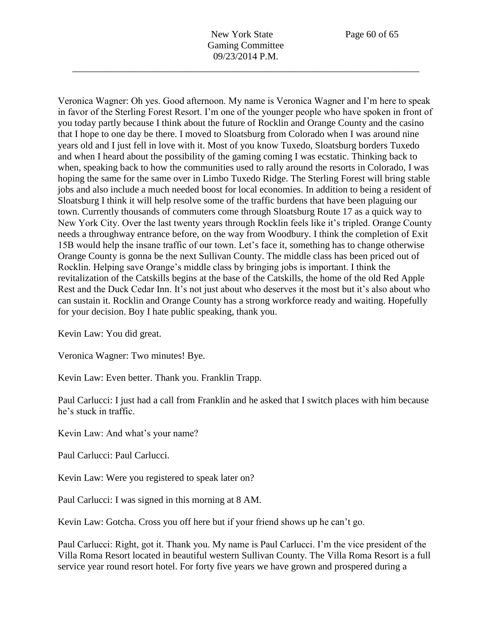Veronica Wagner: Oh yes. Good afternoon. My name is Veronica Wagner and I'm here to speak in favor of the Sterling Forest Resort. I'm one of the younger people who have spoken in front of you today partly because I think about the future of Rocklin and Orange County and the casino that I hope to one day be there. I moved to Sloatsburg from Colorado when I was around nine years old and I just fell in love with it. Most of you know Tuxedo, Sloatsburg borders Tuxedo and when I heard about the possibility of the gaming coming I was ecstatic. Thinking back to when, speaking back to how the communities used to rally around the resorts in Colorado, I was hoping the same for the same over in Limbo Tuxedo Ridge. The Sterling Forest will bring stable jobs and also include a much needed boost for local economies. In addition to being a resident of Sloatsburg I think it will help resolve some of the traffic burdens that have been plaguing our town. Currently thousands of commuters come through Sloatsburg Route 17 as a quick way to New York City. Over the last twenty years through Rocklin feels like it's tripled. Orange County needs a throughway entrance before, on the way from Woodbury. I think the completion of Exit 15B would help the insane traffic of our town. Let's face it, something has to change otherwise Orange County is gonna be the next Sullivan County. The middle class has been priced out of Rocklin. Helping save Orange's middle class by bringing jobs is important. I think the revitalization of the Catskills begins at the base of the Catskills, the home of the old Red Apple Rest and the Duck Cedar Inn. It's not just about who deserves it the most but it's also about who can sustain it. Rocklin and Orange County has a strong workforce ready and waiting. Hopefully for your decision. Boy I hate public speaking, thank you.

Kevin Law: You did great.

Veronica Wagner: Two minutes! Bye.

Kevin Law: Even better. Thank you. Franklin Trapp.

Paul Carlucci: I just had a call from Franklin and he asked that I switch places with him because he's stuck in traffic.

Kevin Law: And what's your name?

Paul Carlucci: Paul Carlucci.

Kevin Law: Were you registered to speak later on?

Paul Carlucci: I was signed in this morning at 8 AM.

Kevin Law: Gotcha. Cross you off here but if your friend shows up he can't go.

Paul Carlucci: Right, got it. Thank you. My name is Paul Carlucci. I'm the vice president of the Villa Roma Resort located in beautiful western Sullivan County. The Villa Roma Resort is a full service year round resort hotel. For forty five years we have grown and prospered during a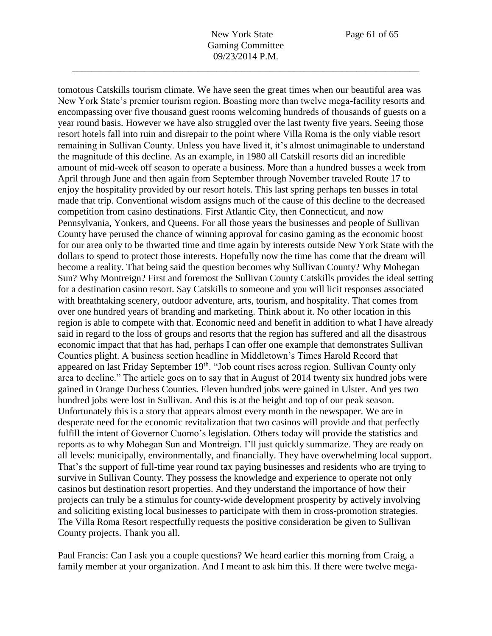tomotous Catskills tourism climate. We have seen the great times when our beautiful area was New York State's premier tourism region. Boasting more than twelve mega-facility resorts and encompassing over five thousand guest rooms welcoming hundreds of thousands of guests on a year round basis. However we have also struggled over the last twenty five years. Seeing those resort hotels fall into ruin and disrepair to the point where Villa Roma is the only viable resort remaining in Sullivan County. Unless you have lived it, it's almost unimaginable to understand the magnitude of this decline. As an example, in 1980 all Catskill resorts did an incredible amount of mid-week off season to operate a business. More than a hundred busses a week from April through June and then again from September through November traveled Route 17 to enjoy the hospitality provided by our resort hotels. This last spring perhaps ten busses in total made that trip. Conventional wisdom assigns much of the cause of this decline to the decreased competition from casino destinations. First Atlantic City, then Connecticut, and now Pennsylvania, Yonkers, and Queens. For all those years the businesses and people of Sullivan County have perused the chance of winning approval for casino gaming as the economic boost for our area only to be thwarted time and time again by interests outside New York State with the dollars to spend to protect those interests. Hopefully now the time has come that the dream will become a reality. That being said the question becomes why Sullivan County? Why Mohegan Sun? Why Montreign? First and foremost the Sullivan County Catskills provides the ideal setting for a destination casino resort. Say Catskills to someone and you will licit responses associated with breathtaking scenery, outdoor adventure, arts, tourism, and hospitality. That comes from over one hundred years of branding and marketing. Think about it. No other location in this region is able to compete with that. Economic need and benefit in addition to what I have already said in regard to the loss of groups and resorts that the region has suffered and all the disastrous economic impact that that has had, perhaps I can offer one example that demonstrates Sullivan Counties plight. A business section headline in Middletown's Times Harold Record that appeared on last Friday September 19<sup>th</sup>. "Job count rises across region. Sullivan County only area to decline." The article goes on to say that in August of 2014 twenty six hundred jobs were gained in Orange Duchess Counties. Eleven hundred jobs were gained in Ulster. And yes two hundred jobs were lost in Sullivan. And this is at the height and top of our peak season. Unfortunately this is a story that appears almost every month in the newspaper. We are in desperate need for the economic revitalization that two casinos will provide and that perfectly fulfill the intent of Governor Cuomo's legislation. Others today will provide the statistics and reports as to why Mohegan Sun and Montreign. I'll just quickly summarize. They are ready on all levels: municipally, environmentally, and financially. They have overwhelming local support. That's the support of full-time year round tax paying businesses and residents who are trying to survive in Sullivan County. They possess the knowledge and experience to operate not only casinos but destination resort properties. And they understand the importance of how their projects can truly be a stimulus for county-wide development prosperity by actively involving and soliciting existing local businesses to participate with them in cross-promotion strategies. The Villa Roma Resort respectfully requests the positive consideration be given to Sullivan County projects. Thank you all.

Paul Francis: Can I ask you a couple questions? We heard earlier this morning from Craig, a family member at your organization. And I meant to ask him this. If there were twelve mega-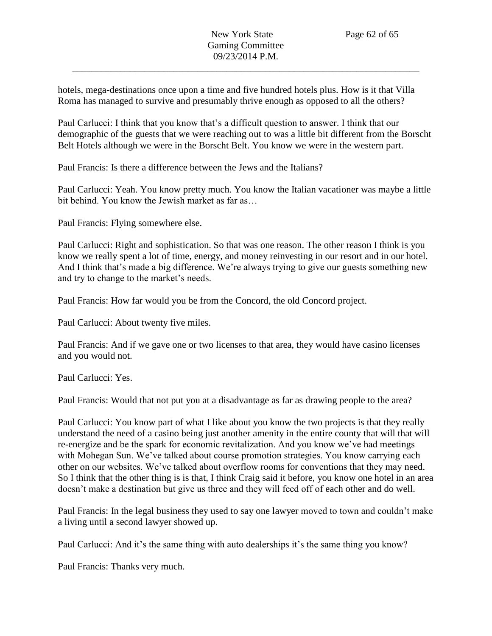hotels, mega-destinations once upon a time and five hundred hotels plus. How is it that Villa Roma has managed to survive and presumably thrive enough as opposed to all the others?

Paul Carlucci: I think that you know that's a difficult question to answer. I think that our demographic of the guests that we were reaching out to was a little bit different from the Borscht Belt Hotels although we were in the Borscht Belt. You know we were in the western part.

Paul Francis: Is there a difference between the Jews and the Italians?

Paul Carlucci: Yeah. You know pretty much. You know the Italian vacationer was maybe a little bit behind. You know the Jewish market as far as…

Paul Francis: Flying somewhere else.

Paul Carlucci: Right and sophistication. So that was one reason. The other reason I think is you know we really spent a lot of time, energy, and money reinvesting in our resort and in our hotel. And I think that's made a big difference. We're always trying to give our guests something new and try to change to the market's needs.

Paul Francis: How far would you be from the Concord, the old Concord project.

Paul Carlucci: About twenty five miles.

Paul Francis: And if we gave one or two licenses to that area, they would have casino licenses and you would not.

Paul Carlucci: Yes.

Paul Francis: Would that not put you at a disadvantage as far as drawing people to the area?

Paul Carlucci: You know part of what I like about you know the two projects is that they really understand the need of a casino being just another amenity in the entire county that will that will re-energize and be the spark for economic revitalization. And you know we've had meetings with Mohegan Sun. We've talked about course promotion strategies. You know carrying each other on our websites. We've talked about overflow rooms for conventions that they may need. So I think that the other thing is is that, I think Craig said it before, you know one hotel in an area doesn't make a destination but give us three and they will feed off of each other and do well.

Paul Francis: In the legal business they used to say one lawyer moved to town and couldn't make a living until a second lawyer showed up.

Paul Carlucci: And it's the same thing with auto dealerships it's the same thing you know?

Paul Francis: Thanks very much.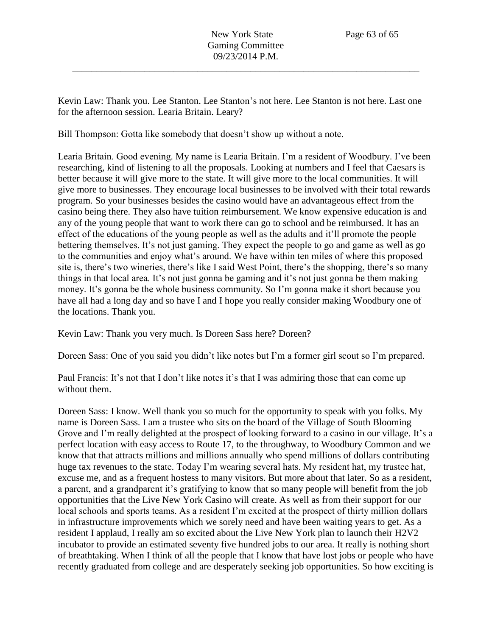Kevin Law: Thank you. Lee Stanton. Lee Stanton's not here. Lee Stanton is not here. Last one for the afternoon session. Learia Britain. Leary?

Bill Thompson: Gotta like somebody that doesn't show up without a note.

Learia Britain. Good evening. My name is Learia Britain. I'm a resident of Woodbury. I've been researching, kind of listening to all the proposals. Looking at numbers and I feel that Caesars is better because it will give more to the state. It will give more to the local communities. It will give more to businesses. They encourage local businesses to be involved with their total rewards program. So your businesses besides the casino would have an advantageous effect from the casino being there. They also have tuition reimbursement. We know expensive education is and any of the young people that want to work there can go to school and be reimbursed. It has an effect of the educations of the young people as well as the adults and it'll promote the people bettering themselves. It's not just gaming. They expect the people to go and game as well as go to the communities and enjoy what's around. We have within ten miles of where this proposed site is, there's two wineries, there's like I said West Point, there's the shopping, there's so many things in that local area. It's not just gonna be gaming and it's not just gonna be them making money. It's gonna be the whole business community. So I'm gonna make it short because you have all had a long day and so have I and I hope you really consider making Woodbury one of the locations. Thank you.

Kevin Law: Thank you very much. Is Doreen Sass here? Doreen?

Doreen Sass: One of you said you didn't like notes but I'm a former girl scout so I'm prepared.

Paul Francis: It's not that I don't like notes it's that I was admiring those that can come up without them.

Doreen Sass: I know. Well thank you so much for the opportunity to speak with you folks. My name is Doreen Sass. I am a trustee who sits on the board of the Village of South Blooming Grove and I'm really delighted at the prospect of looking forward to a casino in our village. It's a perfect location with easy access to Route 17, to the throughway, to Woodbury Common and we know that that attracts millions and millions annually who spend millions of dollars contributing huge tax revenues to the state. Today I'm wearing several hats. My resident hat, my trustee hat, excuse me, and as a frequent hostess to many visitors. But more about that later. So as a resident, a parent, and a grandparent it's gratifying to know that so many people will benefit from the job opportunities that the Live New York Casino will create. As well as from their support for our local schools and sports teams. As a resident I'm excited at the prospect of thirty million dollars in infrastructure improvements which we sorely need and have been waiting years to get. As a resident I applaud, I really am so excited about the Live New York plan to launch their H2V2 incubator to provide an estimated seventy five hundred jobs to our area. It really is nothing short of breathtaking. When I think of all the people that I know that have lost jobs or people who have recently graduated from college and are desperately seeking job opportunities. So how exciting is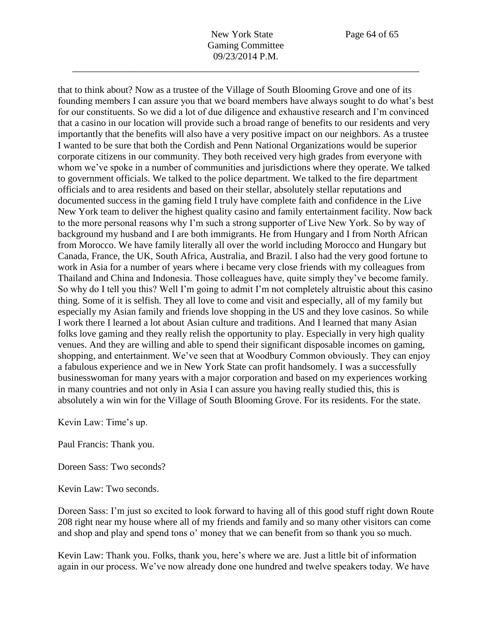that to think about? Now as a trustee of the Village of South Blooming Grove and one of its founding members I can assure you that we board members have always sought to do what's best for our constituents. So we did a lot of due diligence and exhaustive research and I'm convinced that a casino in our location will provide such a broad range of benefits to our residents and very importantly that the benefits will also have a very positive impact on our neighbors. As a trustee I wanted to be sure that both the Cordish and Penn National Organizations would be superior corporate citizens in our community. They both received very high grades from everyone with whom we've spoke in a number of communities and jurisdictions where they operate. We talked to government officials. We talked to the police department. We talked to the fire department officials and to area residents and based on their stellar, absolutely stellar reputations and documented success in the gaming field I truly have complete faith and confidence in the Live New York team to deliver the highest quality casino and family entertainment facility. Now back to the more personal reasons why I'm such a strong supporter of Live New York. So by way of background my husband and I are both immigrants. He from Hungary and I from North African from Morocco. We have family literally all over the world including Morocco and Hungary but Canada, France, the UK, South Africa, Australia, and Brazil. I also had the very good fortune to work in Asia for a number of years where i became very close friends with my colleagues from Thailand and China and Indonesia. Those colleagues have, quite simply they've become family. So why do I tell you this? Well I'm going to admit I'm not completely altruistic about this casino thing. Some of it is selfish. They all love to come and visit and especially, all of my family but especially my Asian family and friends love shopping in the US and they love casinos. So while I work there I learned a lot about Asian culture and traditions. And I learned that many Asian folks love gaming and they really relish the opportunity to play. Especially in very high quality venues. And they are willing and able to spend their significant disposable incomes on gaming, shopping, and entertainment. We've seen that at Woodbury Common obviously. They can enjoy a fabulous experience and we in New York State can profit handsomely. I was a successfully businesswoman for many years with a major corporation and based on my experiences working in many countries and not only in Asia I can assure you having really studied this, this is absolutely a win win for the Village of South Blooming Grove. For its residents. For the state.

Kevin Law: Time's up.

Paul Francis: Thank you.

Doreen Sass: Two seconds?

Kevin Law: Two seconds.

Doreen Sass: I'm just so excited to look forward to having all of this good stuff right down Route 208 right near my house where all of my friends and family and so many other visitors can come and shop and play and spend tons o' money that we can benefit from so thank you so much.

Kevin Law: Thank you. Folks, thank you, here's where we are. Just a little bit of information again in our process. We've now already done one hundred and twelve speakers today. We have